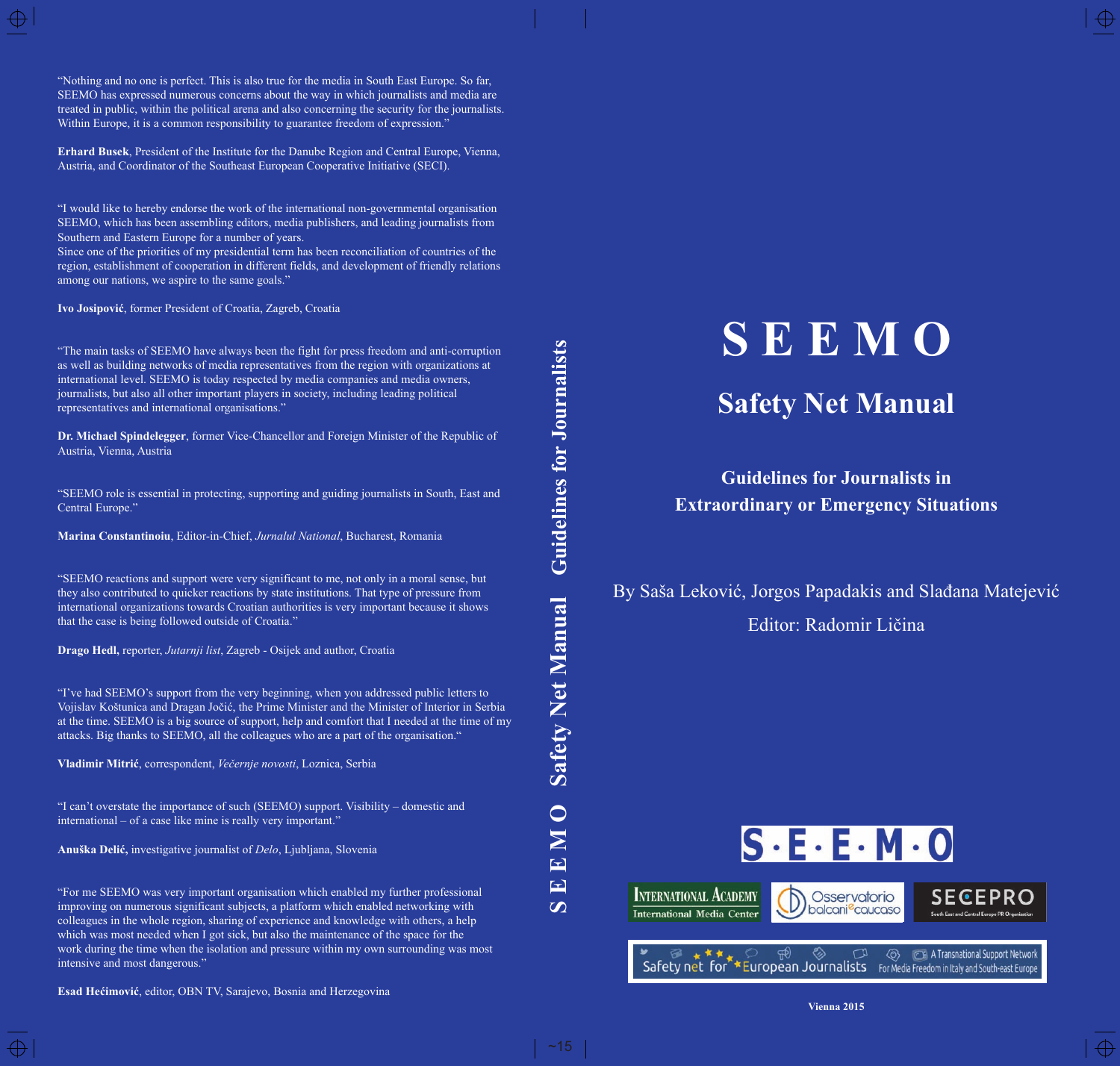**Erhard Busek**, President of the Institute for the Danube Region and Central Europe, Vienna, Austria, and Coordinator of the Southeast European Cooperative Initiative (SECI).

"I would like to hereby endorse the work of the international non-governmental organisation SEEMO, which has been assembling editors, media publishers, and leading journalists from Southern and Eastern Europe for a number of years.

Since one of the priorities of my presidential term has been reconciliation of countries of the region, establishment of cooperation in different fields, and development of friendly relations among our nations, we aspire to the same goals."

**Ivo Josipović**, former President of Croatia, Zagreb, Croatia

"The main tasks of SEEMO have always been the fight for press freedom and anti-corruption as well as building networks of media representatives from the region with organizations at international level. SEEMO is today respected by media companies and media owners, journalists, but also all other important players in society, including leading political representatives and international organisations."

**Dr. Michael Spindelegger**, former Vice-Chancellor and Foreign Minister of the Republic of Austria, Vienna, Austria

"SEEMO role is essential in protecting, supporting and guiding journalists in South, East and Central Europe."

**Marina Constantinoiu**, Editor-in-Chief, *Jurnalul National*, Bucharest, Romania

"SEEMO reactions and support were very significant to me, not only in a moral sense, but they also contributed to quicker reactions by state institutions. That type of pressure from international organizations towards Croatian authorities is very important because it shows that the case is being followed outside of Croatia."

**Drago Hedl,** reporter, *Jutarnji list*, Zagreb - Osijek and author, Croatia

"I've had SEEMO's support from the very beginning, when you addressed public letters to Vojislav Koštunica and Dragan Jočić, the Prime Minister and the Minister of Interior in Serbia at the time. SEEMO is a big source of support, help and comfort that I needed at the time of my attacks. Big thanks to SEEMO, all the colleagues who are a part of the organisation."

**Vladimir Mitrić**, correspondent, *Večernje novosti*, Loznica, Serbia

"I can't overstate the importance of such (SEEMO) support. Visibility – domestic and international – of a case like mine is really very important.'

**Anuška Delić,** investigative journalist of *Delo*, Ljubljana, Slovenia

"For me SEEMO was very important organisation which enabled my further professional improving on numerous significant subjects, a platform which enabled networking with colleagues in the whole region, sharing of experience and knowledge with others, a help which was most needed when I got sick, but also the maintenance of the space for the work during the time when the isolation and pressure within my own surrounding was most intensive and most dangerous."

**Esad Hećimović**, editor, OBN TV, Sarajevo, Bosnia and Herzegovina

**Guidelines for Journalists S E E M O Safety Net Manual Guidelines for JournalistsSafety Net Manual**  $\bigcirc$  $\overline{\mathbf{M}}$  $\mathbf{L}$  $\mathbf{E}$  $\boldsymbol{\omega}$ 

# **S E E M O**

# **Safety Net Manual**

**Guidelines for Journalists in Extraordinary or Emergency Situations**

By Saša Leković, Jorgos Papadakis and Slađana Matejević Editor: Radomir Ličina



**Vienna 2015**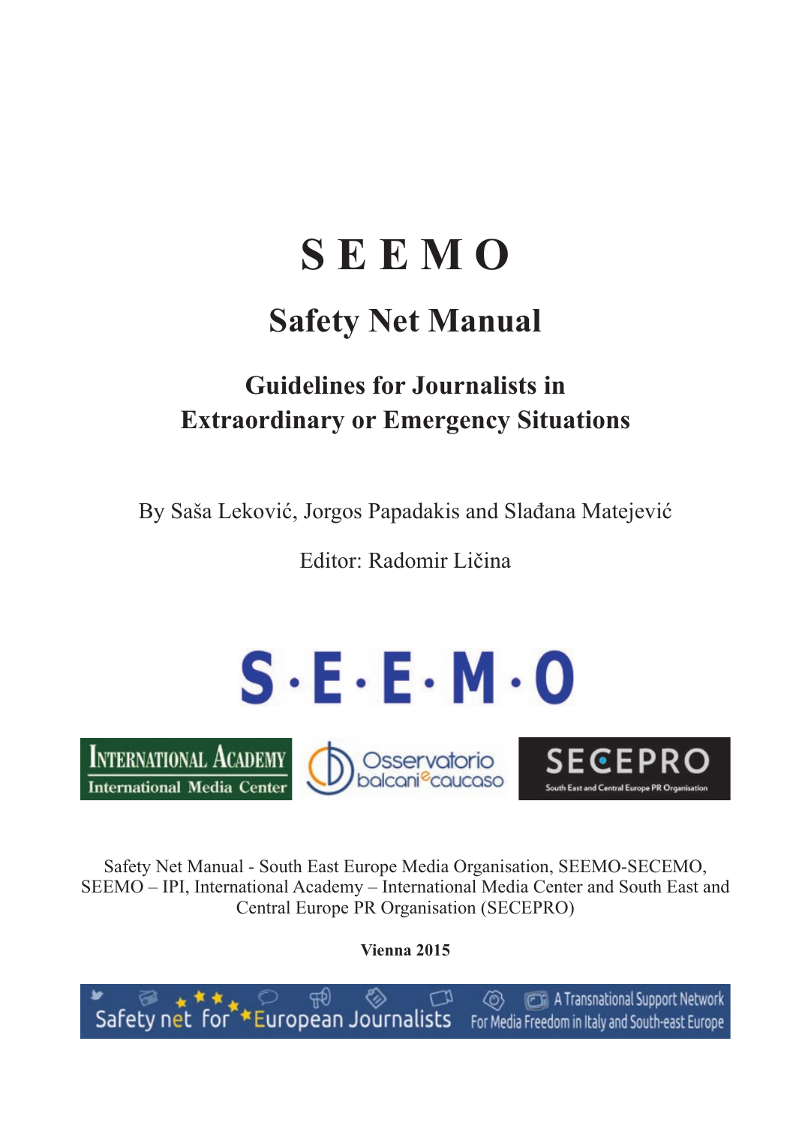# **S E E M O**

# **Safety Net Manual**

# **Guidelines for Journalists in Extraordinary or Emergency Situations**

By Saša Leković, Jorgos Papadakis and Slađana Matejević

Editor: Radomir Ličina



**INTERNATIONAL ACADEMY International Media Center**  Osservatorio<br>Dolcani<sup>e</sup>caucaso

SECEP South East and Central Europe PR O

Safety Net Manual - South East Europe Media Organisation, SEEMO-SECEMO, SEEMO – IPI, International Academy – International Media Center and South East and Central Europe PR Organisation (SECEPRO)

**Vienna 2015**

m A Transnational Support Network 紀 ෯  $\overline{\mathsf{Safe}}$  of  $\overline{\mathsf{for}}$  European Journalists For Media Freedom in Italy and South-east Europe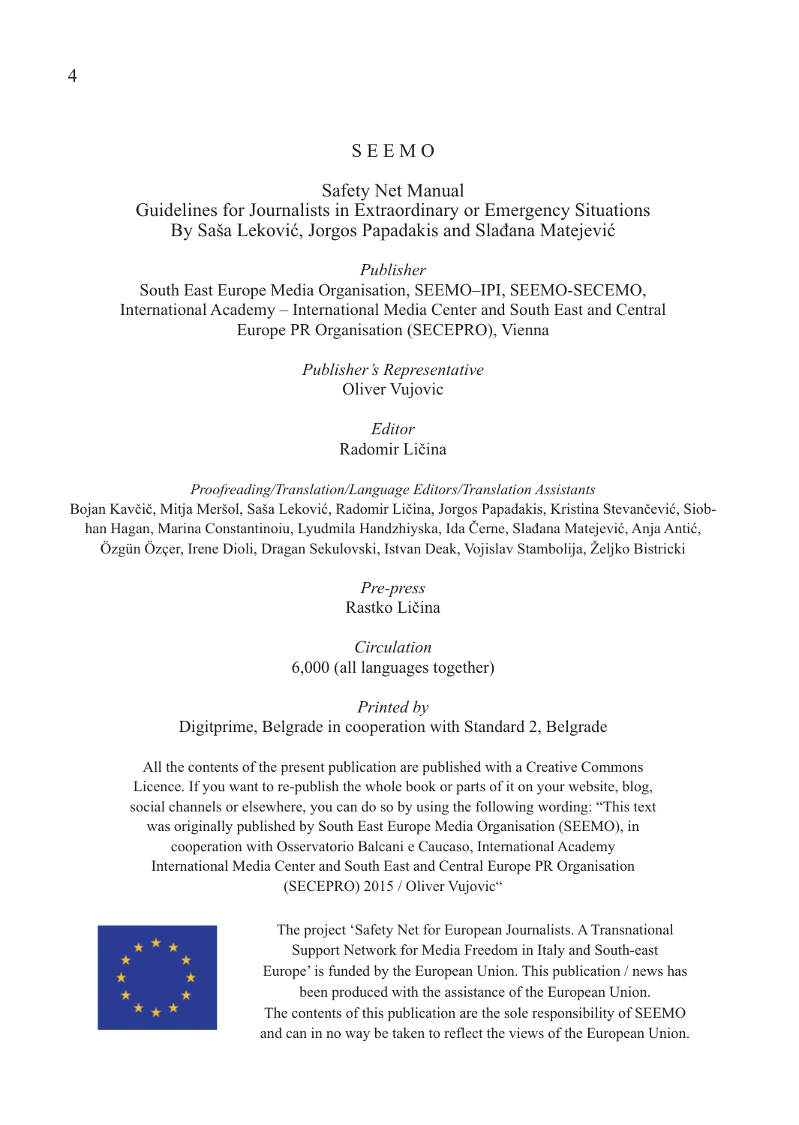#### S E E M O

#### Safety Net Manual Guidelines for Journalists in Extraordinary or Emergency Situations By Saša Leković, Jorgos Papadakis and Slađana Matejević

*Publisher*

South East Europe Media Organisation, SEEMO–IPI, SEEMO-SECEMO, International Academy – International Media Center and South East and Central Europe PR Organisation (SECEPRO), Vienna

> *Publisher's Representative* Oliver Vujovic

> > *Editor* Radomir Ličina

*Proofreading/Translation/Language Editors/Translation Assistants*

Bojan Kavčič, Mitja Meršol, Saša Leković, Radomir Ličina, Jorgos Papadakis, Kristina Stevančević, Siobhan Hagan, Marina Constantinoiu, Lyudmila Handzhiyska, Ida Černe, Slađana Matejević, Anja Antić, Özgün Özçer, Irene Dioli, Dragan Sekulovski, Istvan Deak, Vojislav Stambolija, Željko Bistricki

> *Pre-press* Rastko Ličina

*Circulation* 6,000 (all languages together)

*Printed by* Digitprime, Belgrade in cooperation with Standard 2, Belgrade

All the contents of the present publication are published with a Creative Commons Licence. If you want to re-publish the whole book or parts of it on your website, blog, social channels or elsewhere, you can do so by using the following wording: "This text was originally published by South East Europe Media Organisation (SEEMO), in cooperation with Osservatorio Balcani e Caucaso, International Academy International Media Center and South East and Central Europe PR Organisation (SECEPRO) 2015 / Oliver Vujovic"



The project 'Safety Net for European Journalists. A Transnational Support Network for Media Freedom in Italy and South-east Europe' is funded by the European Union. This publication / news has been produced with the assistance of the European Union. The contents of this publication are the sole responsibility of SEEMO and can in no way be taken to reflect the views of the European Union.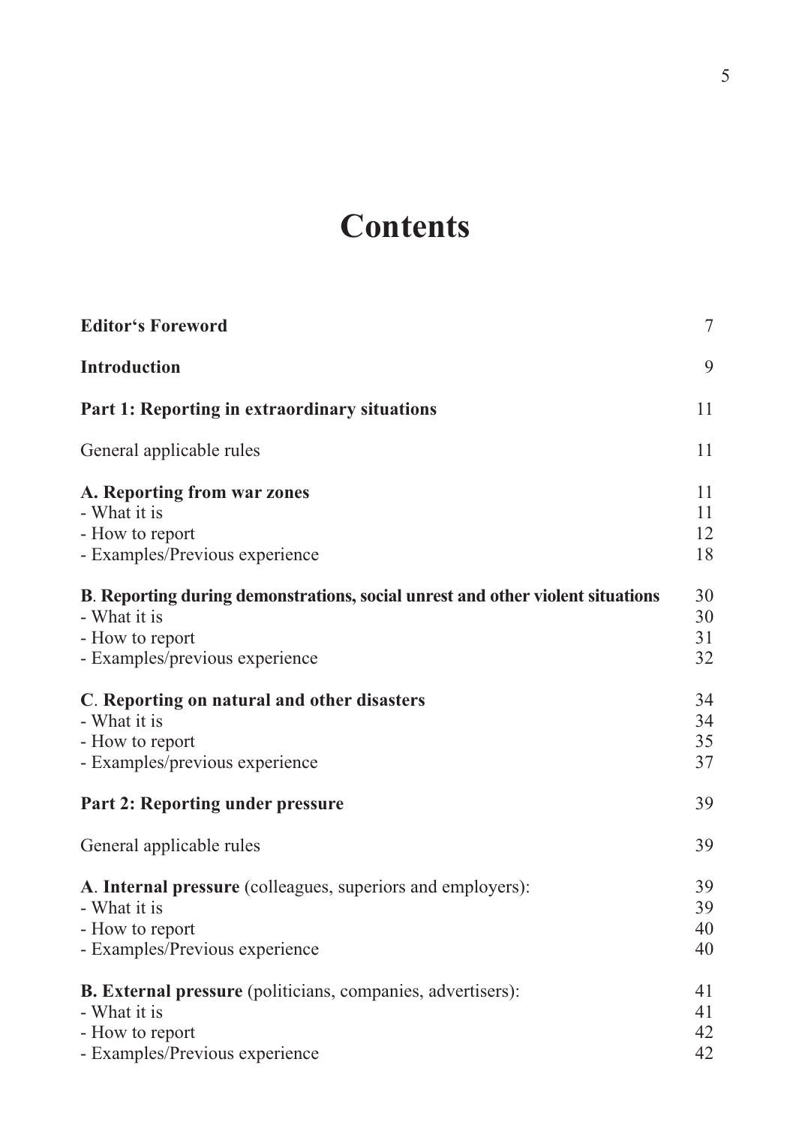# **Contents**

| <b>Editor's Foreword</b>                                                                                                                            | $\tau$               |
|-----------------------------------------------------------------------------------------------------------------------------------------------------|----------------------|
| <b>Introduction</b>                                                                                                                                 | 9                    |
| Part 1: Reporting in extraordinary situations                                                                                                       | 11                   |
| General applicable rules                                                                                                                            | 11                   |
| A. Reporting from war zones<br>- What it is<br>- How to report<br>- Examples/Previous experience                                                    | 11<br>11<br>12<br>18 |
| B. Reporting during demonstrations, social unrest and other violent situations<br>- What it is<br>- How to report<br>- Examples/previous experience | 30<br>30<br>31<br>32 |
| C. Reporting on natural and other disasters<br>- What it is<br>- How to report<br>- Examples/previous experience                                    | 34<br>34<br>35<br>37 |
| Part 2: Reporting under pressure                                                                                                                    | 39                   |
| General applicable rules                                                                                                                            | 39                   |
| A. Internal pressure (colleagues, superiors and employers):<br>- What it is<br>- How to report<br>- Examples/Previous experience                    | 39<br>39<br>40<br>40 |
| B. External pressure (politicians, companies, advertisers):<br>- What it is<br>- How to report<br>- Examples/Previous experience                    | 41<br>41<br>42<br>42 |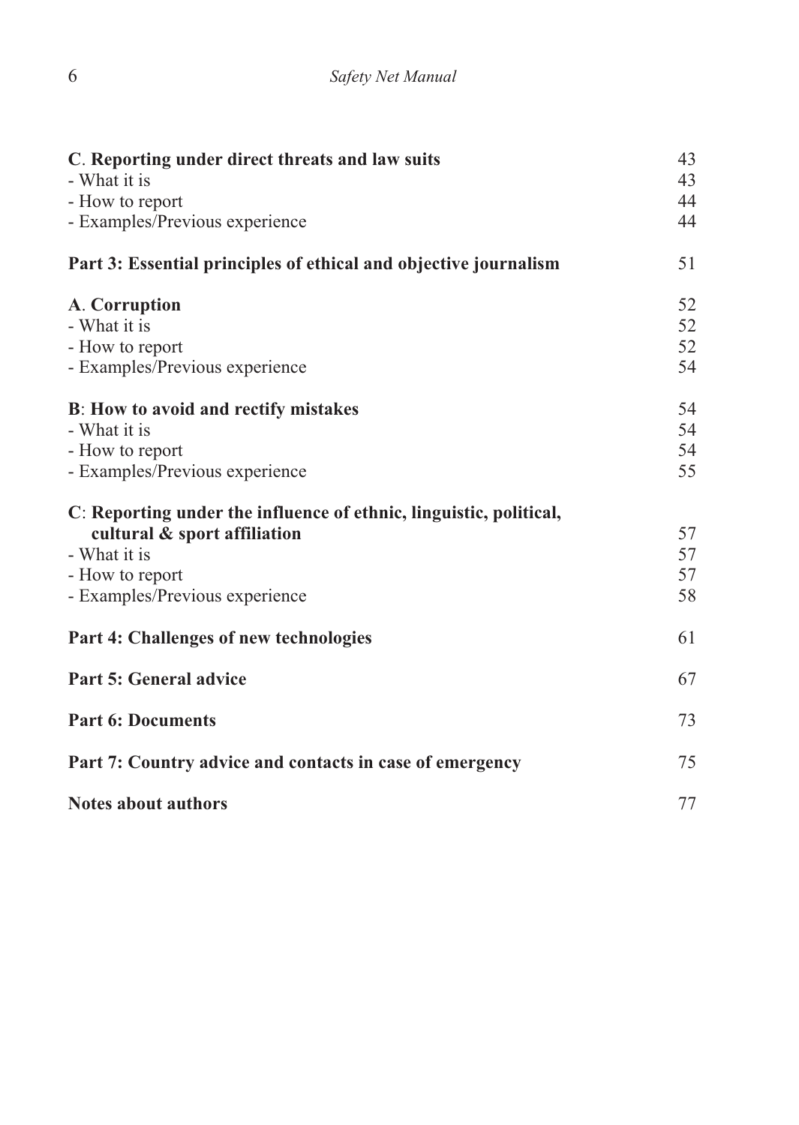| C. Reporting under direct threats and law suits                    | 43<br>43 |
|--------------------------------------------------------------------|----------|
| - What it is                                                       |          |
| - How to report                                                    | 44       |
| - Examples/Previous experience                                     | 44       |
| Part 3: Essential principles of ethical and objective journalism   | 51       |
| A. Corruption                                                      | 52       |
| - What it is                                                       | 52       |
| - How to report                                                    | 52       |
| - Examples/Previous experience                                     | 54       |
| B: How to avoid and rectify mistakes                               | 54       |
| - What it is                                                       | 54       |
| - How to report                                                    | 54       |
| - Examples/Previous experience                                     | 55       |
| C: Reporting under the influence of ethnic, linguistic, political, |          |
| cultural & sport affiliation                                       | 57       |
| - What it is                                                       | 57       |
| - How to report                                                    | 57       |
| - Examples/Previous experience                                     | 58       |
| Part 4: Challenges of new technologies                             | 61       |
| Part 5: General advice                                             | 67       |
| <b>Part 6: Documents</b>                                           | 73       |
| Part 7: Country advice and contacts in case of emergency           | 75       |
| Notes about authors                                                | 77       |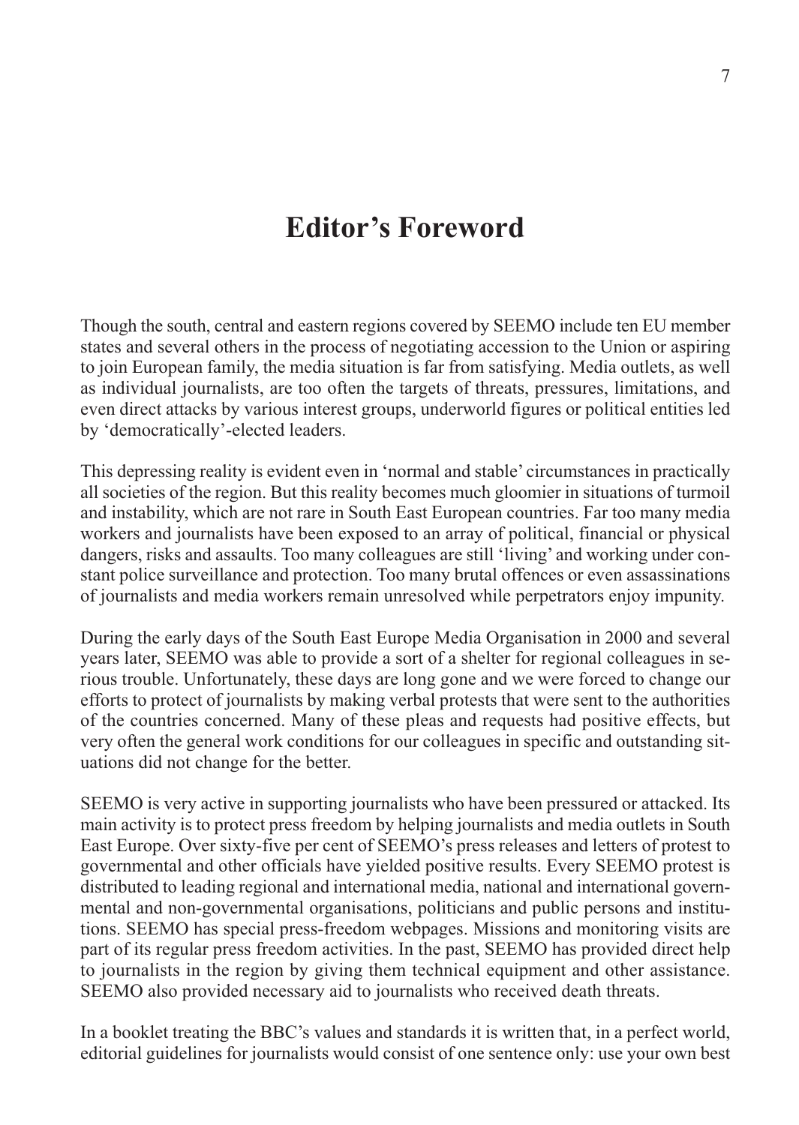## **Editor's Foreword**

Though the south, central and eastern regions covered by SEEMO include ten EU member states and several others in the process of negotiating accession to the Union or aspiring to join European family, the media situation is far from satisfying. Media outlets, as well as individual journalists, are too often the targets of threats, pressures, limitations, and even direct attacks by various interest groups, underworld figures or political entities led by 'democratically'-elected leaders.

This depressing reality is evident even in 'normal and stable' circumstances in practically all societies of the region. But this reality becomes much gloomier in situations of turmoil and instability, which are not rare in South East European countries. Far too many media workers and journalists have been exposed to an array of political, financial or physical dangers, risks and assaults. Too many colleagues are still 'living' and working under constant police surveillance and protection. Too many brutal offences or even assassinations of journalists and media workers remain unresolved while perpetrators enjoy impunity.

During the early days of the South East Europe Media Organisation in 2000 and several years later, SEEMO was able to provide a sort of a shelter for regional colleagues in serious trouble. Unfortunately, these days are long gone and we were forced to change our efforts to protect of journalists by making verbal protests that were sent to the authorities of the countries concerned. Many of these pleas and requests had positive effects, but very often the general work conditions for our colleagues in specific and outstanding situations did not change for the better.

SEEMO is very active in supporting journalists who have been pressured or attacked. Its main activity is to protect press freedom by helping journalists and media outlets in South East Europe. Over sixty-five per cent of SEEMO's press releases and letters of protest to governmental and other officials have yielded positive results. Every SEEMO protest is distributed to leading regional and international media, national and international governmental and non-governmental organisations, politicians and public persons and institutions. SEEMO has special press-freedom webpages. Missions and monitoring visits are part of its regular press freedom activities. In the past, SEEMO has provided direct help to journalists in the region by giving them technical equipment and other assistance. SEEMO also provided necessary aid to journalists who received death threats.

In a booklet treating the BBC's values and standards it is written that, in a perfect world, editorial guidelines for journalists would consist of one sentence only: use your own best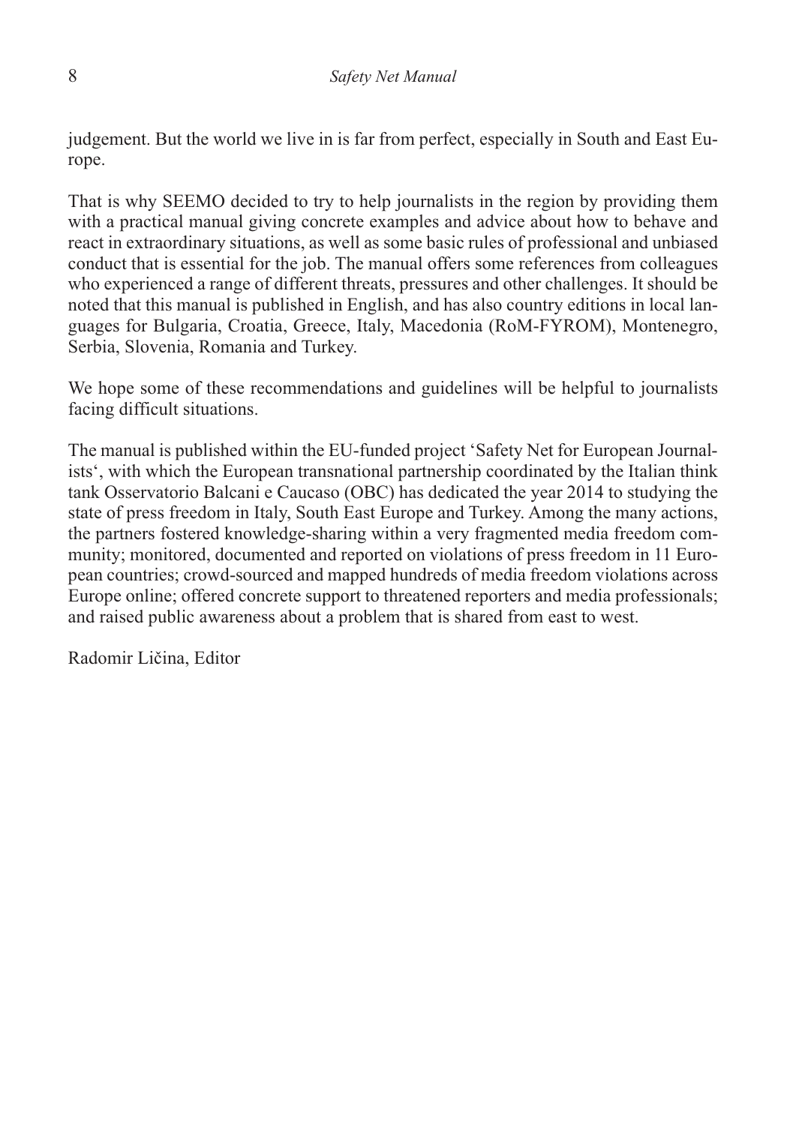judgement. But the world we live in is far from perfect, especially in South and East Europe.

That is why SEEMO decided to try to help journalists in the region by providing them with a practical manual giving concrete examples and advice about how to behave and react in extraordinary situations, as well as some basic rules of professional and unbiased conduct that is essential for the job. The manual offers some references from colleagues who experienced a range of different threats, pressures and other challenges. It should be noted that this manual is published in English, and has also country editions in local languages for Bulgaria, Croatia, Greece, Italy, Macedonia (RoM-FYROM), Montenegro, Serbia, Slovenia, Romania and Turkey.

We hope some of these recommendations and guidelines will be helpful to journalists facing difficult situations.

The manual is published within the EU-funded project 'Safety Net for European Journalists', with which the European transnational partnership coordinated by the Italian think tank Osservatorio Balcani e Caucaso (OBC) has dedicated the year 2014 to studying the state of press freedom in Italy, South East Europe and Turkey. Among the many actions, the partners fostered knowledge-sharing within a very fragmented media freedom community; monitored, documented and reported on violations of press freedom in 11 European countries; crowd-sourced and mapped hundreds of media freedom violations across Europe online; offered concrete support to threatened reporters and media professionals; and raised public awareness about a problem that is shared from east to west.

Radomir Ličina, Editor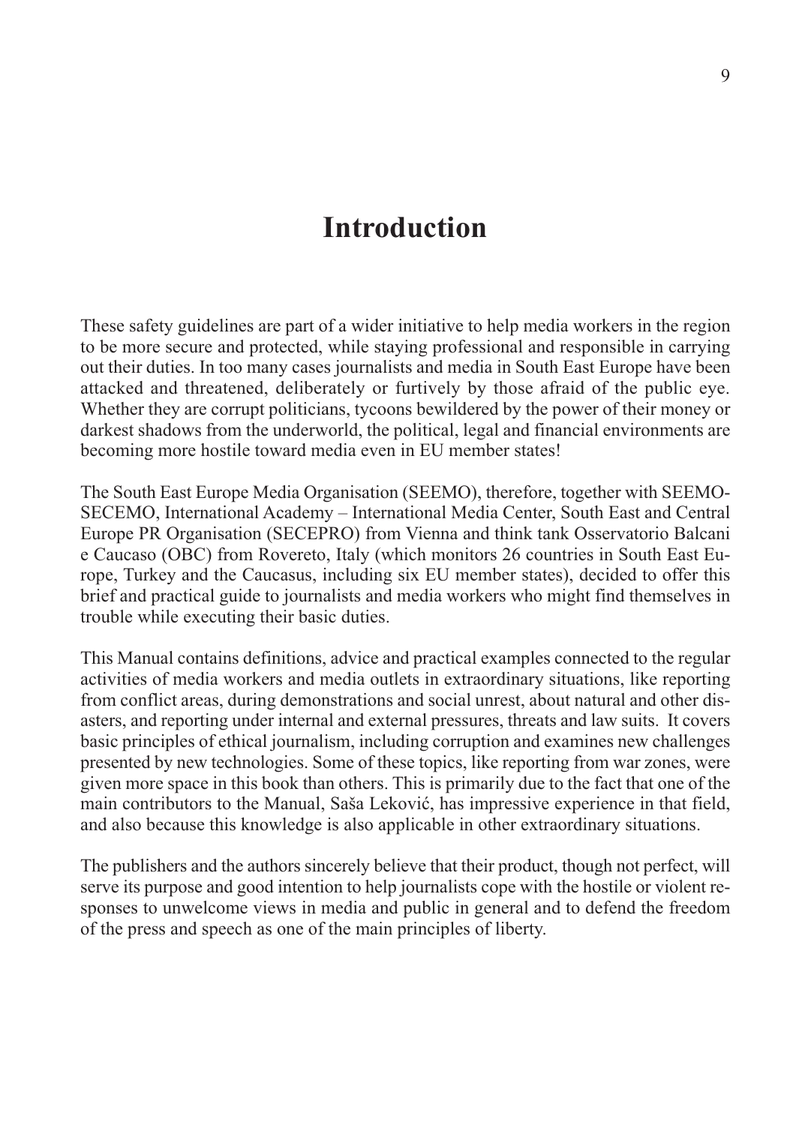### **Introduction**

These safety guidelines are part of a wider initiative to help media workers in the region to be more secure and protected, while staying professional and responsible in carrying out their duties. In too many cases journalists and media in South East Europe have been attacked and threatened, deliberately or furtively by those afraid of the public eye. Whether they are corrupt politicians, tycoons bewildered by the power of their money or darkest shadows from the underworld, the political, legal and financial environments are becoming more hostile toward media even in EU member states!

The South East Europe Media Organisation (SEEMO), therefore, together with SEEMO-SECEMO, International Academy – International Media Center, South East and Central Europe PR Organisation (SECEPRO) from Vienna and think tank Osservatorio Balcani e Caucaso (OBC) from Rovereto, Italy (which monitors 26 countries in South East Europe, Turkey and the Caucasus, including six EU member states), decided to offer this brief and practical guide to journalists and media workers who might find themselves in trouble while executing their basic duties.

This Manual contains definitions, advice and practical examples connected to the regular activities of media workers and media outlets in extraordinary situations, like reporting from conflict areas, during demonstrations and social unrest, about natural and other disasters, and reporting under internal and external pressures, threats and law suits. It covers basic principles of ethical journalism, including corruption and examines new challenges presented by new technologies. Some of these topics, like reporting from war zones, were given more space in this book than others. This is primarily due to the fact that one of the main contributors to the Manual, Saša Leković, has impressive experience in that field, and also because this knowledge is also applicable in other extraordinary situations.

The publishers and the authors sincerely believe that their product, though not perfect, will serve its purpose and good intention to help journalists cope with the hostile or violent responses to unwelcome views in media and public in general and to defend the freedom of the press and speech as one of the main principles of liberty.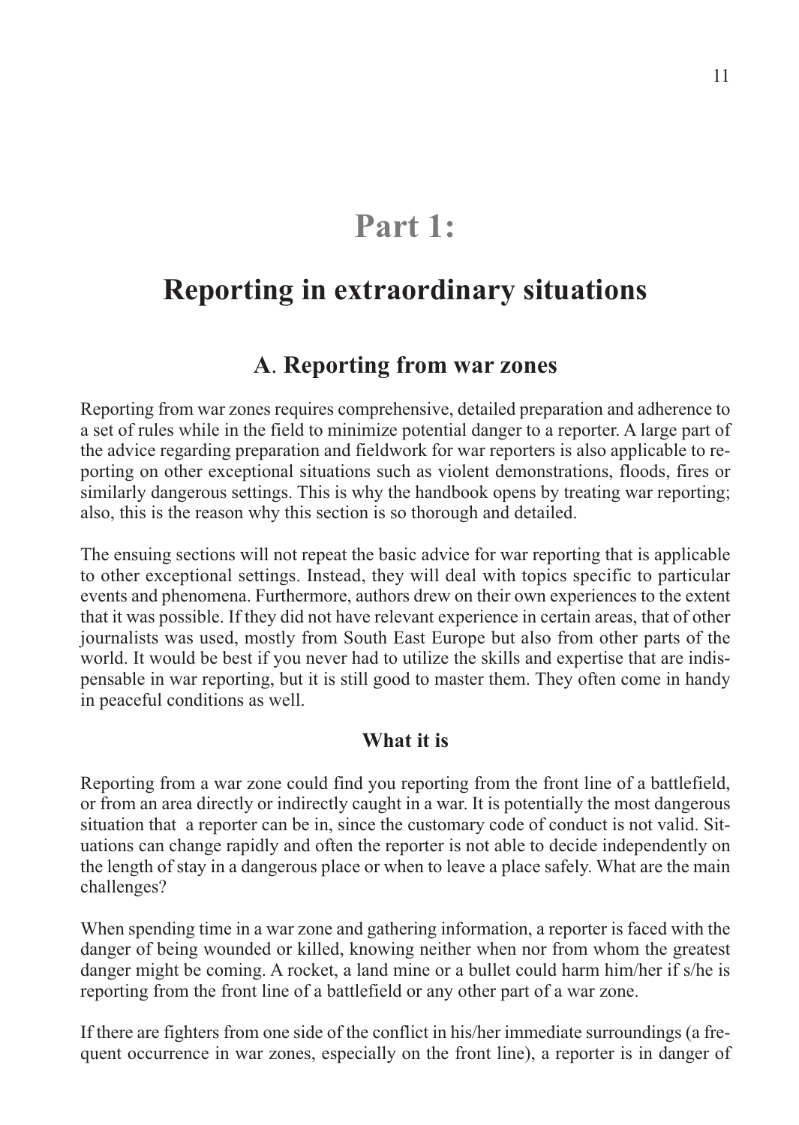## **Part 1:**

### **Reporting in extraordinary situations**

#### **A**. **Reporting from war zones**

Reporting from war zones requires comprehensive, detailed preparation and adherence to a set of rules while in the field to minimize potential danger to a reporter. A large part of the advice regarding preparation and fieldwork for war reporters is also applicable to reporting on other exceptional situations such as violent demonstrations, floods, fires or similarly dangerous settings. This is why the handbook opens by treating war reporting; also, this is the reason why this section is so thorough and detailed.

The ensuing sections will not repeat the basic advice for war reporting that is applicable to other exceptional settings. Instead, they will deal with topics specific to particular events and phenomena. Furthermore, authors drew on their own experiences to the extent that it was possible. If they did not have relevant experience in certain areas, that of other journalists was used, mostly from South East Europe but also from other parts of the world. It would be best if you never had to utilize the skills and expertise that are indispensable in war reporting, but it is still good to master them. They often come in handy in peaceful conditions as well.

#### **What it is**

Reporting from a war zone could find you reporting from the front line of a battlefield, or from an area directly or indirectly caught in a war. It is potentially the most dangerous situation that a reporter can be in, since the customary code of conduct is not valid. Situations can change rapidly and often the reporter is not able to decide independently on the length of stay in a dangerous place or when to leave a place safely. What are the main challenges?

When spending time in a war zone and gathering information, a reporter is faced with the danger of being wounded or killed, knowing neither when nor from whom the greatest danger might be coming. A rocket, a land mine or a bullet could harm him/her if s/he is reporting from the front line of a battlefield or any other part of a war zone.

If there are fighters from one side of the conflict in his/her immediate surroundings (a frequent occurrence in war zones, especially on the front line), a reporter is in danger of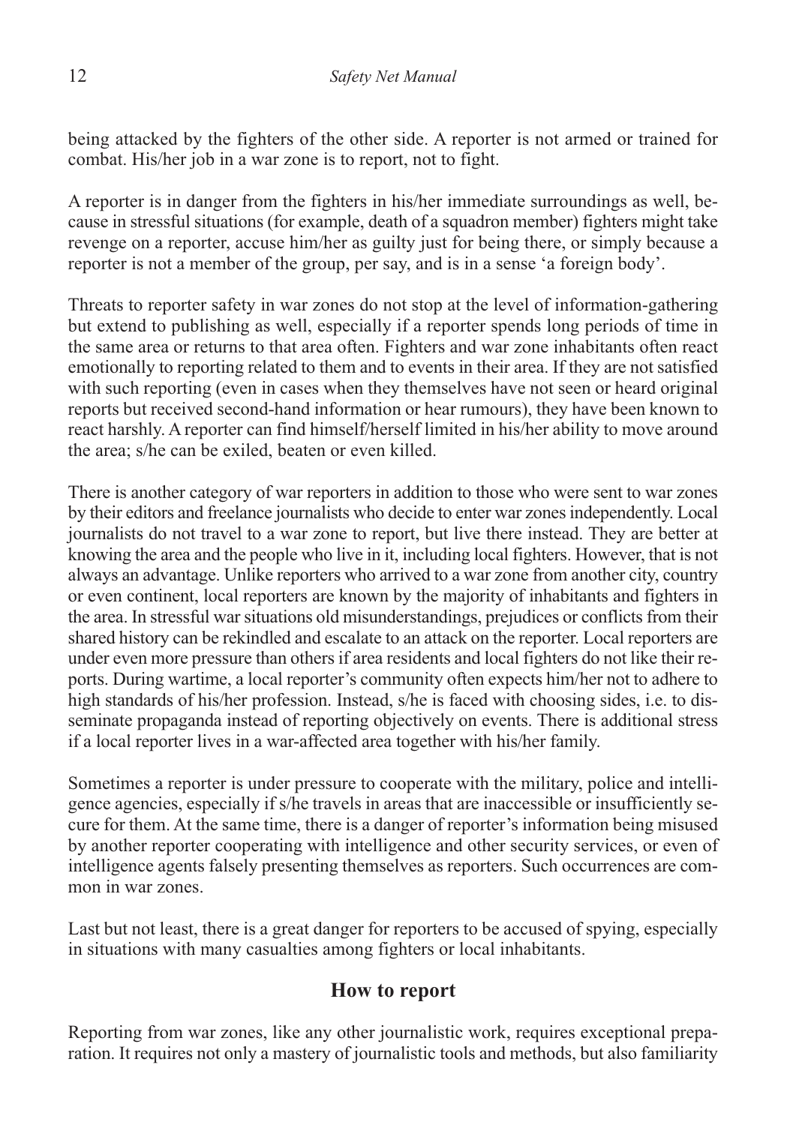being attacked by the fighters of the other side. A reporter is not armed or trained for combat. His/her job in a war zone is to report, not to fight.

A reporter is in danger from the fighters in his/her immediate surroundings as well, because in stressful situations (for example, death of a squadron member) fighters might take revenge on a reporter, accuse him/her as guilty just for being there, or simply because a reporter is not a member of the group, per say, and is in a sense 'a foreign body'.

Threats to reporter safety in war zones do not stop at the level of information-gathering but extend to publishing as well, especially if a reporter spends long periods of time in the same area or returns to that area often. Fighters and war zone inhabitants often react emotionally to reporting related to them and to events in their area. If they are not satisfied with such reporting (even in cases when they themselves have not seen or heard original reports but received second-hand information or hear rumours), they have been known to react harshly. A reporter can find himself/herself limited in his/her ability to move around the area; s/he can be exiled, beaten or even killed.

There is another category of war reporters in addition to those who were sent to war zones by their editors and freelance journalists who decide to enter war zones independently. Local journalists do not travel to a war zone to report, but live there instead. They are better at knowing the area and the people who live in it, including local fighters. However, that is not always an advantage. Unlike reporters who arrived to a war zone from another city, country or even continent, local reporters are known by the majority of inhabitants and fighters in the area. In stressful war situations old misunderstandings, prejudices or conflicts from their shared history can be rekindled and escalate to an attack on the reporter. Local reporters are under even more pressure than others if area residents and local fighters do not like their reports. During wartime, a local reporter's community often expects him/her not to adhere to high standards of his/her profession. Instead, s/he is faced with choosing sides, i.e. to disseminate propaganda instead of reporting objectively on events. There is additional stress if a local reporter lives in a war-affected area together with his/her family.

Sometimes a reporter is under pressure to cooperate with the military, police and intelligence agencies, especially if s/he travels in areas that are inaccessible or insufficiently secure for them. At the same time, there is a danger of reporter's information being misused by another reporter cooperating with intelligence and other security services, or even of intelligence agents falsely presenting themselves as reporters. Such occurrences are common in war zones.

Last but not least, there is a great danger for reporters to be accused of spying, especially in situations with many casualties among fighters or local inhabitants.

#### **How to report**

Reporting from war zones, like any other journalistic work, requires exceptional preparation. It requires not only a mastery of journalistic tools and methods, but also familiarity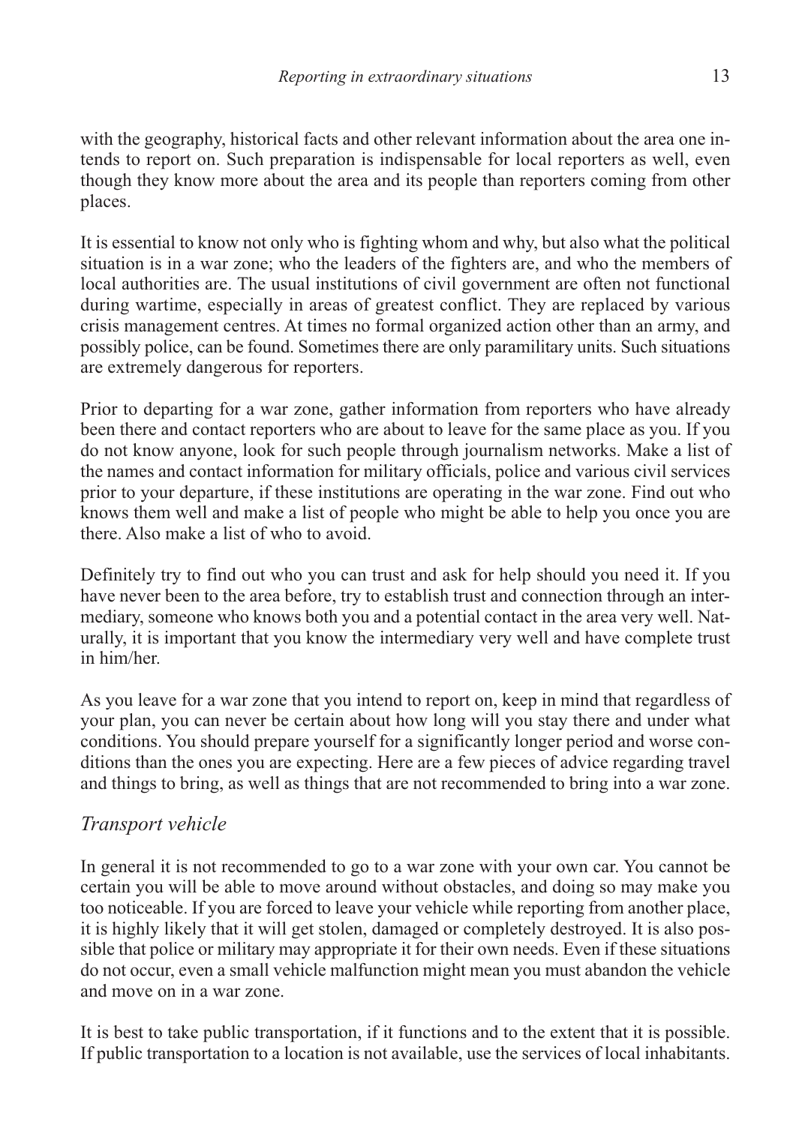with the geography, historical facts and other relevant information about the area one intends to report on. Such preparation is indispensable for local reporters as well, even though they know more about the area and its people than reporters coming from other places.

It is essential to know not only who is fighting whom and why, but also what the political situation is in a war zone; who the leaders of the fighters are, and who the members of local authorities are. The usual institutions of civil government are often not functional during wartime, especially in areas of greatest conflict. They are replaced by various crisis management centres. At times no formal organized action other than an army, and possibly police, can be found. Sometimes there are only paramilitary units. Such situations are extremely dangerous for reporters.

Prior to departing for a war zone, gather information from reporters who have already been there and contact reporters who are about to leave for the same place as you. If you do not know anyone, look for such people through journalism networks. Make a list of the names and contact information for military officials, police and various civil services prior to your departure, if these institutions are operating in the war zone. Find out who knows them well and make a list of people who might be able to help you once you are there. Also make a list of who to avoid.

Definitely try to find out who you can trust and ask for help should you need it. If you have never been to the area before, try to establish trust and connection through an intermediary, someone who knows both you and a potential contact in the area very well. Naturally, it is important that you know the intermediary very well and have complete trust in him/her.

As you leave for a war zone that you intend to report on, keep in mind that regardless of your plan, you can never be certain about how long will you stay there and under what conditions. You should prepare yourself for a significantly longer period and worse conditions than the ones you are expecting. Here are a few pieces of advice regarding travel and things to bring, as well as things that are not recommended to bring into a war zone.

#### *Transport vehicle*

In general it is not recommended to go to a war zone with your own car. You cannot be certain you will be able to move around without obstacles, and doing so may make you too noticeable. If you are forced to leave your vehicle while reporting from another place, it is highly likely that it will get stolen, damaged or completely destroyed. It is also possible that police or military may appropriate it for their own needs. Even if these situations do not occur, even a small vehicle malfunction might mean you must abandon the vehicle and move on in a war zone.

It is best to take public transportation, if it functions and to the extent that it is possible. If public transportation to a location is not available, use the services of local inhabitants.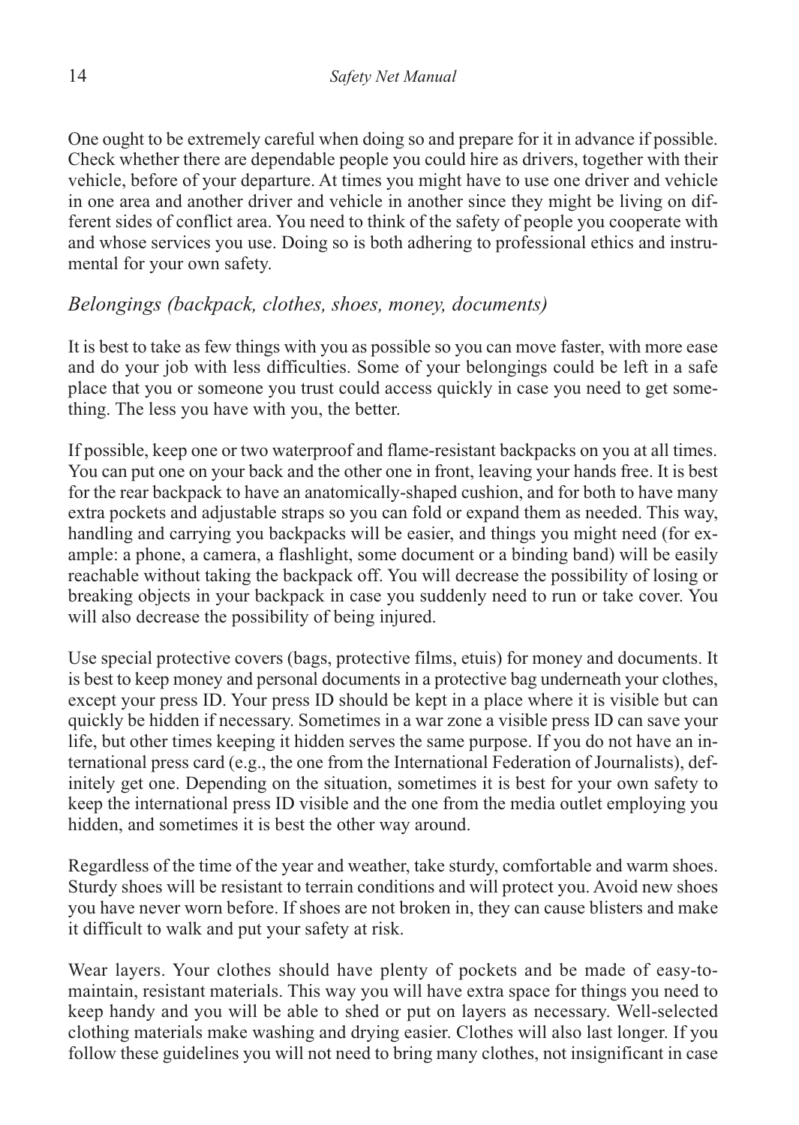One ought to be extremely careful when doing so and prepare for it in advance if possible. Check whether there are dependable people you could hire as drivers, together with their vehicle, before of your departure. At times you might have to use one driver and vehicle in one area and another driver and vehicle in another since they might be living on different sides of conflict area. You need to think of the safety of people you cooperate with and whose services you use. Doing so is both adhering to professional ethics and instrumental for your own safety.

#### *Belongings (backpack, clothes, shoes, money, documents)*

It is best to take as few things with you as possible so you can move faster, with more ease and do your job with less difficulties. Some of your belongings could be left in a safe place that you or someone you trust could access quickly in case you need to get something. The less you have with you, the better.

If possible, keep one or two waterproof and flame-resistant backpacks on you at all times. You can put one on your back and the other one in front, leaving your hands free. It is best for the rear backpack to have an anatomically-shaped cushion, and for both to have many extra pockets and adjustable straps so you can fold or expand them as needed. This way, handling and carrying you backpacks will be easier, and things you might need (for example: a phone, a camera, a flashlight, some document or a binding band) will be easily reachable without taking the backpack off. You will decrease the possibility of losing or breaking objects in your backpack in case you suddenly need to run or take cover. You will also decrease the possibility of being injured.

Use special protective covers (bags, protective films, etuis) for money and documents. It is best to keep money and personal documents in a protective bag underneath your clothes, except your press ID. Your press ID should be kept in a place where it is visible but can quickly be hidden if necessary. Sometimes in a war zone a visible press ID can save your life, but other times keeping it hidden serves the same purpose. If you do not have an international press card (e.g., the one from the International Federation of Journalists), definitely get one. Depending on the situation, sometimes it is best for your own safety to keep the international press ID visible and the one from the media outlet employing you hidden, and sometimes it is best the other way around.

Regardless of the time of the year and weather, take sturdy, comfortable and warm shoes. Sturdy shoes will be resistant to terrain conditions and will protect you. Avoid new shoes you have never worn before. If shoes are not broken in, they can cause blisters and make it difficult to walk and put your safety at risk.

Wear layers. Your clothes should have plenty of pockets and be made of easy-tomaintain, resistant materials. This way you will have extra space for things you need to keep handy and you will be able to shed or put on layers as necessary. Well-selected clothing materials make washing and drying easier. Clothes will also last longer. If you follow these guidelines you will not need to bring many clothes, not insignificant in case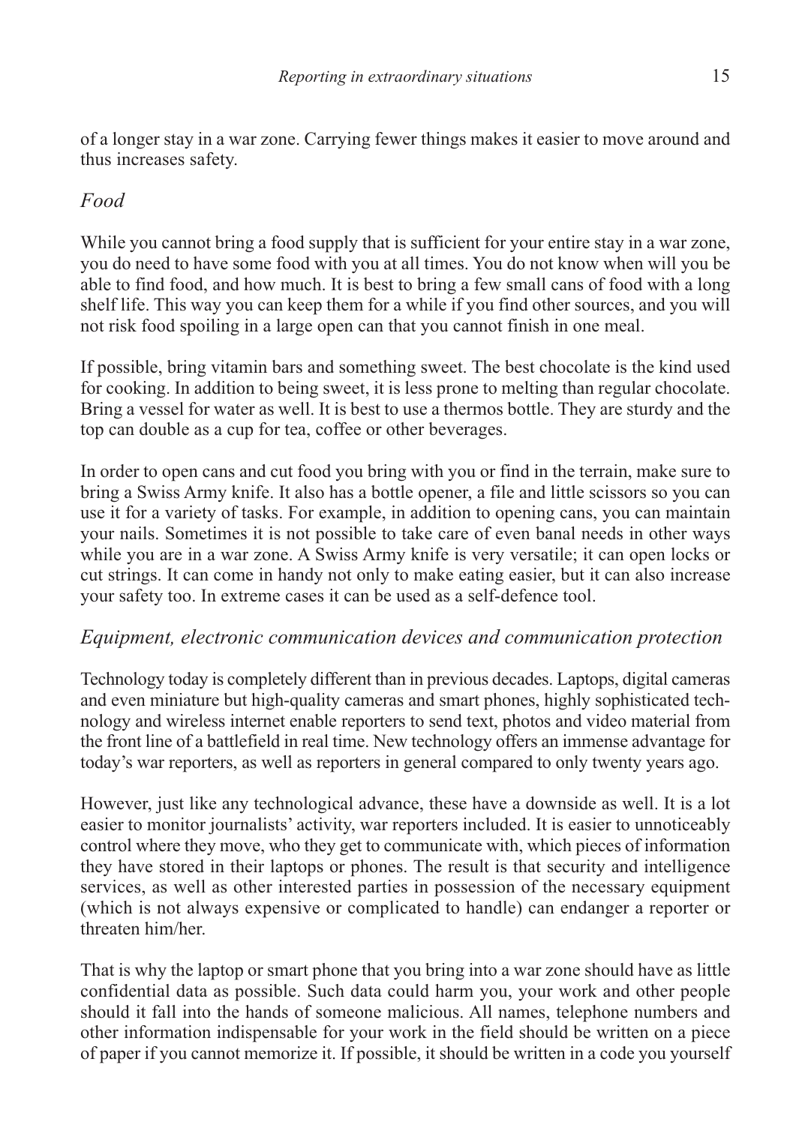of a longer stay in a war zone. Carrying fewer things makes it easier to move around and thus increases safety.

#### *Food*

While you cannot bring a food supply that is sufficient for your entire stay in a war zone, you do need to have some food with you at all times. You do not know when will you be able to find food, and how much. It is best to bring a few small cans of food with a long shelf life. This way you can keep them for a while if you find other sources, and you will not risk food spoiling in a large open can that you cannot finish in one meal.

If possible, bring vitamin bars and something sweet. The best chocolate is the kind used for cooking. In addition to being sweet, it is less prone to melting than regular chocolate. Bring a vessel for water as well. It is best to use a thermos bottle. They are sturdy and the top can double as a cup for tea, coffee or other beverages.

In order to open cans and cut food you bring with you or find in the terrain, make sure to bring a Swiss Army knife. It also has a bottle opener, a file and little scissors so you can use it for a variety of tasks. For example, in addition to opening cans, you can maintain your nails. Sometimes it is not possible to take care of even banal needs in other ways while you are in a war zone. A Swiss Army knife is very versatile; it can open locks or cut strings. It can come in handy not only to make eating easier, but it can also increase your safety too. In extreme cases it can be used as a self-defence tool.

#### *Equipment, electronic communication devices and communication protection*

Technology today is completely different than in previous decades. Laptops, digital cameras and even miniature but high-quality cameras and smart phones, highly sophisticated technology and wireless internet enable reporters to send text, photos and video material from the front line of a battlefield in real time. New technology offers an immense advantage for today's war reporters, as well as reporters in general compared to only twenty years ago.

However, just like any technological advance, these have a downside as well. It is a lot easier to monitor journalists' activity, war reporters included. It is easier to unnoticeably control where they move, who they get to communicate with, which pieces of information they have stored in their laptops or phones. The result is that security and intelligence services, as well as other interested parties in possession of the necessary equipment (which is not always expensive or complicated to handle) can endanger a reporter or threaten him/her.

That is why the laptop or smart phone that you bring into a war zone should have as little confidential data as possible. Such data could harm you, your work and other people should it fall into the hands of someone malicious. All names, telephone numbers and other information indispensable for your work in the field should be written on a piece of paper if you cannot memorize it. If possible, it should be written in a code you yourself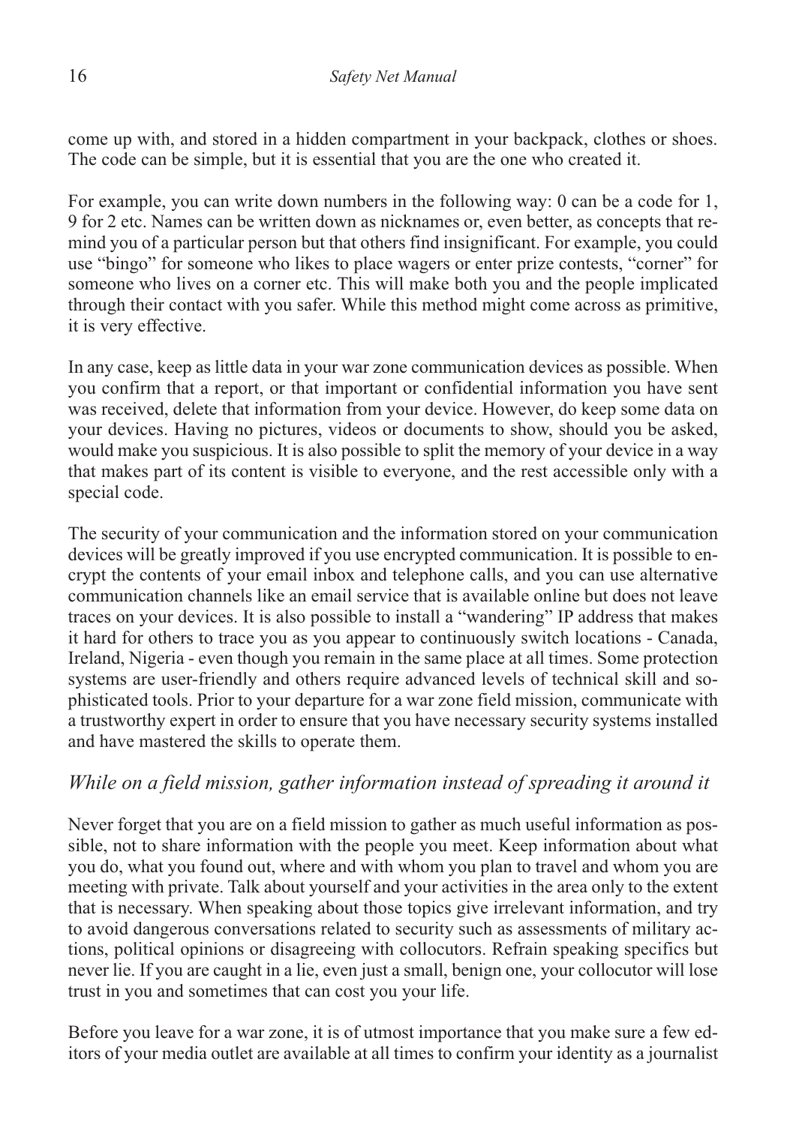come up with, and stored in a hidden compartment in your backpack, clothes or shoes. The code can be simple, but it is essential that you are the one who created it.

For example, you can write down numbers in the following way: 0 can be a code for 1, 9 for 2 etc. Names can be written down as nicknames or, even better, as concepts that remind you of a particular person but that others find insignificant. For example, you could use "bingo" for someone who likes to place wagers or enter prize contests, "corner" for someone who lives on a corner etc. This will make both you and the people implicated through their contact with you safer. While this method might come across as primitive, it is very effective.

In any case, keep as little data in your war zone communication devices as possible. When you confirm that a report, or that important or confidential information you have sent was received, delete that information from your device. However, do keep some data on your devices. Having no pictures, videos or documents to show, should you be asked, would make you suspicious. It is also possible to split the memory of your device in a way that makes part of its content is visible to everyone, and the rest accessible only with a special code.

The security of your communication and the information stored on your communication devices will be greatly improved if you use encrypted communication. It is possible to encrypt the contents of your email inbox and telephone calls, and you can use alternative communication channels like an email service that is available online but does not leave traces on your devices. It is also possible to install a "wandering" IP address that makes it hard for others to trace you as you appear to continuously switch locations - Canada, Ireland, Nigeria - even though you remain in the same place at all times. Some protection systems are user-friendly and others require advanced levels of technical skill and sophisticated tools. Prior to your departure for a war zone field mission, communicate with a trustworthy expert in order to ensure that you have necessary security systems installed and have mastered the skills to operate them.

#### *While on a field mission, gather information instead of spreading it around it*

Never forget that you are on a field mission to gather as much useful information as possible, not to share information with the people you meet. Keep information about what you do, what you found out, where and with whom you plan to travel and whom you are meeting with private. Talk about yourself and your activities in the area only to the extent that is necessary. When speaking about those topics give irrelevant information, and try to avoid dangerous conversations related to security such as assessments of military actions, political opinions or disagreeing with collocutors. Refrain speaking specifics but never lie. If you are caught in a lie, even just a small, benign one, your collocutor will lose trust in you and sometimes that can cost you your life.

Before you leave for a war zone, it is of utmost importance that you make sure a few editors of your media outlet are available at all times to confirm your identity as a journalist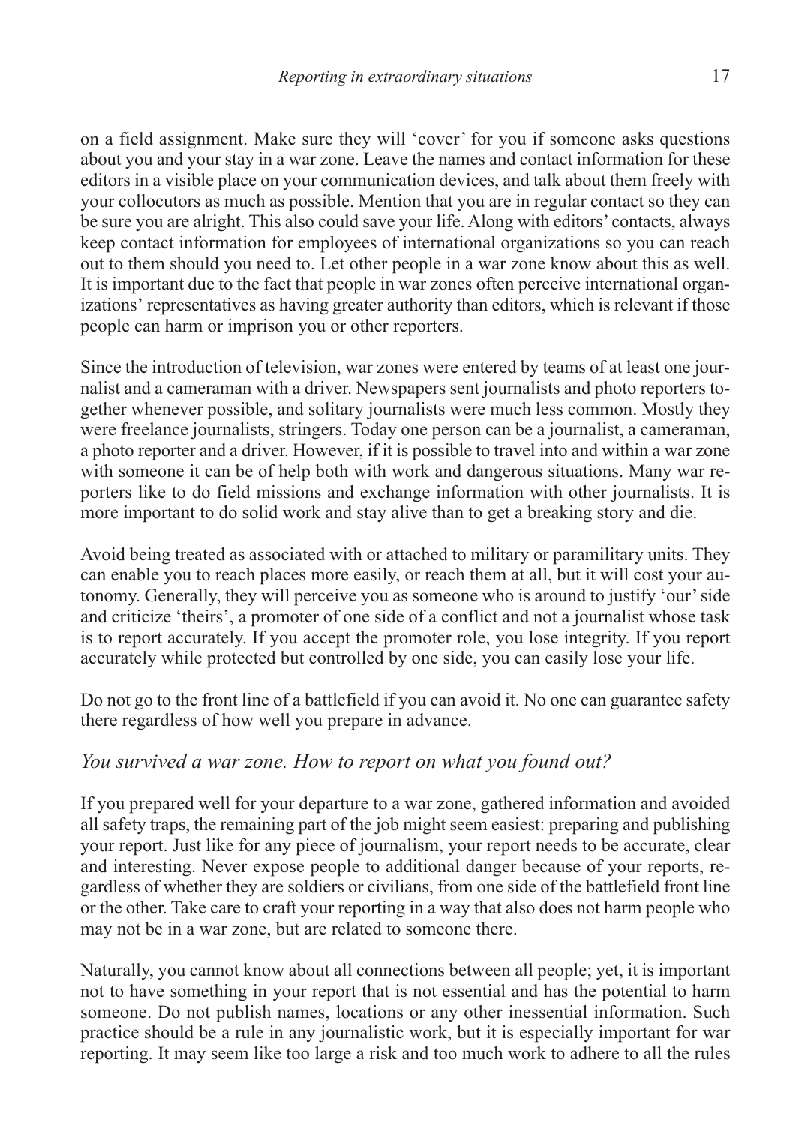on a field assignment. Make sure they will 'cover' for you if someone asks questions about you and your stay in a war zone. Leave the names and contact information for these editors in a visible place on your communication devices, and talk about them freely with your collocutors as much as possible. Mention that you are in regular contact so they can be sure you are alright. This also could save your life. Along with editors' contacts, always keep contact information for employees of international organizations so you can reach out to them should you need to. Let other people in a war zone know about this as well. It is important due to the fact that people in war zones often perceive international organizations' representatives as having greater authority than editors, which is relevant if those people can harm or imprison you or other reporters.

Since the introduction of television, war zones were entered by teams of at least one journalist and a cameraman with a driver. Newspapers sent journalists and photo reporters together whenever possible, and solitary journalists were much less common. Mostly they were freelance journalists, stringers. Today one person can be a journalist, a cameraman, a photo reporter and a driver. However, if it is possible to travel into and within a war zone with someone it can be of help both with work and dangerous situations. Many war reporters like to do field missions and exchange information with other journalists. It is more important to do solid work and stay alive than to get a breaking story and die.

Avoid being treated as associated with or attached to military or paramilitary units. They can enable you to reach places more easily, or reach them at all, but it will cost your autonomy. Generally, they will perceive you as someone who is around to justify 'our' side and criticize 'theirs', a promoter of one side of a conflict and not a journalist whose task is to report accurately. If you accept the promoter role, you lose integrity. If you report accurately while protected but controlled by one side, you can easily lose your life.

Do not go to the front line of a battlefield if you can avoid it. No one can guarantee safety there regardless of how well you prepare in advance.

#### *You survived a war zone. How to report on what you found out?*

If you prepared well for your departure to a war zone, gathered information and avoided all safety traps, the remaining part of the job might seem easiest: preparing and publishing your report. Just like for any piece of journalism, your report needs to be accurate, clear and interesting. Never expose people to additional danger because of your reports, regardless of whether they are soldiers or civilians, from one side of the battlefield front line or the other. Take care to craft your reporting in a way that also does not harm people who may not be in a war zone, but are related to someone there.

Naturally, you cannot know about all connections between all people; yet, it is important not to have something in your report that is not essential and has the potential to harm someone. Do not publish names, locations or any other inessential information. Such practice should be a rule in any journalistic work, but it is especially important for war reporting. It may seem like too large a risk and too much work to adhere to all the rules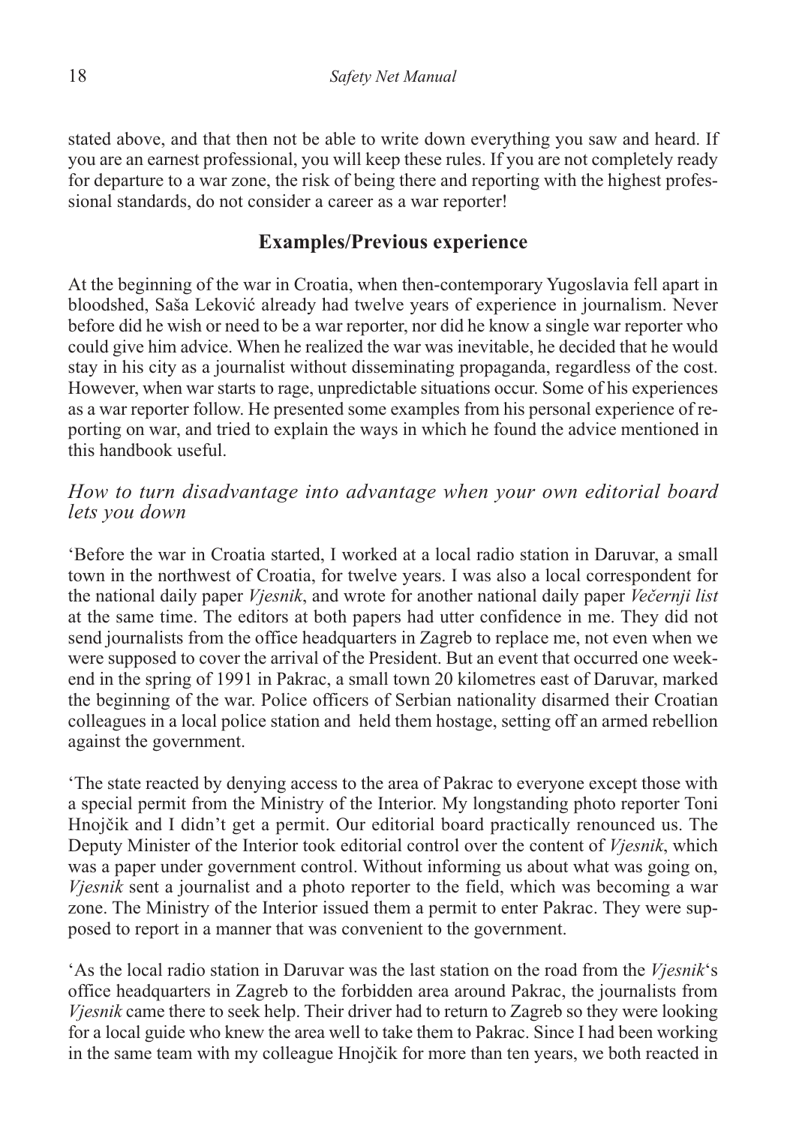stated above, and that then not be able to write down everything you saw and heard. If you are an earnest professional, you will keep these rules. If you are not completely ready for departure to a war zone, the risk of being there and reporting with the highest professional standards, do not consider a career as a war reporter!

#### **Examples/Previous experience**

At the beginning of the war in Croatia, when then-contemporary Yugoslavia fell apart in bloodshed, Saša Leković already had twelve years of experience in journalism. Never before did he wish or need to be a war reporter, nor did he know a single war reporter who could give him advice. When he realized the war was inevitable, he decided that he would stay in his city as a journalist without disseminating propaganda, regardless of the cost. However, when war starts to rage, unpredictable situations occur. Some of his experiences as a war reporter follow. He presented some examples from his personal experience of reporting on war, and tried to explain the ways in which he found the advice mentioned in this handbook useful.

#### *How to turn disadvantage into advantage when your own editorial board lets you down*

'Before the war in Croatia started, I worked at a local radio station in Daruvar, a small town in the northwest of Croatia, for twelve years. I was also a local correspondent for the national daily paper *Vjesnik*, and wrote for another national daily paper *Večernji list* at the same time. The editors at both papers had utter confidence in me. They did not send journalists from the office headquarters in Zagreb to replace me, not even when we were supposed to cover the arrival of the President. But an event that occurred one weekend in the spring of 1991 in Pakrac, a small town 20 kilometres east of Daruvar, marked the beginning of the war. Police officers of Serbian nationality disarmed their Croatian colleagues in a local police station and held them hostage, setting off an armed rebellion against the government.

'The state reacted by denying access to the area of Pakrac to everyone except those with a special permit from the Ministry of the Interior. My longstanding photo reporter Toni Hnojčik and I didn't get a permit. Our editorial board practically renounced us. The Deputy Minister of the Interior took editorial control over the content of *Vjesnik*, which was a paper under government control. Without informing us about what was going on, *Vjesnik* sent a journalist and a photo reporter to the field, which was becoming a war zone. The Ministry of the Interior issued them a permit to enter Pakrac. They were supposed to report in a manner that was convenient to the government.

'As the local radio station in Daruvar was the last station on the road from the *Vjesnik*'s office headquarters in Zagreb to the forbidden area around Pakrac, the journalists from *Vjesnik* came there to seek help. Their driver had to return to Zagreb so they were looking for a local guide who knew the area well to take them to Pakrac. Since I had been working in the same team with my colleague Hnojčik for more than ten years, we both reacted in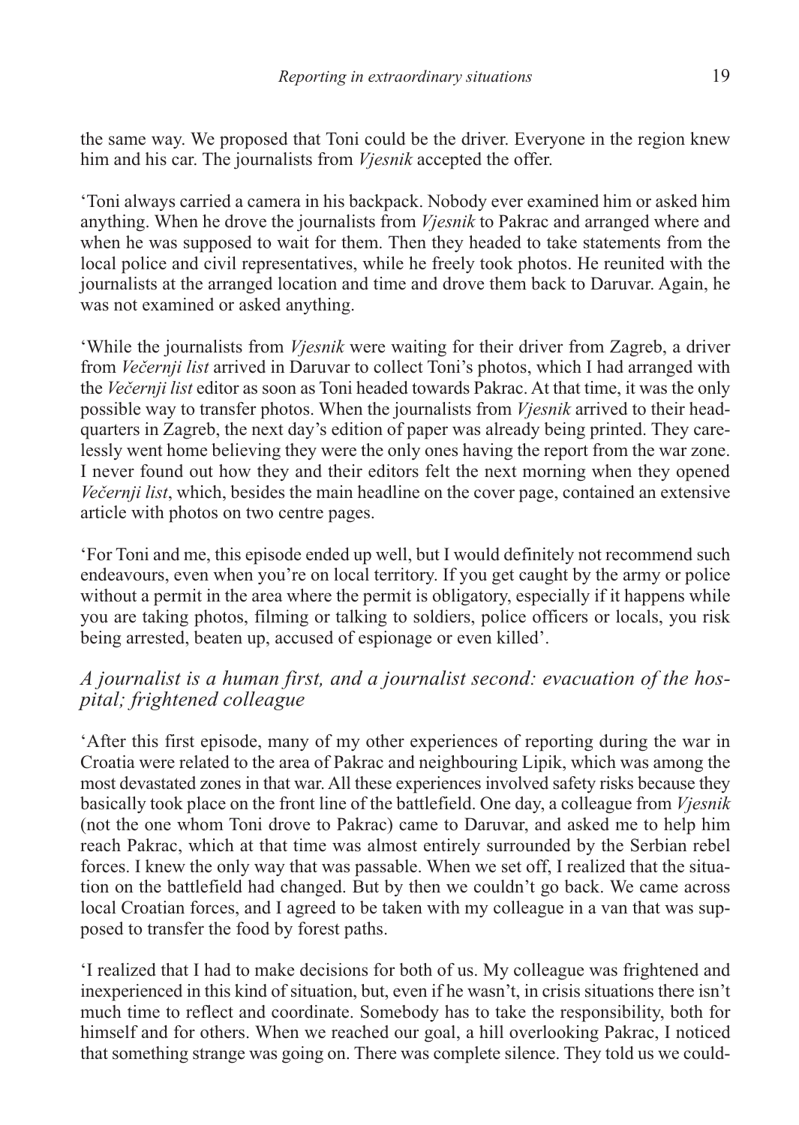the same way. We proposed that Toni could be the driver. Everyone in the region knew him and his car. The journalists from *Vjesnik* accepted the offer.

'Toni always carried a camera in his backpack. Nobody ever examined him or asked him anything. When he drove the journalists from *Vjesnik* to Pakrac and arranged where and when he was supposed to wait for them. Then they headed to take statements from the local police and civil representatives, while he freely took photos. He reunited with the journalists at the arranged location and time and drove them back to Daruvar. Again, he was not examined or asked anything.

'While the journalists from *Vjesnik* were waiting for their driver from Zagreb, a driver from *Večernji list* arrived in Daruvar to collect Toni's photos, which I had arranged with the *Večernji list* editor as soon as Toni headed towards Pakrac. At that time, it was the only possible way to transfer photos. When the journalists from *Vjesnik* arrived to their headquarters in Zagreb, the next day's edition of paper was already being printed. They carelessly went home believing they were the only ones having the report from the war zone. I never found out how they and their editors felt the next morning when they opened *Večernji list*, which, besides the main headline on the cover page, contained an extensive article with photos on two centre pages.

'For Toni and me, this episode ended up well, but I would definitely not recommend such endeavours, even when you're on local territory. If you get caught by the army or police without a permit in the area where the permit is obligatory, especially if it happens while you are taking photos, filming or talking to soldiers, police officers or locals, you risk being arrested, beaten up, accused of espionage or even killed'.

#### *A journalist is a human first, and a journalist second: evacuation of the hospital; frightened colleague*

'After this first episode, many of my other experiences of reporting during the war in Croatia were related to the area of Pakrac and neighbouring Lipik, which was among the most devastated zones in that war. All these experiences involved safety risks because they basically took place on the front line of the battlefield. One day, a colleague from *Vjesnik* (not the one whom Toni drove to Pakrac) came to Daruvar, and asked me to help him reach Pakrac, which at that time was almost entirely surrounded by the Serbian rebel forces. I knew the only way that was passable. When we set off, I realized that the situation on the battlefield had changed. But by then we couldn't go back. We came across local Croatian forces, and I agreed to be taken with my colleague in a van that was supposed to transfer the food by forest paths.

'I realized that I had to make decisions for both of us. My colleague was frightened and inexperienced in this kind of situation, but, even if he wasn't, in crisis situations there isn't much time to reflect and coordinate. Somebody has to take the responsibility, both for himself and for others. When we reached our goal, a hill overlooking Pakrac, I noticed that something strange was going on. There was complete silence. They told us we could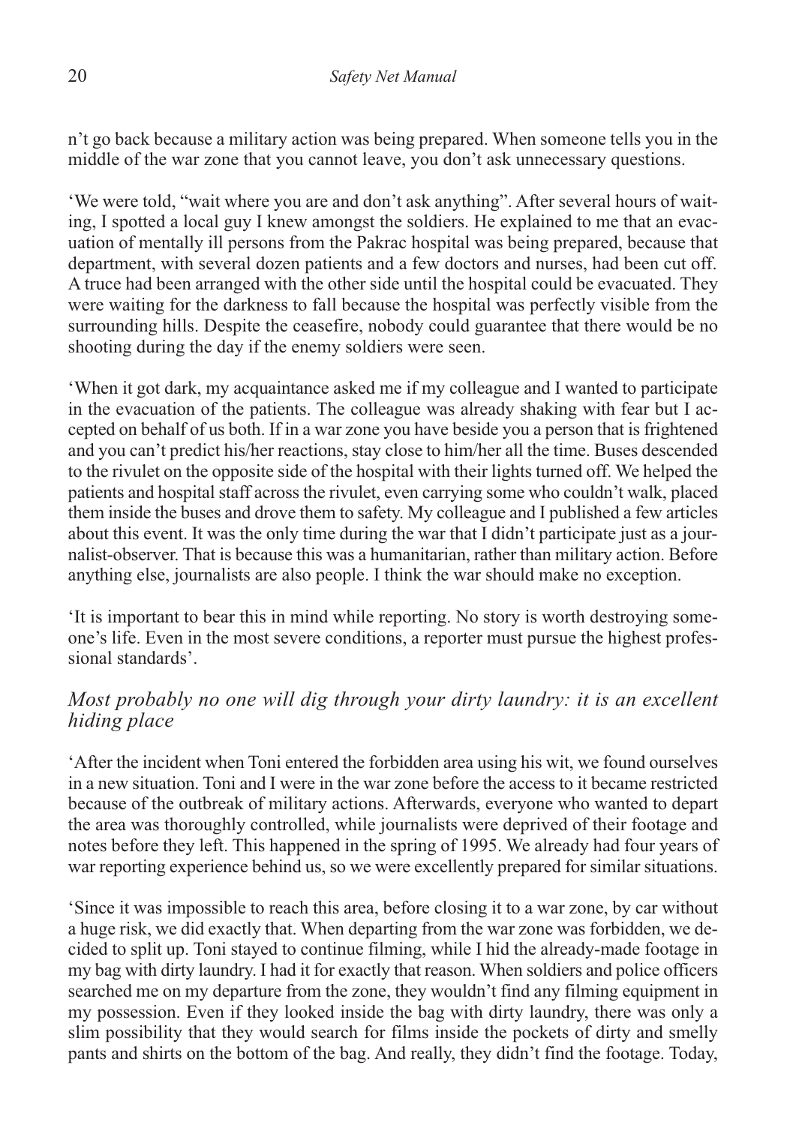n't go back because a military action was being prepared. When someone tells you in the middle of the war zone that you cannot leave, you don't ask unnecessary questions.

'We were told, "wait where you are and don't ask anything". After several hours of waiting, I spotted a local guy I knew amongst the soldiers. He explained to me that an evacuation of mentally ill persons from the Pakrac hospital was being prepared, because that department, with several dozen patients and a few doctors and nurses, had been cut off. A truce had been arranged with the other side until the hospital could be evacuated. They were waiting for the darkness to fall because the hospital was perfectly visible from the surrounding hills. Despite the ceasefire, nobody could guarantee that there would be no shooting during the day if the enemy soldiers were seen.

'When it got dark, my acquaintance asked me if my colleague and I wanted to participate in the evacuation of the patients. The colleague was already shaking with fear but I accepted on behalf of us both. If in a war zone you have beside you a person that is frightened and you can't predict his/her reactions, stay close to him/her all the time. Buses descended to the rivulet on the opposite side of the hospital with their lights turned off. We helped the patients and hospital staff across the rivulet, even carrying some who couldn't walk, placed them inside the buses and drove them to safety. My colleague and I published a few articles about this event. It was the only time during the war that I didn't participate just as a journalist-observer. That is because this was a humanitarian, rather than military action. Before anything else, journalists are also people. I think the war should make no exception.

'It is important to bear this in mind while reporting. No story is worth destroying someone's life. Even in the most severe conditions, a reporter must pursue the highest professional standards'.

#### *Most probably no one will dig through your dirty laundry: it is an excellent hiding place*

'After the incident when Toni entered the forbidden area using his wit, we found ourselves in a new situation. Toni and I were in the war zone before the access to it became restricted because of the outbreak of military actions. Afterwards, everyone who wanted to depart the area was thoroughly controlled, while journalists were deprived of their footage and notes before they left. This happened in the spring of 1995. We already had four years of war reporting experience behind us, so we were excellently prepared for similar situations.

'Since it was impossible to reach this area, before closing it to a war zone, by car without a huge risk, we did exactly that. When departing from the war zone was forbidden, we decided to split up. Toni stayed to continue filming, while I hid the already-made footage in my bag with dirty laundry. I had it for exactly that reason. When soldiers and police officers searched me on my departure from the zone, they wouldn't find any filming equipment in my possession. Even if they looked inside the bag with dirty laundry, there was only a slim possibility that they would search for films inside the pockets of dirty and smelly pants and shirts on the bottom of the bag. And really, they didn't find the footage. Today,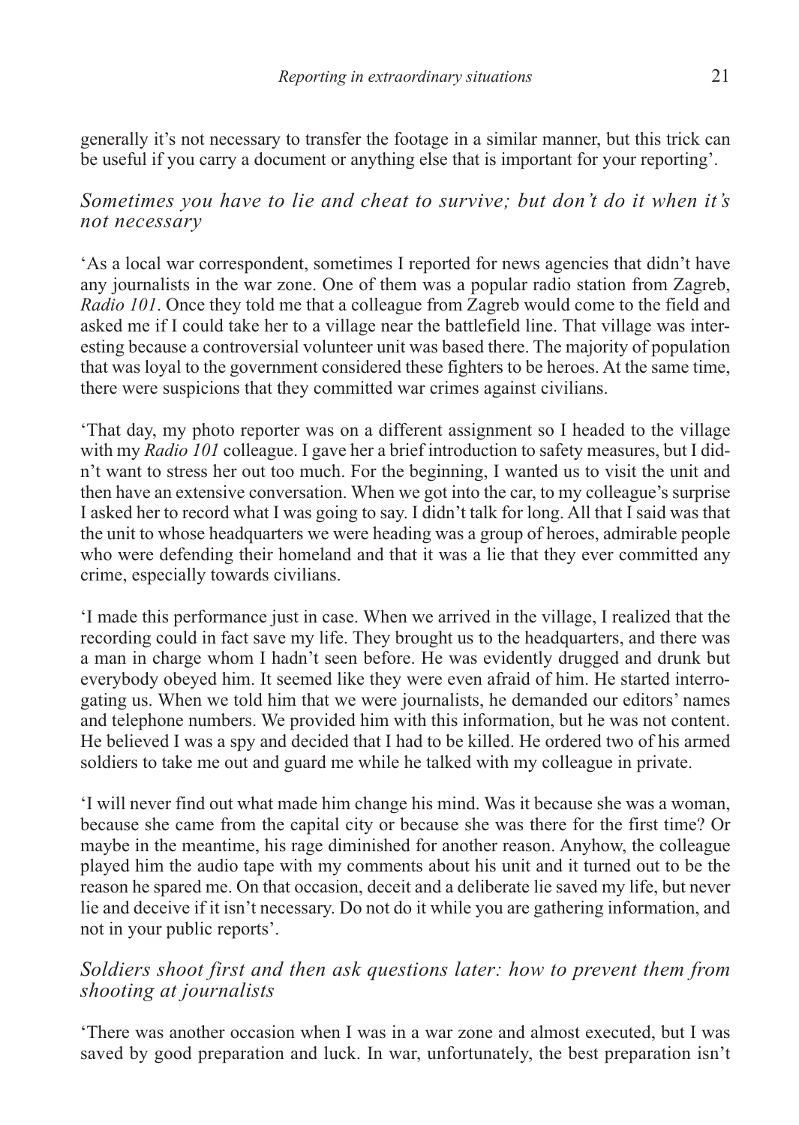generally it's not necessary to transfer the footage in a similar manner, but this trick can be useful if you carry a document or anything else that is important for your reporting'.

*Sometimes you have to lie and cheat to survive; but don't do it when it's not necessary*

'As a local war correspondent, sometimes I reported for news agencies that didn't have any journalists in the war zone. One of them was a popular radio station from Zagreb, *Radio 101*. Once they told me that a colleague from Zagreb would come to the field and asked me if I could take her to a village near the battlefield line. That village was interesting because a controversial volunteer unit was based there. The majority of population that was loyal to the government considered these fighters to be heroes. At the same time, there were suspicions that they committed war crimes against civilians.

'That day, my photo reporter was on a different assignment so I headed to the village with my *Radio 101* colleague. I gave her a brief introduction to safety measures, but I didn't want to stress her out too much. For the beginning, I wanted us to visit the unit and then have an extensive conversation. When we got into the car, to my colleague's surprise I asked her to record what I was going to say. I didn't talk for long. All that I said was that the unit to whose headquarters we were heading was a group of heroes, admirable people who were defending their homeland and that it was a lie that they ever committed any crime, especially towards civilians.

'I made this performance just in case. When we arrived in the village, I realized that the recording could in fact save my life. They brought us to the headquarters, and there was a man in charge whom I hadn't seen before. He was evidently drugged and drunk but everybody obeyed him. It seemed like they were even afraid of him. He started interrogating us. When we told him that we were journalists, he demanded our editors' names and telephone numbers. We provided him with this information, but he was not content. He believed I was a spy and decided that I had to be killed. He ordered two of his armed soldiers to take me out and guard me while he talked with my colleague in private.

'I will never find out what made him change his mind. Was it because she was a woman, because she came from the capital city or because she was there for the first time? Or maybe in the meantime, his rage diminished for another reason. Anyhow, the colleague played him the audio tape with my comments about his unit and it turned out to be the reason he spared me. On that occasion, deceit and a deliberate lie saved my life, but never lie and deceive if it isn't necessary. Do not do it while you are gathering information, and not in your public reports'.

#### *Soldiers shoot first and then ask questions later: how to prevent them from shooting at journalists*

'There was another occasion when I was in a war zone and almost executed, but I was saved by good preparation and luck. In war, unfortunately, the best preparation isn't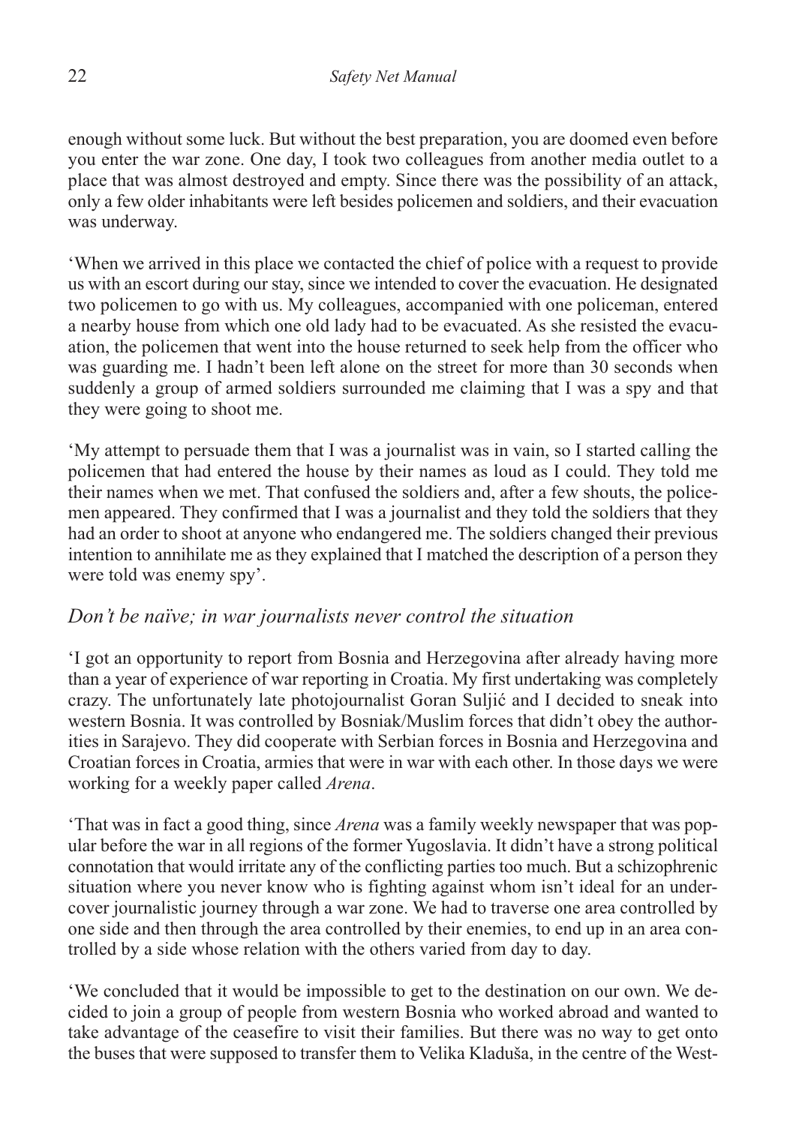enough without some luck. But without the best preparation, you are doomed even before you enter the war zone. One day, I took two colleagues from another media outlet to a place that was almost destroyed and empty. Since there was the possibility of an attack, only a few older inhabitants were left besides policemen and soldiers, and their evacuation was underway.

'When we arrived in this place we contacted the chief of police with a request to provide us with an escort during our stay, since we intended to cover the evacuation. He designated two policemen to go with us. My colleagues, accompanied with one policeman, entered a nearby house from which one old lady had to be evacuated. As she resisted the evacuation, the policemen that went into the house returned to seek help from the officer who was guarding me. I hadn't been left alone on the street for more than 30 seconds when suddenly a group of armed soldiers surrounded me claiming that I was a spy and that they were going to shoot me.

'My attempt to persuade them that I was a journalist was in vain, so I started calling the policemen that had entered the house by their names as loud as I could. They told me their names when we met. That confused the soldiers and, after a few shouts, the policemen appeared. They confirmed that I was a journalist and they told the soldiers that they had an order to shoot at anyone who endangered me. The soldiers changed their previous intention to annihilate me as they explained that I matched the description of a person they were told was enemy spy'.

#### *Don't be naïve; in war journalists never control the situation*

'I got an opportunity to report from Bosnia and Herzegovina after already having more than a year of experience of war reporting in Croatia. My first undertaking was completely crazy. The unfortunately late photojournalist Goran Suljić and I decided to sneak into western Bosnia. It was controlled by Bosniak/Muslim forces that didn't obey the authorities in Sarajevo. They did cooperate with Serbian forces in Bosnia and Herzegovina and Croatian forces in Croatia, armies that were in war with each other. In those days we were working for a weekly paper called *Arena*.

'That was in fact a good thing, since *Arena* was a family weekly newspaper that was popular before the war in all regions of the former Yugoslavia. It didn't have a strong political connotation that would irritate any of the conflicting parties too much. But a schizophrenic situation where you never know who is fighting against whom isn't ideal for an undercover journalistic journey through a war zone. We had to traverse one area controlled by one side and then through the area controlled by their enemies, to end up in an area controlled by a side whose relation with the others varied from day to day.

'We concluded that it would be impossible to get to the destination on our own. We decided to join a group of people from western Bosnia who worked abroad and wanted to take advantage of the ceasefire to visit their families. But there was no way to get onto the buses that were supposed to transfer them to Velika Kladuša, in the centre of the West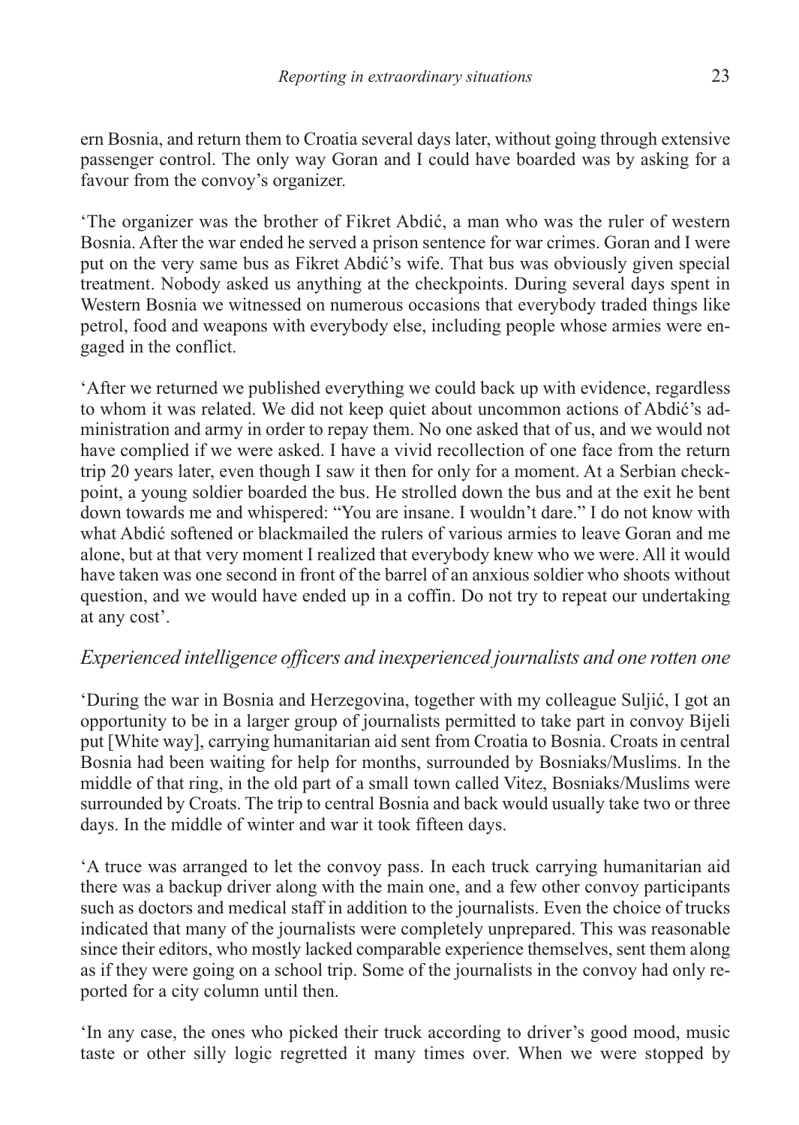ern Bosnia, and return them to Croatia several days later, without going through extensive passenger control. The only way Goran and I could have boarded was by asking for a favour from the convoy's organizer.

'The organizer was the brother of Fikret Abdić, a man who was the ruler of western Bosnia. After the war ended he served a prison sentence for war crimes. Goran and I were put on the very same bus as Fikret Abdić's wife. That bus was obviously given special treatment. Nobody asked us anything at the checkpoints. During several days spent in Western Bosnia we witnessed on numerous occasions that everybody traded things like petrol, food and weapons with everybody else, including people whose armies were engaged in the conflict.

'After we returned we published everything we could back up with evidence, regardless to whom it was related. We did not keep quiet about uncommon actions of Abdić's administration and army in order to repay them. No one asked that of us, and we would not have complied if we were asked. I have a vivid recollection of one face from the return trip 20 years later, even though I saw it then for only for a moment. At a Serbian checkpoint, a young soldier boarded the bus. He strolled down the bus and at the exit he bent down towards me and whispered: "You are insane. I wouldn't dare." I do not know with what Abdić softened or blackmailed the rulers of various armies to leave Goran and me alone, but at that very moment I realized that everybody knew who we were. All it would have taken was one second in front of the barrel of an anxious soldier who shoots without question, and we would have ended up in a coffin. Do not try to repeat our undertaking at any cost'.

#### *Experienced intelligence officers and inexperienced journalists and one rotten one*

'During the war in Bosnia and Herzegovina, together with my colleague Suljić, I got an opportunity to be in a larger group of journalists permitted to take part in convoy Bijeli put [White way], carrying humanitarian aid sent from Croatia to Bosnia. Croats in central Bosnia had been waiting for help for months, surrounded by Bosniaks/Muslims. In the middle of that ring, in the old part of a small town called Vitez, Bosniaks/Muslims were surrounded by Croats. The trip to central Bosnia and back would usually take two or three days. In the middle of winter and war it took fifteen days.

'A truce was arranged to let the convoy pass. In each truck carrying humanitarian aid there was a backup driver along with the main one, and a few other convoy participants such as doctors and medical staff in addition to the journalists. Even the choice of trucks indicated that many of the journalists were completely unprepared. This was reasonable since their editors, who mostly lacked comparable experience themselves, sent them along as if they were going on a school trip. Some of the journalists in the convoy had only reported for a city column until then.

'In any case, the ones who picked their truck according to driver's good mood, music taste or other silly logic regretted it many times over. When we were stopped by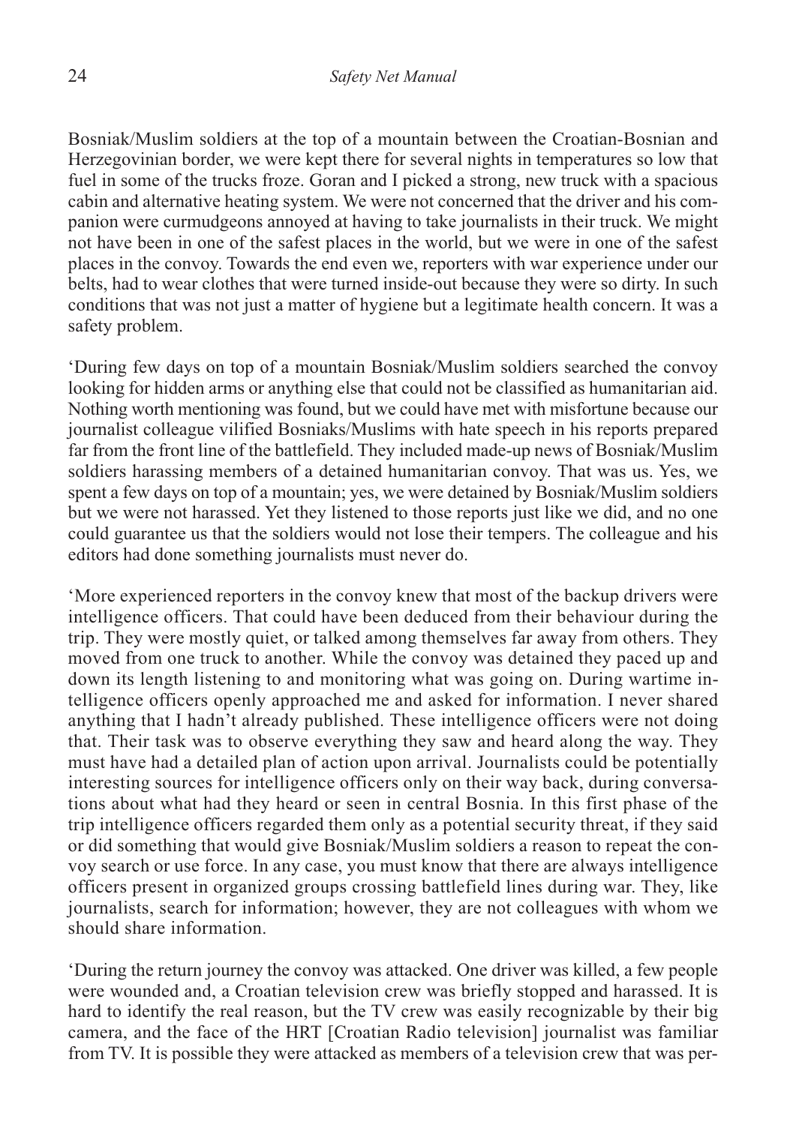Bosniak/Muslim soldiers at the top of a mountain between the Croatian-Bosnian and Herzegovinian border, we were kept there for several nights in temperatures so low that fuel in some of the trucks froze. Goran and I picked a strong, new truck with a spacious cabin and alternative heating system. We were not concerned that the driver and his companion were curmudgeons annoyed at having to take journalists in their truck. We might not have been in one of the safest places in the world, but we were in one of the safest places in the convoy. Towards the end even we, reporters with war experience under our belts, had to wear clothes that were turned inside-out because they were so dirty. In such conditions that was not just a matter of hygiene but a legitimate health concern. It was a safety problem.

'During few days on top of a mountain Bosniak/Muslim soldiers searched the convoy looking for hidden arms or anything else that could not be classified as humanitarian aid. Nothing worth mentioning was found, but we could have met with misfortune because our journalist colleague vilified Bosniaks/Muslims with hate speech in his reports prepared far from the front line of the battlefield. They included made-up news of Bosniak/Muslim soldiers harassing members of a detained humanitarian convoy. That was us. Yes, we spent a few days on top of a mountain; yes, we were detained by Bosniak/Muslim soldiers but we were not harassed. Yet they listened to those reports just like we did, and no one could guarantee us that the soldiers would not lose their tempers. The colleague and his editors had done something journalists must never do.

'More experienced reporters in the convoy knew that most of the backup drivers were intelligence officers. That could have been deduced from their behaviour during the trip. They were mostly quiet, or talked among themselves far away from others. They moved from one truck to another. While the convoy was detained they paced up and down its length listening to and monitoring what was going on. During wartime intelligence officers openly approached me and asked for information. I never shared anything that I hadn't already published. These intelligence officers were not doing that. Their task was to observe everything they saw and heard along the way. They must have had a detailed plan of action upon arrival. Journalists could be potentially interesting sources for intelligence officers only on their way back, during conversations about what had they heard or seen in central Bosnia. In this first phase of the trip intelligence officers regarded them only as a potential security threat, if they said or did something that would give Bosniak/Muslim soldiers a reason to repeat the convoy search or use force. In any case, you must know that there are always intelligence officers present in organized groups crossing battlefield lines during war. They, like journalists, search for information; however, they are not colleagues with whom we should share information.

'During the return journey the convoy was attacked. One driver was killed, a few people were wounded and, a Croatian television crew was briefly stopped and harassed. It is hard to identify the real reason, but the TV crew was easily recognizable by their big camera, and the face of the HRT [Croatian Radio television] journalist was familiar from TV. It is possible they were attacked as members of a television crew that was per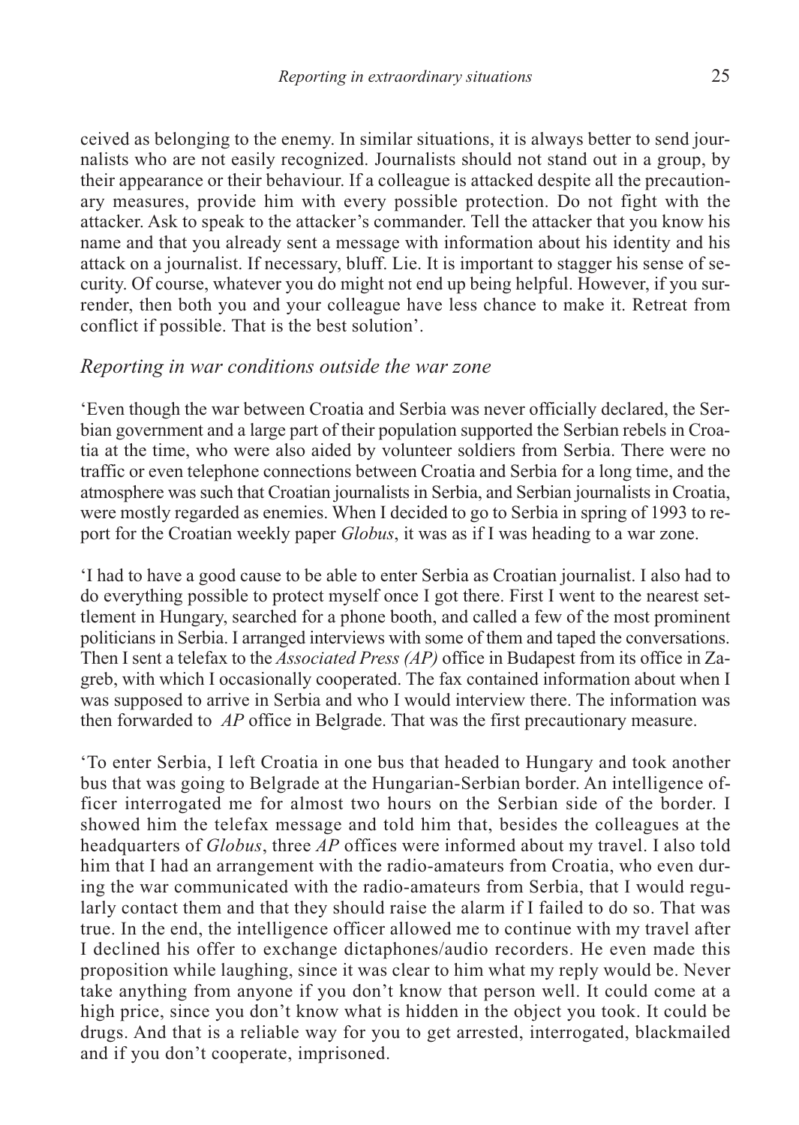ceived as belonging to the enemy. In similar situations, it is always better to send journalists who are not easily recognized. Journalists should not stand out in a group, by their appearance or their behaviour. If a colleague is attacked despite all the precautionary measures, provide him with every possible protection. Do not fight with the attacker. Ask to speak to the attacker's commander. Tell the attacker that you know his name and that you already sent a message with information about his identity and his attack on a journalist. If necessary, bluff. Lie. It is important to stagger his sense of security. Of course, whatever you do might not end up being helpful. However, if you surrender, then both you and your colleague have less chance to make it. Retreat from conflict if possible. That is the best solution'.

#### *Reporting in war conditions outside the war zone*

'Even though the war between Croatia and Serbia was never officially declared, the Serbian government and a large part of their population supported the Serbian rebels in Croatia at the time, who were also aided by volunteer soldiers from Serbia. There were no traffic or even telephone connections between Croatia and Serbia for a long time, and the atmosphere was such that Croatian journalists in Serbia, and Serbian journalists in Croatia, were mostly regarded as enemies. When I decided to go to Serbia in spring of 1993 to report for the Croatian weekly paper *Globus*, it was as if I was heading to a war zone.

'I had to have a good cause to be able to enter Serbia as Croatian journalist. I also had to do everything possible to protect myself once I got there. First I went to the nearest settlement in Hungary, searched for a phone booth, and called a few of the most prominent politicians in Serbia. I arranged interviews with some of them and taped the conversations. Then I sent a telefax to the *Associated Press (AP)* office in Budapest from its office in Zagreb, with which I occasionally cooperated. The fax contained information about when I was supposed to arrive in Serbia and who I would interview there. The information was then forwarded to *AP* office in Belgrade. That was the first precautionary measure.

'To enter Serbia, I left Croatia in one bus that headed to Hungary and took another bus that was going to Belgrade at the Hungarian-Serbian border. An intelligence officer interrogated me for almost two hours on the Serbian side of the border. I showed him the telefax message and told him that, besides the colleagues at the headquarters of *Globus*, three *AP* offices were informed about my travel. I also told him that I had an arrangement with the radio-amateurs from Croatia, who even during the war communicated with the radio-amateurs from Serbia, that I would regularly contact them and that they should raise the alarm if I failed to do so. That was true. In the end, the intelligence officer allowed me to continue with my travel after I declined his offer to exchange dictaphones/audio recorders. He even made this proposition while laughing, since it was clear to him what my reply would be. Never take anything from anyone if you don't know that person well. It could come at a high price, since you don't know what is hidden in the object you took. It could be drugs. And that is a reliable way for you to get arrested, interrogated, blackmailed and if you don't cooperate, imprisoned.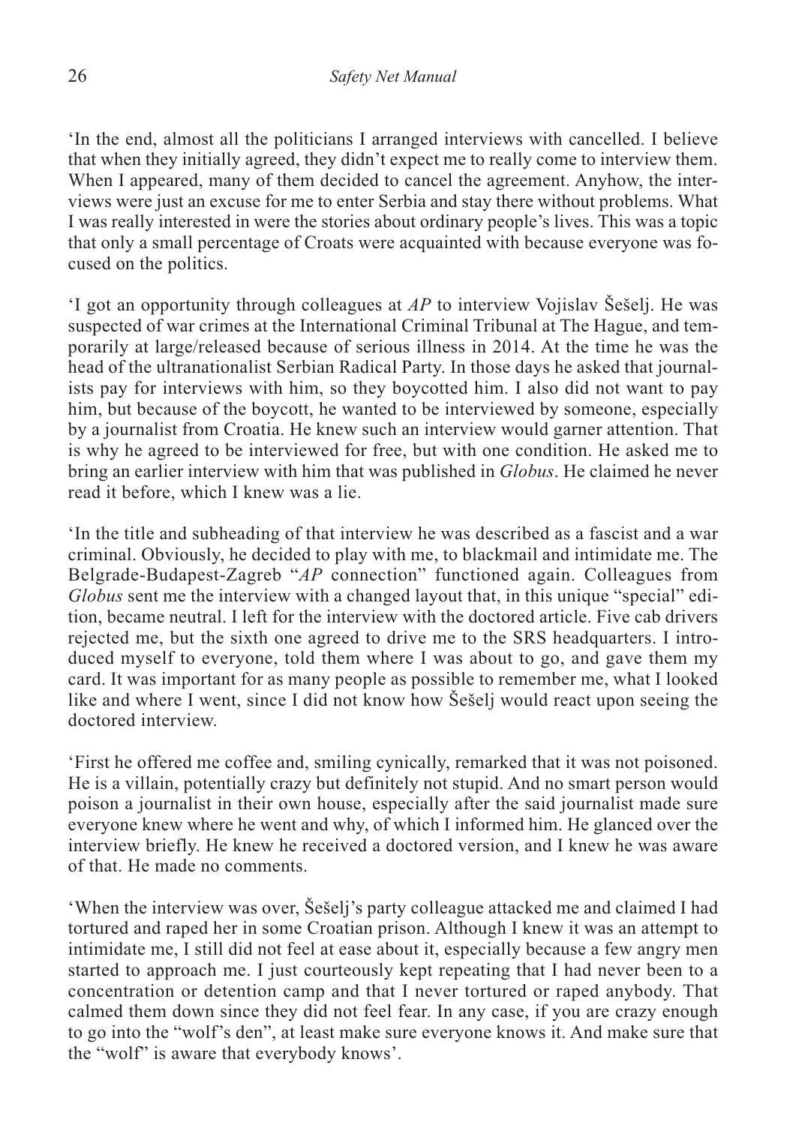'In the end, almost all the politicians I arranged interviews with cancelled. I believe that when they initially agreed, they didn't expect me to really come to interview them. When I appeared, many of them decided to cancel the agreement. Anyhow, the interviews were just an excuse for me to enter Serbia and stay there without problems. What I was really interested in were the stories about ordinary people's lives. This was a topic that only a small percentage of Croats were acquainted with because everyone was focused on the politics.

'I got an opportunity through colleagues at *AP* to interview Vojislav Šešelj. He was suspected of war crimes at the International Criminal Tribunal at The Hague, and temporarily at large/released because of serious illness in 2014. At the time he was the head of the ultranationalist Serbian Radical Party. In those days he asked that journalists pay for interviews with him, so they boycotted him. I also did not want to pay him, but because of the boycott, he wanted to be interviewed by someone, especially by a journalist from Croatia. He knew such an interview would garner attention. That is why he agreed to be interviewed for free, but with one condition. He asked me to bring an earlier interview with him that was published in *Globus*. He claimed he never read it before, which I knew was a lie.

'In the title and subheading of that interview he was described as a fascist and a war criminal. Obviously, he decided to play with me, to blackmail and intimidate me. The Belgrade-Budapest-Zagreb "*AP* connection" functioned again. Colleagues from *Globus* sent me the interview with a changed layout that, in this unique "special" edition, became neutral. I left for the interview with the doctored article. Five cab drivers rejected me, but the sixth one agreed to drive me to the SRS headquarters. I introduced myself to everyone, told them where I was about to go, and gave them my card. It was important for as many people as possible to remember me, what I looked like and where I went, since I did not know how Šešelj would react upon seeing the doctored interview.

'First he offered me coffee and, smiling cynically, remarked that it was not poisoned. He is a villain, potentially crazy but definitely not stupid. And no smart person would poison a journalist in their own house, especially after the said journalist made sure everyone knew where he went and why, of which I informed him. He glanced over the interview briefly. He knew he received a doctored version, and I knew he was aware of that. He made no comments.

'When the interview was over, Šešelj's party colleague attacked me and claimed I had tortured and raped her in some Croatian prison. Although I knew it was an attempt to intimidate me, I still did not feel at ease about it, especially because a few angry men started to approach me. I just courteously kept repeating that I had never been to a concentration or detention camp and that I never tortured or raped anybody. That calmed them down since they did not feel fear. In any case, if you are crazy enough to go into the "wolf's den", at least make sure everyone knows it. And make sure that the "wolf" is aware that everybody knows'.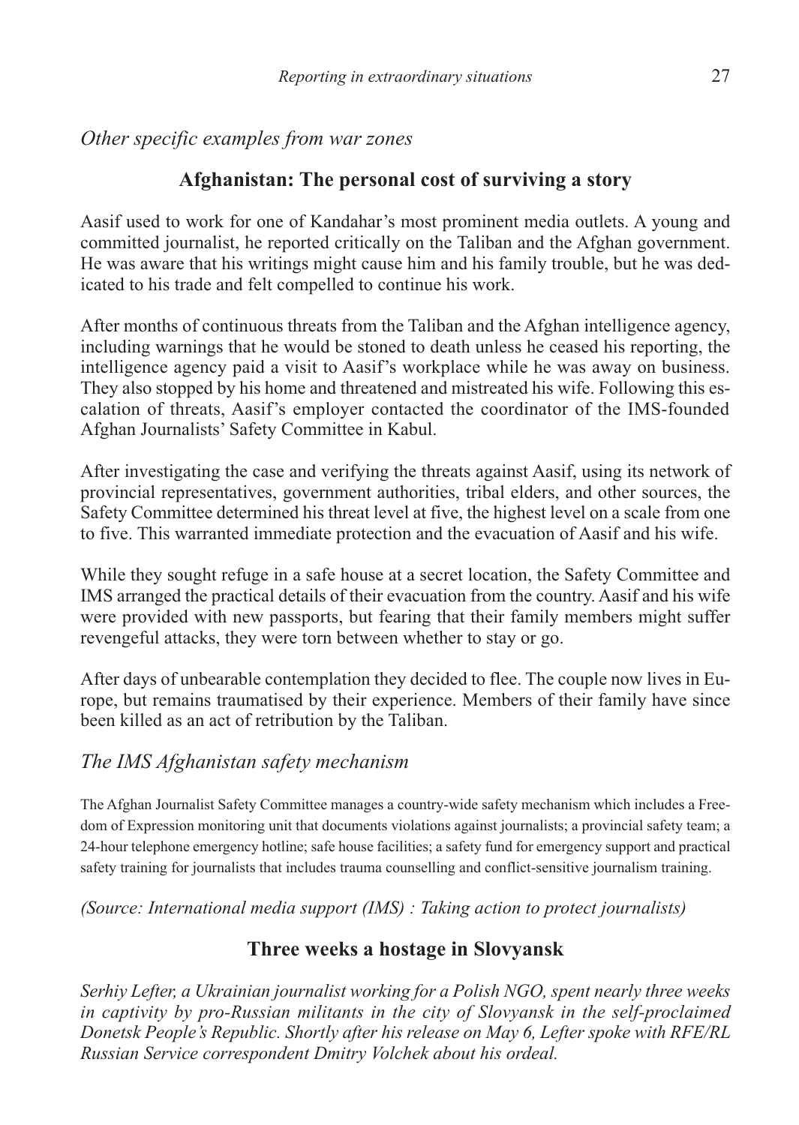*Other specific examples from war zones*

#### **Afghanistan: The personal cost of surviving a story**

Aasif used to work for one of Kandahar's most prominent media outlets. A young and committed journalist, he reported critically on the Taliban and the Afghan government. He was aware that his writings might cause him and his family trouble, but he was dedicated to his trade and felt compelled to continue his work.

After months of continuous threats from the Taliban and the Afghan intelligence agency, including warnings that he would be stoned to death unless he ceased his reporting, the intelligence agency paid a visit to Aasif's workplace while he was away on business. They also stopped by his home and threatened and mistreated his wife. Following this escalation of threats, Aasif's employer contacted the coordinator of the IMS-founded Afghan Journalists' Safety Committee in Kabul.

After investigating the case and verifying the threats against Aasif, using its network of provincial representatives, government authorities, tribal elders, and other sources, the Safety Committee determined his threat level at five, the highest level on a scale from one to five. This warranted immediate protection and the evacuation of Aasif and his wife.

While they sought refuge in a safe house at a secret location, the Safety Committee and IMS arranged the practical details of their evacuation from the country. Aasif and his wife were provided with new passports, but fearing that their family members might suffer revengeful attacks, they were torn between whether to stay or go.

After days of unbearable contemplation they decided to flee. The couple now lives in Europe, but remains traumatised by their experience. Members of their family have since been killed as an act of retribution by the Taliban.

#### *The IMS Afghanistan safety mechanism*

The Afghan Journalist Safety Committee manages a country-wide safety mechanism which includes a Freedom of Expression monitoring unit that documents violations against journalists; a provincial safety team; a 24-hour telephone emergency hotline; safe house facilities; a safety fund for emergency support and practical safety training for journalists that includes trauma counselling and conflict-sensitive journalism training.

*(Source: International media support (IMS) : Taking action to protect journalists)*

#### **Three weeks a hostage in Slovyansk**

*Serhiy Lefter, a Ukrainian journalist working for a Polish NGO, spent nearly three weeks in captivity by pro-Russian militants in the city of Slovyansk in the self-proclaimed Donetsk People's Republic. Shortly after his release on May 6, Lefter spoke with RFE/RL Russian Service correspondent Dmitry Volchek about his ordeal.*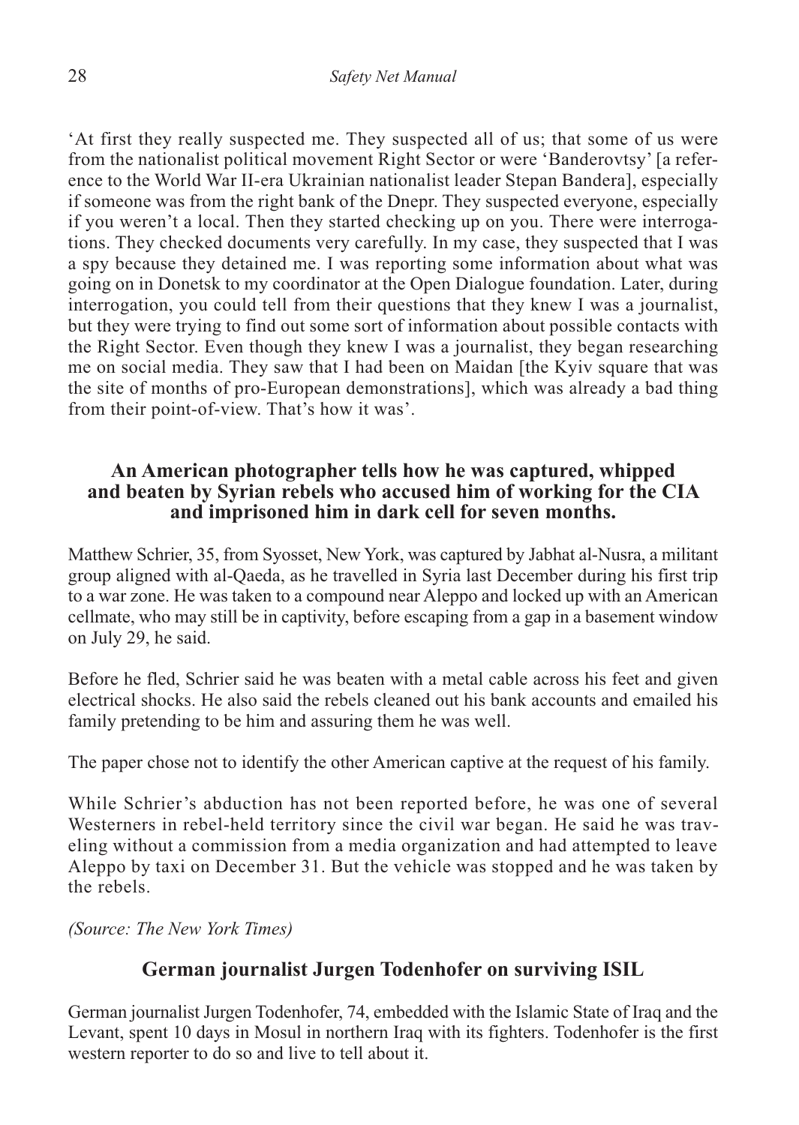'At first they really suspected me. They suspected all of us; that some of us were from the nationalist political movement Right Sector or were 'Banderovtsy' [a reference to the World War II-era Ukrainian nationalist leader Stepan Bandera], especially if someone was from the right bank of the Dnepr. They suspected everyone, especially if you weren't a local. Then they started checking up on you. There were interrogations. They checked documents very carefully. In my case, they suspected that I was a spy because they detained me. I was reporting some information about what was going on in Donetsk to my coordinator at the Open Dialogue foundation. Later, during interrogation, you could tell from their questions that they knew I was a journalist, but they were trying to find out some sort of information about possible contacts with the Right Sector. Even though they knew I was a journalist, they began researching me on social media. They saw that I had been on Maidan [the Kyiv square that was the site of months of pro-European demonstrations], which was already a bad thing from their point-of-view. That's how it was'.

#### **An American photographer tells how he was captured, whipped and beaten by Syrian rebels who accused him of working for the CIA and imprisoned him in dark cell for seven months.**

Matthew Schrier, 35, from Syosset, New York, was captured by Jabhat al-Nusra, a militant group aligned with al-Qaeda, as he travelled in Syria last December during his first trip to a war zone. He was taken to a compound near Aleppo and locked up with an American cellmate, who may still be in captivity, before escaping from a gap in a basement window on July 29, he said.

Before he fled, Schrier said he was beaten with a metal cable across his feet and given electrical shocks. He also said the rebels cleaned out his bank accounts and emailed his family pretending to be him and assuring them he was well.

The paper chose not to identify the other American captive at the request of his family.

While Schrier's abduction has not been reported before, he was one of several Westerners in rebel-held territory since the civil war began. He said he was traveling without a commission from a media organization and had attempted to leave Aleppo by taxi on December 31. But the vehicle was stopped and he was taken by the rebels.

*(Source: The New York Times)*

#### **German journalist Jurgen Todenhofer on surviving ISIL**

German journalist Jurgen Todenhofer, 74, embedded with the Islamic State of Iraq and the Levant, spent 10 days in Mosul in northern Iraq with its fighters. Todenhofer is the first western reporter to do so and live to tell about it.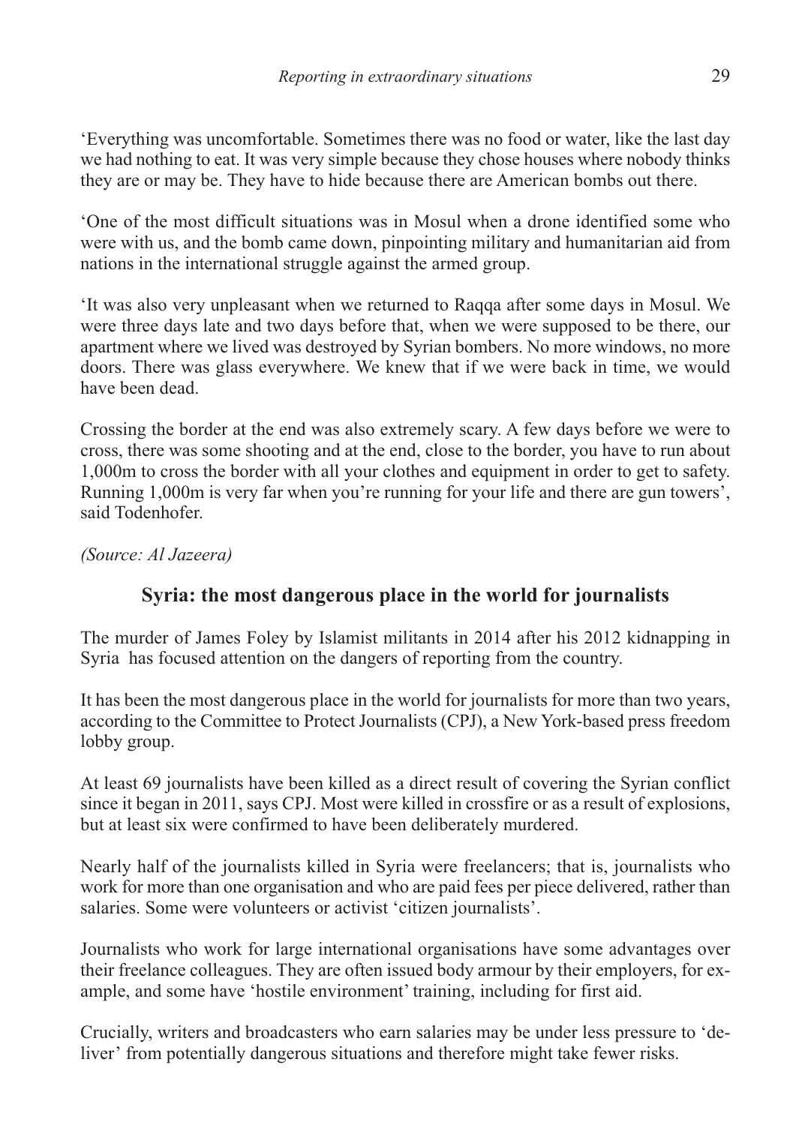'Everything was uncomfortable. Sometimes there was no food or water, like the last day we had nothing to eat. It was very simple because they chose houses where nobody thinks they are or may be. They have to hide because there are American bombs out there.

'One of the most difficult situations was in Mosul when a drone identified some who were with us, and the bomb came down, pinpointing military and humanitarian aid from nations in the international struggle against the armed group.

'It was also very unpleasant when we returned to Raqqa after some days in Mosul. We were three days late and two days before that, when we were supposed to be there, our apartment where we lived was destroyed by Syrian bombers. No more windows, no more doors. There was glass everywhere. We knew that if we were back in time, we would have been dead.

Crossing the border at the end was also extremely scary. A few days before we were to cross, there was some shooting and at the end, close to the border, you have to run about 1,000m to cross the border with all your clothes and equipment in order to get to safety. Running 1,000m is very far when you're running for your life and there are gun towers', said Todenhofer.

*(Source: Al Jazeera)*

#### **Syria: the most dangerous place in the world for journalists**

The murder of James Foley by Islamist militants in 2014 after his 2012 kidnapping in Syria has focused attention on the dangers of reporting from the country.

It has been the most dangerous place in the world for journalists for more than two years, according to the Committee to Protect Journalists (CPJ), a New York-based press freedom lobby group.

At least 69 journalists have been killed as a direct result of covering the Syrian conflict since it began in 2011, says CPJ. Most were killed in crossfire or as a result of explosions, but at least six were confirmed to have been deliberately murdered.

Nearly half of the journalists killed in Syria were freelancers; that is, journalists who work for more than one organisation and who are paid fees per piece delivered, rather than salaries. Some were volunteers or activist 'citizen journalists'.

Journalists who work for large international organisations have some advantages over their freelance colleagues. They are often issued body armour by their employers, for example, and some have 'hostile environment' training, including for first aid.

Crucially, writers and broadcasters who earn salaries may be under less pressure to 'deliver' from potentially dangerous situations and therefore might take fewer risks.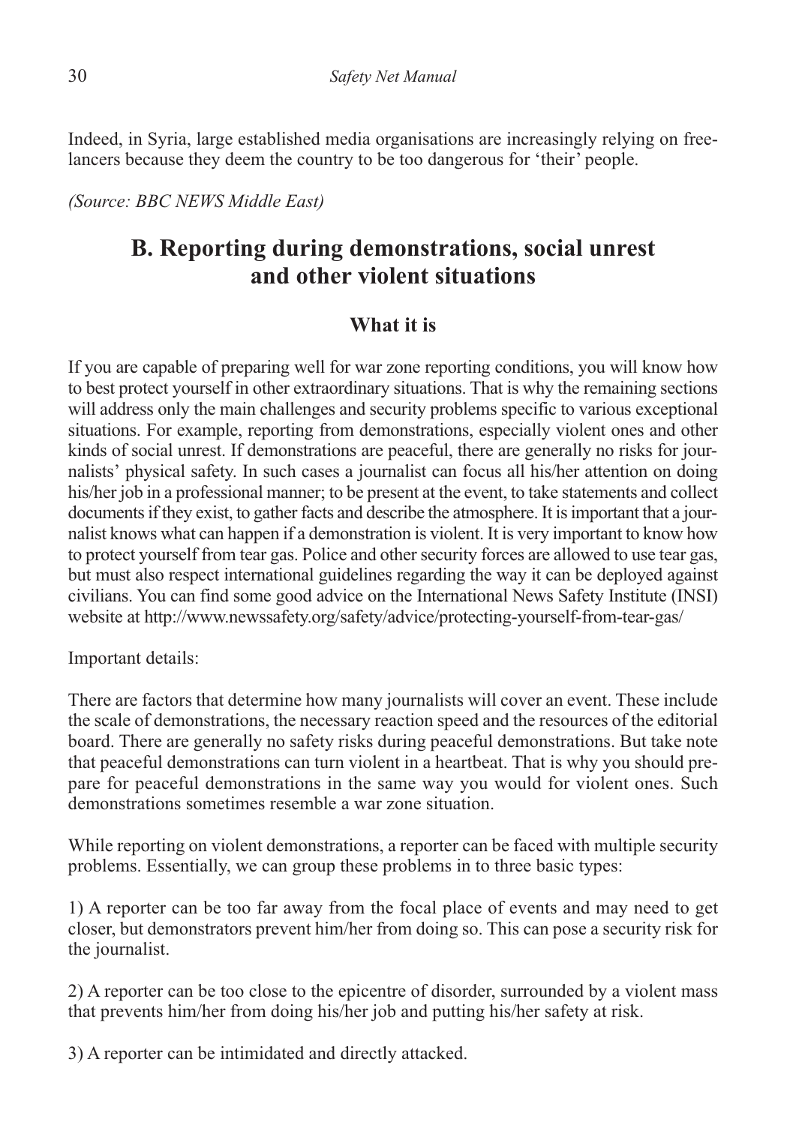Indeed, in Syria, large established media organisations are increasingly relying on freelancers because they deem the country to be too dangerous for 'their' people.

*(Source: BBC NEWS Middle East)*

#### **B. Reporting during demonstrations, social unrest and other violent situations**

#### **What it is**

If you are capable of preparing well for war zone reporting conditions, you will know how to best protect yourself in other extraordinary situations. That is why the remaining sections will address only the main challenges and security problems specific to various exceptional situations. For example, reporting from demonstrations, especially violent ones and other kinds of social unrest. If demonstrations are peaceful, there are generally no risks for journalists' physical safety. In such cases a journalist can focus all his/her attention on doing his/her job in a professional manner; to be present at the event, to take statements and collect documents if they exist, to gather facts and describe the atmosphere. It is important that a journalist knows what can happen if a demonstration is violent. It is very important to know how to protect yourself from tear gas. Police and other security forces are allowed to use tear gas, but must also respect international guidelines regarding the way it can be deployed against civilians. You can find some good advice on the International News Safety Institute (INSI) website at http://www.newssafety.org/safety/advice/protecting-yourself-from-tear-gas/

Important details:

There are factors that determine how many journalists will cover an event. These include the scale of demonstrations, the necessary reaction speed and the resources of the editorial board. There are generally no safety risks during peaceful demonstrations. But take note that peaceful demonstrations can turn violent in a heartbeat. That is why you should prepare for peaceful demonstrations in the same way you would for violent ones. Such demonstrations sometimes resemble a war zone situation.

While reporting on violent demonstrations, a reporter can be faced with multiple security problems. Essentially, we can group these problems in to three basic types:

1) A reporter can be too far away from the focal place of events and may need to get closer, but demonstrators prevent him/her from doing so. This can pose a security risk for the journalist.

2) A reporter can be too close to the epicentre of disorder, surrounded by a violent mass that prevents him/her from doing his/her job and putting his/her safety at risk.

3) A reporter can be intimidated and directly attacked.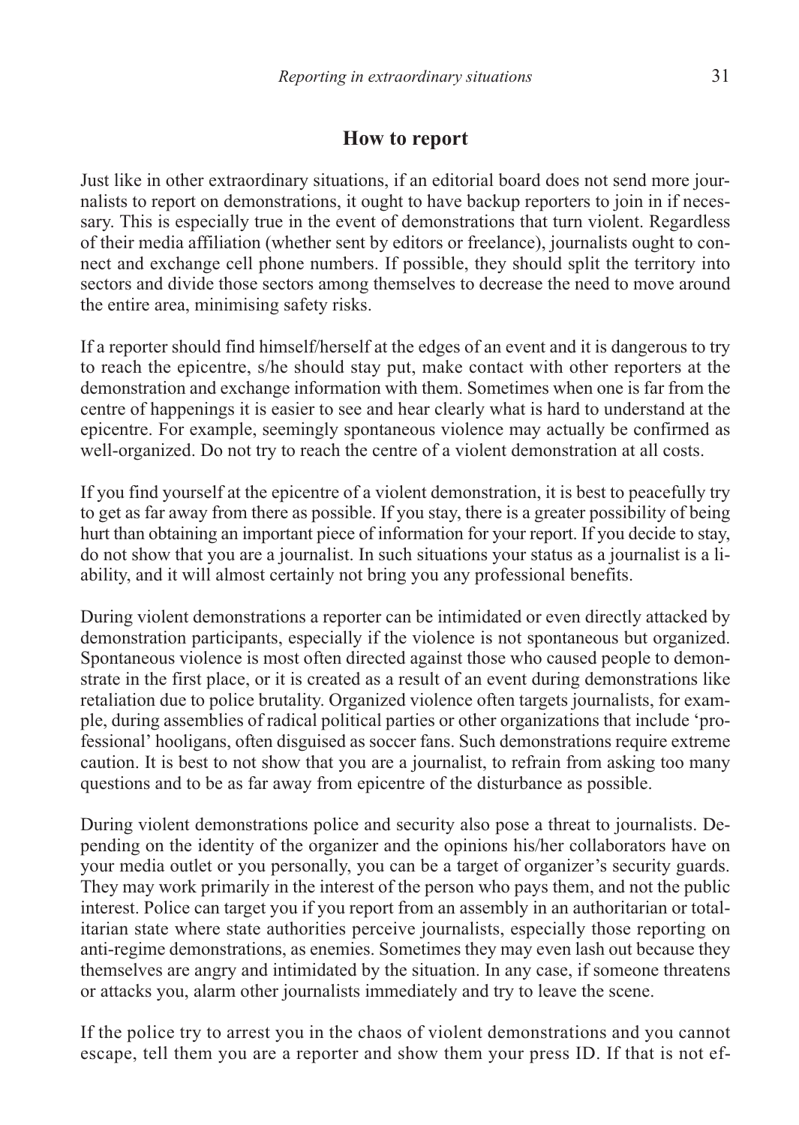#### **How to report**

Just like in other extraordinary situations, if an editorial board does not send more journalists to report on demonstrations, it ought to have backup reporters to join in if necessary. This is especially true in the event of demonstrations that turn violent. Regardless of their media affiliation (whether sent by editors or freelance), journalists ought to connect and exchange cell phone numbers. If possible, they should split the territory into sectors and divide those sectors among themselves to decrease the need to move around the entire area, minimising safety risks.

If a reporter should find himself/herself at the edges of an event and it is dangerous to try to reach the epicentre, s/he should stay put, make contact with other reporters at the demonstration and exchange information with them. Sometimes when one is far from the centre of happenings it is easier to see and hear clearly what is hard to understand at the epicentre. For example, seemingly spontaneous violence may actually be confirmed as well-organized. Do not try to reach the centre of a violent demonstration at all costs.

If you find yourself at the epicentre of a violent demonstration, it is best to peacefully try to get as far away from there as possible. If you stay, there is a greater possibility of being hurt than obtaining an important piece of information for your report. If you decide to stay, do not show that you are a journalist. In such situations your status as a journalist is a liability, and it will almost certainly not bring you any professional benefits.

During violent demonstrations a reporter can be intimidated or even directly attacked by demonstration participants, especially if the violence is not spontaneous but organized. Spontaneous violence is most often directed against those who caused people to demonstrate in the first place, or it is created as a result of an event during demonstrations like retaliation due to police brutality. Organized violence often targets journalists, for example, during assemblies of radical political parties or other organizations that include 'professional' hooligans, often disguised as soccer fans. Such demonstrations require extreme caution. It is best to not show that you are a journalist, to refrain from asking too many questions and to be as far away from epicentre of the disturbance as possible.

During violent demonstrations police and security also pose a threat to journalists. Depending on the identity of the organizer and the opinions his/her collaborators have on your media outlet or you personally, you can be a target of organizer's security guards. They may work primarily in the interest of the person who pays them, and not the public interest. Police can target you if you report from an assembly in an authoritarian or totalitarian state where state authorities perceive journalists, especially those reporting on anti-regime demonstrations, as enemies. Sometimes they may even lash out because they themselves are angry and intimidated by the situation. In any case, if someone threatens or attacks you, alarm other journalists immediately and try to leave the scene.

If the police try to arrest you in the chaos of violent demonstrations and you cannot escape, tell them you are a reporter and show them your press ID. If that is not ef-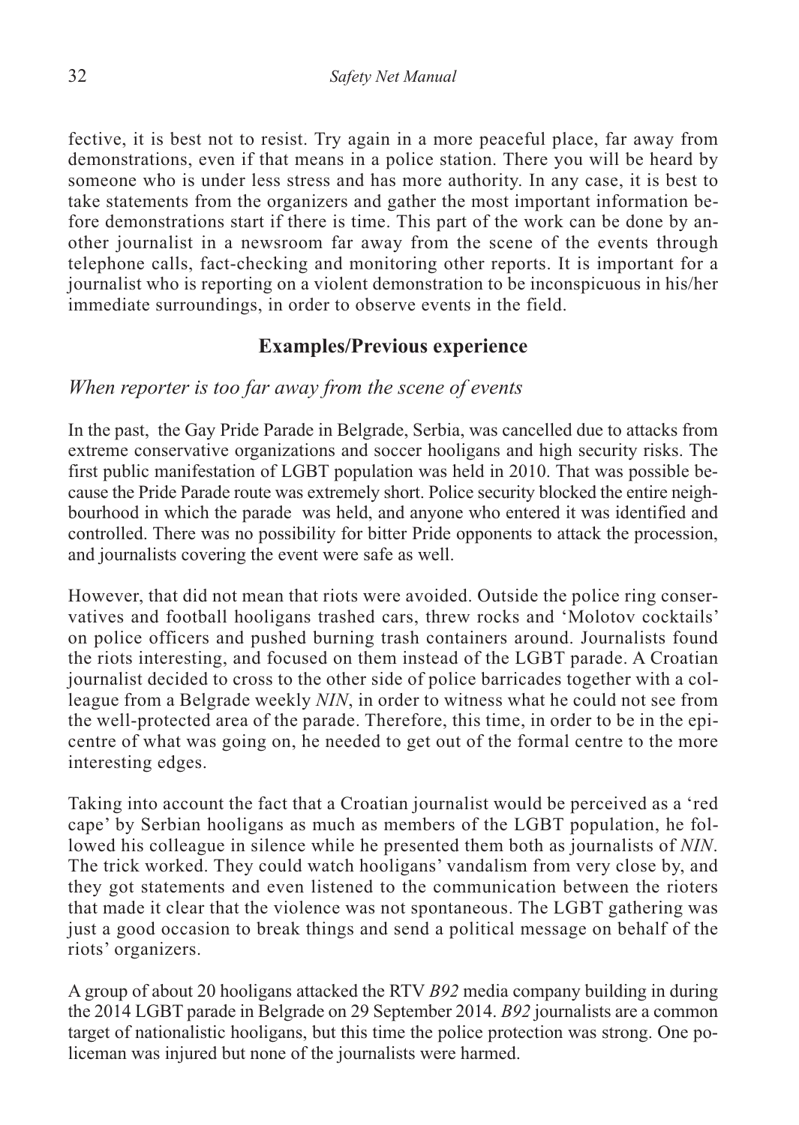fective, it is best not to resist. Try again in a more peaceful place, far away from demonstrations, even if that means in a police station. There you will be heard by someone who is under less stress and has more authority. In any case, it is best to take statements from the organizers and gather the most important information before demonstrations start if there is time. This part of the work can be done by another journalist in a newsroom far away from the scene of the events through telephone calls, fact-checking and monitoring other reports. It is important for a journalist who is reporting on a violent demonstration to be inconspicuous in his/her immediate surroundings, in order to observe events in the field.

#### **Examples/Previous experience**

#### *When reporter is too far away from the scene of events*

In the past, the Gay Pride Parade in Belgrade, Serbia, was cancelled due to attacks from extreme conservative organizations and soccer hooligans and high security risks. The first public manifestation of LGBT population was held in 2010. That was possible because the Pride Parade route was extremely short. Police security blocked the entire neighbourhood in which the parade was held, and anyone who entered it was identified and controlled. There was no possibility for bitter Pride opponents to attack the procession, and journalists covering the event were safe as well.

However, that did not mean that riots were avoided. Outside the police ring conservatives and football hooligans trashed cars, threw rocks and 'Molotov cocktails' on police officers and pushed burning trash containers around. Journalists found the riots interesting, and focused on them instead of the LGBT parade. A Croatian journalist decided to cross to the other side of police barricades together with a colleague from a Belgrade weekly *NIN*, in order to witness what he could not see from the well-protected area of the parade. Therefore, this time, in order to be in the epicentre of what was going on, he needed to get out of the formal centre to the more interesting edges.

Taking into account the fact that a Croatian journalist would be perceived as a 'red cape' by Serbian hooligans as much as members of the LGBT population, he followed his colleague in silence while he presented them both as journalists of *NIN*. The trick worked. They could watch hooligans' vandalism from very close by, and they got statements and even listened to the communication between the rioters that made it clear that the violence was not spontaneous. The LGBT gathering was just a good occasion to break things and send a political message on behalf of the riots' organizers.

A group of about 20 hooligans attacked the RTV *B92* media company building in during the 2014 LGBT parade in Belgrade on 29 September 2014. *B92* journalists are a common target of nationalistic hooligans, but this time the police protection was strong. One policeman was injured but none of the journalists were harmed.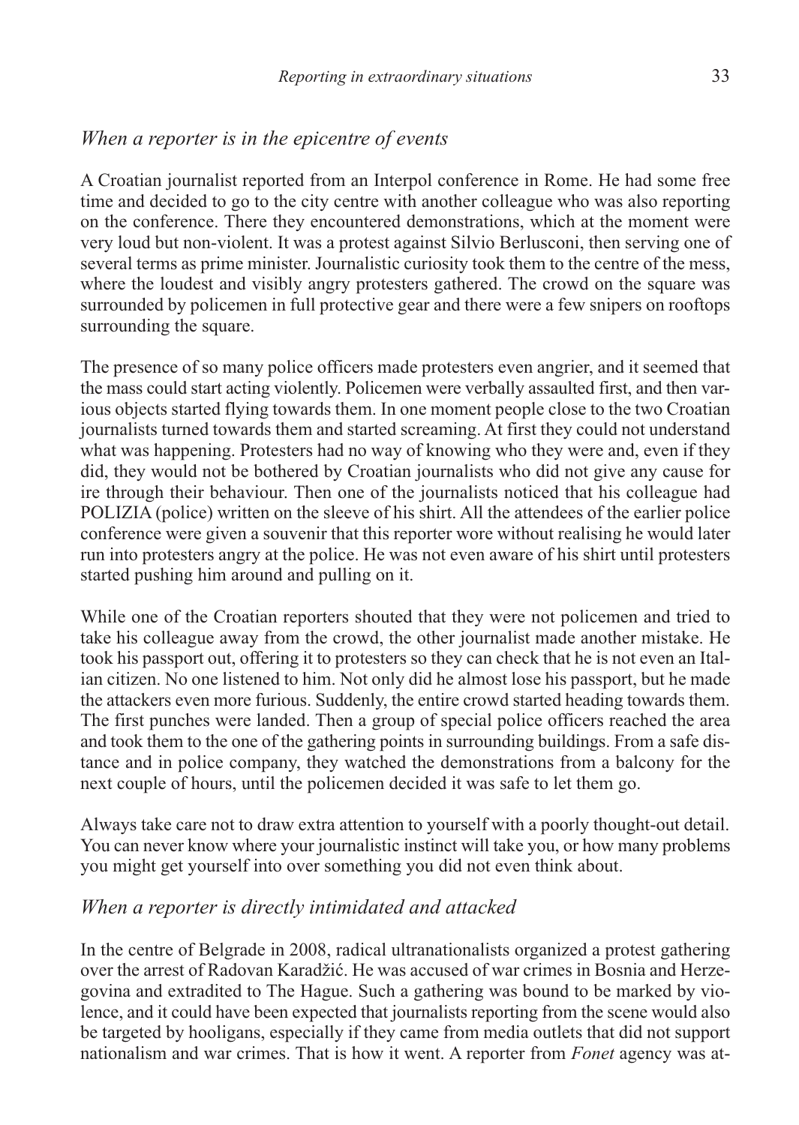#### *When a reporter is in the epicentre of events*

A Croatian journalist reported from an Interpol conference in Rome. He had some free time and decided to go to the city centre with another colleague who was also reporting on the conference. There they encountered demonstrations, which at the moment were very loud but non-violent. It was a protest against Silvio Berlusconi, then serving one of several terms as prime minister. Journalistic curiosity took them to the centre of the mess, where the loudest and visibly angry protesters gathered. The crowd on the square was surrounded by policemen in full protective gear and there were a few snipers on rooftops surrounding the square.

The presence of so many police officers made protesters even angrier, and it seemed that the mass could start acting violently. Policemen were verbally assaulted first, and then various objects started flying towards them. In one moment people close to the two Croatian journalists turned towards them and started screaming. At first they could not understand what was happening. Protesters had no way of knowing who they were and, even if they did, they would not be bothered by Croatian journalists who did not give any cause for ire through their behaviour. Then one of the journalists noticed that his colleague had POLIZIA (police) written on the sleeve of his shirt. All the attendees of the earlier police conference were given a souvenir that this reporter wore without realising he would later run into protesters angry at the police. He was not even aware of his shirt until protesters started pushing him around and pulling on it.

While one of the Croatian reporters shouted that they were not policemen and tried to take his colleague away from the crowd, the other journalist made another mistake. He took his passport out, offering it to protesters so they can check that he is not even an Italian citizen. No one listened to him. Not only did he almost lose his passport, but he made the attackers even more furious. Suddenly, the entire crowd started heading towards them. The first punches were landed. Then a group of special police officers reached the area and took them to the one of the gathering points in surrounding buildings. From a safe distance and in police company, they watched the demonstrations from a balcony for the next couple of hours, until the policemen decided it was safe to let them go.

Always take care not to draw extra attention to yourself with a poorly thought-out detail. You can never know where your journalistic instinct will take you, or how many problems you might get yourself into over something you did not even think about.

#### *When a reporter is directly intimidated and attacked*

In the centre of Belgrade in 2008, radical ultranationalists organized a protest gathering over the arrest of Radovan Karadžić. He was accused of war crimes in Bosnia and Herzegovina and extradited to The Hague. Such a gathering was bound to be marked by violence, and it could have been expected that journalists reporting from the scene would also be targeted by hooligans, especially if they came from media outlets that did not support nationalism and war crimes. That is how it went. A reporter from *Fonet* agency was at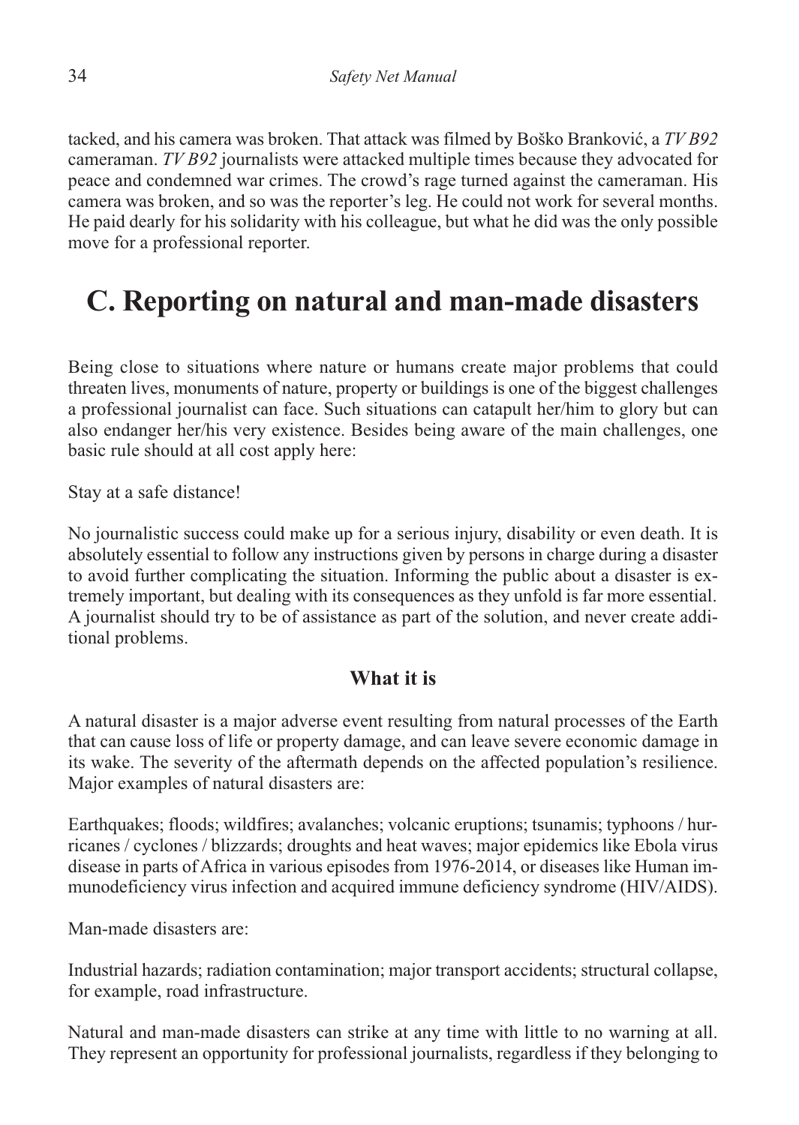tacked, and his camera was broken. That attack was filmed by Boško Branković, a *TV B92* cameraman. *TV B92* journalists were attacked multiple times because they advocated for peace and condemned war crimes. The crowd's rage turned against the cameraman. His camera was broken, and so was the reporter's leg. He could not work for several months. He paid dearly for his solidarity with his colleague, but what he did was the only possible move for a professional reporter.

# **C. Reporting on natural and man-made disasters**

Being close to situations where nature or humans create major problems that could threaten lives, monuments of nature, property or buildings is one of the biggest challenges a professional journalist can face. Such situations can catapult her/him to glory but can also endanger her/his very existence. Besides being aware of the main challenges, one basic rule should at all cost apply here:

Stay at a safe distance!

No journalistic success could make up for a serious injury, disability or even death. It is absolutely essential to follow any instructions given by persons in charge during a disaster to avoid further complicating the situation. Informing the public about a disaster is extremely important, but dealing with its consequences as they unfold is far more essential. A journalist should try to be of assistance as part of the solution, and never create additional problems.

#### **What it is**

A natural disaster is a major adverse event resulting from natural processes of the Earth that can cause loss of life or property damage, and can leave severe economic damage in its wake. The severity of the aftermath depends on the affected population's resilience. Major examples of natural disasters are:

Earthquakes; floods; wildfires; avalanches; volcanic eruptions; tsunamis; typhoons / hurricanes / cyclones / blizzards; droughts and heat waves; major epidemics like Ebola virus disease in parts of Africa in various episodes from 1976-2014, or diseases like Human immunodeficiency virus infection and acquired immune deficiency syndrome (HIV/AIDS).

Man-made disasters are:

Industrial hazards; radiation contamination; major transport accidents; structural collapse, for example, road infrastructure.

Natural and man-made disasters can strike at any time with little to no warning at all. They represent an opportunity for professional journalists, regardless if they belonging to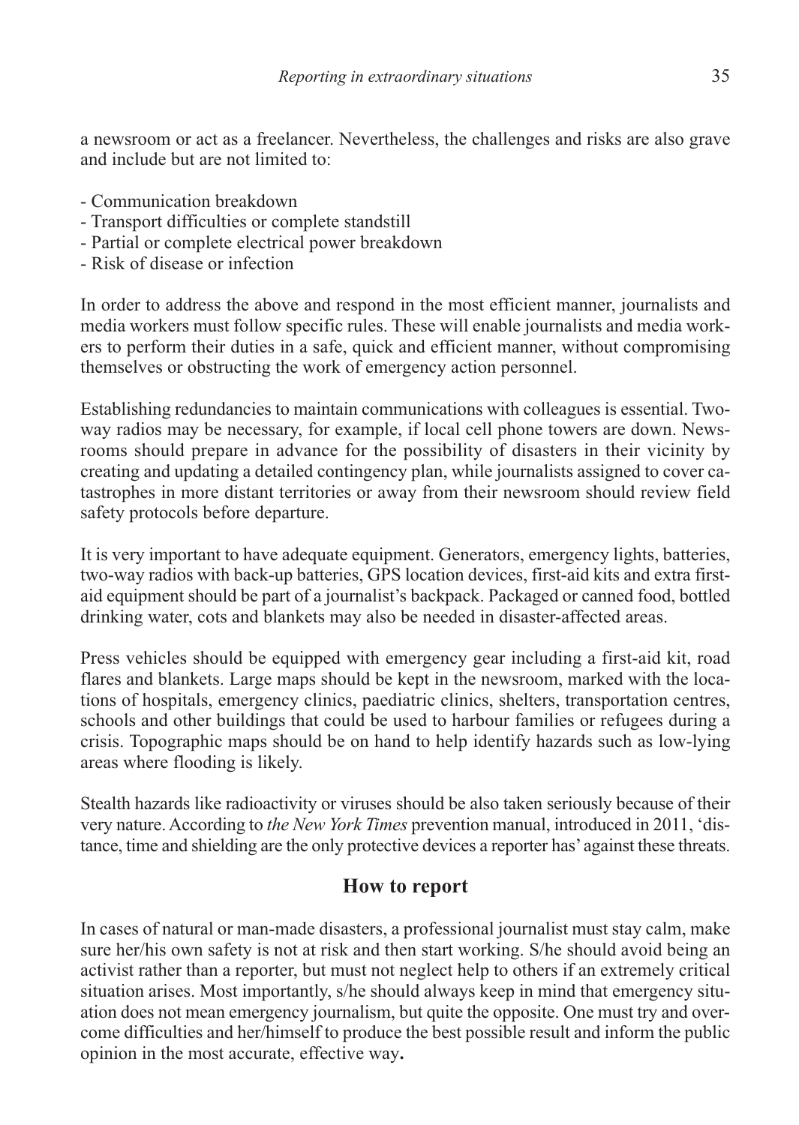a newsroom or act as a freelancer. Nevertheless, the challenges and risks are also grave and include but are not limited to:

- Communication breakdown
- Transport difficulties or complete standstill
- Partial or complete electrical power breakdown
- Risk of disease or infection

In order to address the above and respond in the most efficient manner, journalists and media workers must follow specific rules. These will enable journalists and media workers to perform their duties in a safe, quick and efficient manner, without compromising themselves or obstructing the work of emergency action personnel.

Establishing redundancies to maintain communications with colleagues is essential. Twoway radios may be necessary, for example, if local cell phone towers are down. Newsrooms should prepare in advance for the possibility of disasters in their vicinity by creating and updating a detailed contingency plan, while journalists assigned to cover catastrophes in more distant territories or away from their newsroom should review field safety protocols before departure.

It is very important to have adequate equipment. Generators, emergency lights, batteries, two-way radios with back-up batteries, GPS location devices, first-aid kits and extra firstaid equipment should be part of a journalist's backpack. Packaged or canned food, bottled drinking water, cots and blankets may also be needed in disaster-affected areas.

Press vehicles should be equipped with emergency gear including a first-aid kit, road flares and blankets. Large maps should be kept in the newsroom, marked with the locations of hospitals, emergency clinics, paediatric clinics, shelters, transportation centres, schools and other buildings that could be used to harbour families or refugees during a crisis. Topographic maps should be on hand to help identify hazards such as low-lying areas where flooding is likely.

Stealth hazards like radioactivity or viruses should be also taken seriously because of their very nature. According to *the New York Times* prevention manual, introduced in 2011, 'distance, time and shielding are the only protective devices a reporter has'against these threats.

#### **How to report**

In cases of natural or man-made disasters, a professional journalist must stay calm, make sure her/his own safety is not at risk and then start working. S/he should avoid being an activist rather than a reporter, but must not neglect help to others if an extremely critical situation arises. Most importantly, s/he should always keep in mind that emergency situation does not mean emergency journalism, but quite the opposite. One must try and overcome difficulties and her/himself to produce the best possible result and inform the public opinion in the most accurate, effective way**.**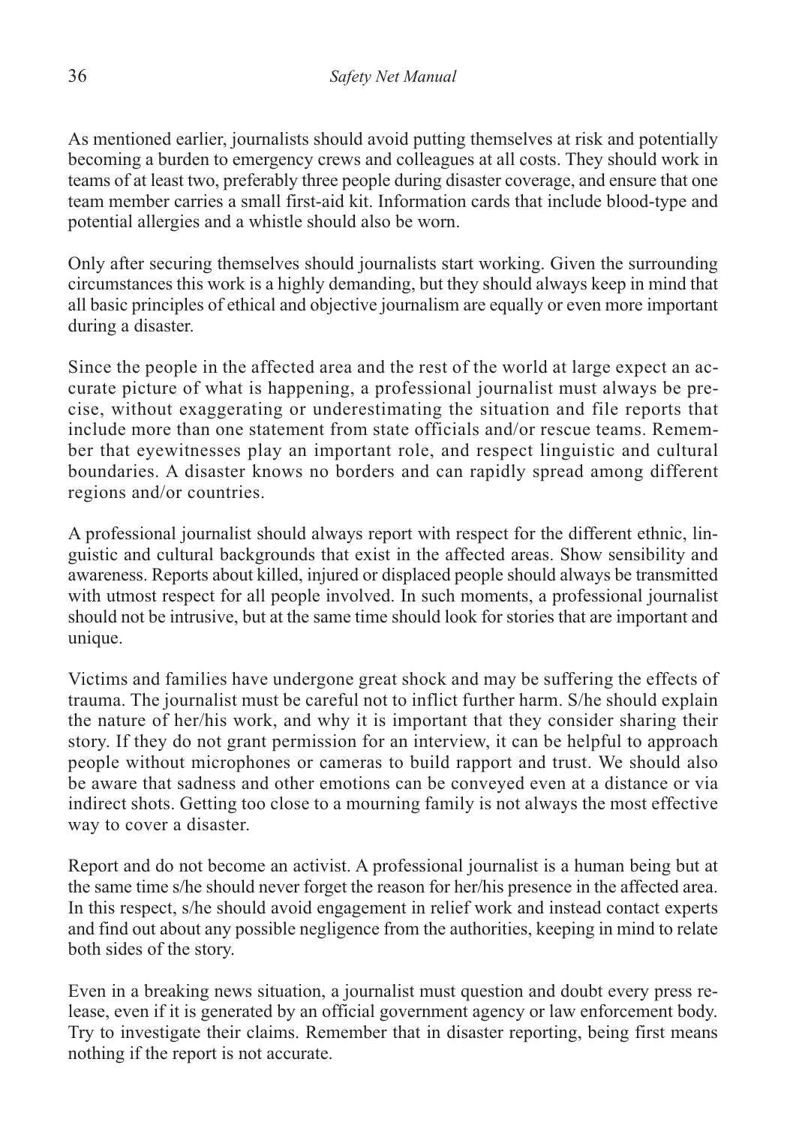As mentioned earlier, journalists should avoid putting themselves at risk and potentially becoming a burden to emergency crews and colleagues at all costs. They should work in teams of at least two, preferably three people during disaster coverage, and ensure that one team member carries a small first-aid kit. Information cards that include blood-type and potential allergies and a whistle should also be worn.

Only after securing themselves should journalists start working. Given the surrounding circumstances this work is a highly demanding, but they should always keep in mind that all basic principles of ethical and objective journalism are equally or even more important during a disaster.

Since the people in the affected area and the rest of the world at large expect an accurate picture of what is happening, a professional journalist must always be precise, without exaggerating or underestimating the situation and file reports that include more than one statement from state officials and/or rescue teams. Remember that eyewitnesses play an important role, and respect linguistic and cultural boundaries. A disaster knows no borders and can rapidly spread among different regions and/or countries.

A professional journalist should always report with respect for the different ethnic, linguistic and cultural backgrounds that exist in the affected areas. Show sensibility and awareness. Reports about killed, injured or displaced people should always be transmitted with utmost respect for all people involved. In such moments, a professional journalist should not be intrusive, but at the same time should look for stories that are important and unique.

Victims and families have undergone great shock and may be suffering the effects of trauma. The journalist must be careful not to inflict further harm. S/he should explain the nature of her/his work, and why it is important that they consider sharing their story. If they do not grant permission for an interview, it can be helpful to approach people without microphones or cameras to build rapport and trust. We should also be aware that sadness and other emotions can be conveyed even at a distance or via indirect shots. Getting too close to a mourning family is not always the most effective way to cover a disaster.

Report and do not become an activist. A professional journalist is a human being but at the same time s/he should never forget the reason for her/his presence in the affected area. In this respect, s/he should avoid engagement in relief work and instead contact experts and find out about any possible negligence from the authorities, keeping in mind to relate both sides of the story.

Even in a breaking news situation, a journalist must question and doubt every press release, even if it is generated by an official government agency or law enforcement body. Try to investigate their claims. Remember that in disaster reporting, being first means nothing if the report is not accurate.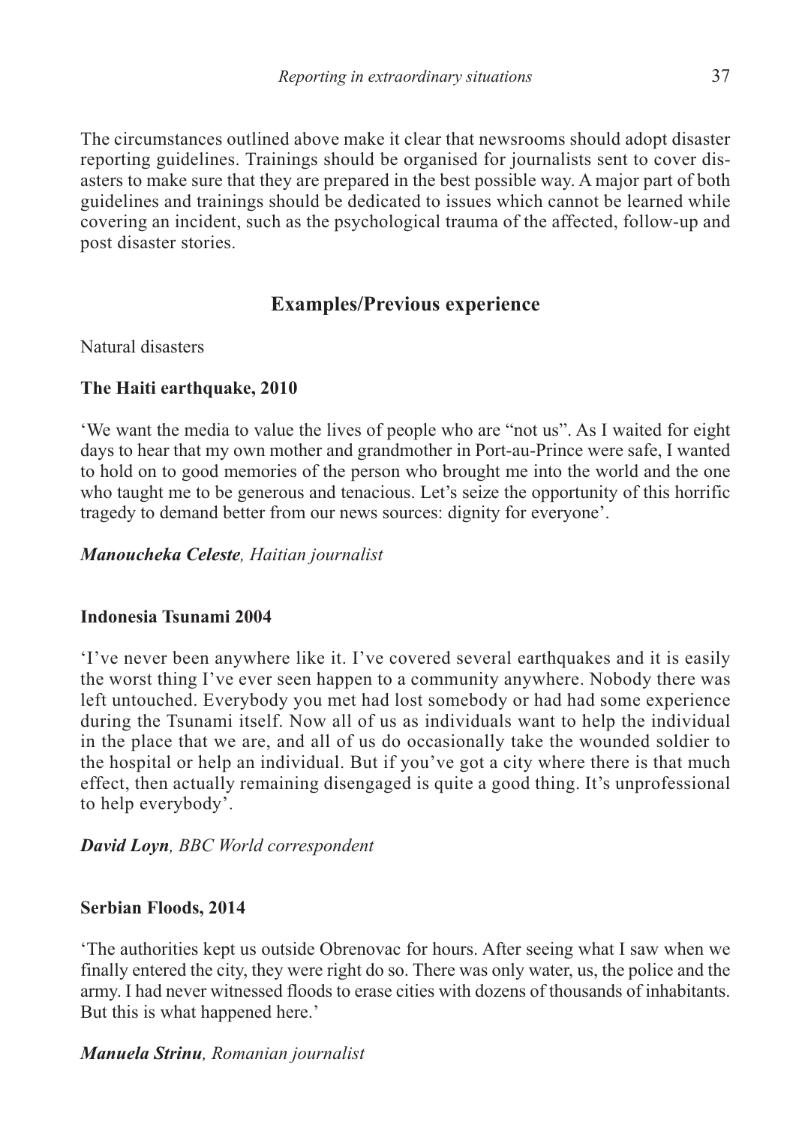The circumstances outlined above make it clear that newsrooms should adopt disaster reporting guidelines. Trainings should be organised for journalists sent to cover disasters to make sure that they are prepared in the best possible way. A major part of both guidelines and trainings should be dedicated to issues which cannot be learned while covering an incident, such as the psychological trauma of the affected, follow-up and post disaster stories.

# **Examples/Previous experience**

Natural disasters

#### **The Haiti earthquake, 2010**

'We want the media to value the lives of people who are "not us". As I waited for eight days to hear that my own mother and grandmother in Port-au-Prince were safe, I wanted to hold on to good memories of the person who brought me into the world and the one who taught me to be generous and tenacious. Let's seize the opportunity of this horrific tragedy to demand better from our news sources: dignity for everyone'.

#### *Manoucheka Celeste, Haitian journalist*

#### **Indonesia Tsunami 2004**

'I've never been anywhere like it. I've covered several earthquakes and it is easily the worst thing I've ever seen happen to a community anywhere. Nobody there was left untouched. Everybody you met had lost somebody or had had some experience during the Tsunami itself. Now all of us as individuals want to help the individual in the place that we are, and all of us do occasionally take the wounded soldier to the hospital or help an individual. But if you've got a city where there is that much effect, then actually remaining disengaged is quite a good thing. It's unprofessional to help everybody'.

#### *David Loyn, BBC World correspondent*

#### **Serbian Floods, 2014**

'The authorities kept us outside Obrenovac for hours. After seeing what I saw when we finally entered the city, they were right do so. There was only water, us, the police and the army. I had never witnessed floods to erase cities with dozens of thousands of inhabitants. But this is what happened here.'

*Manuela Strinu, Romanian journalist*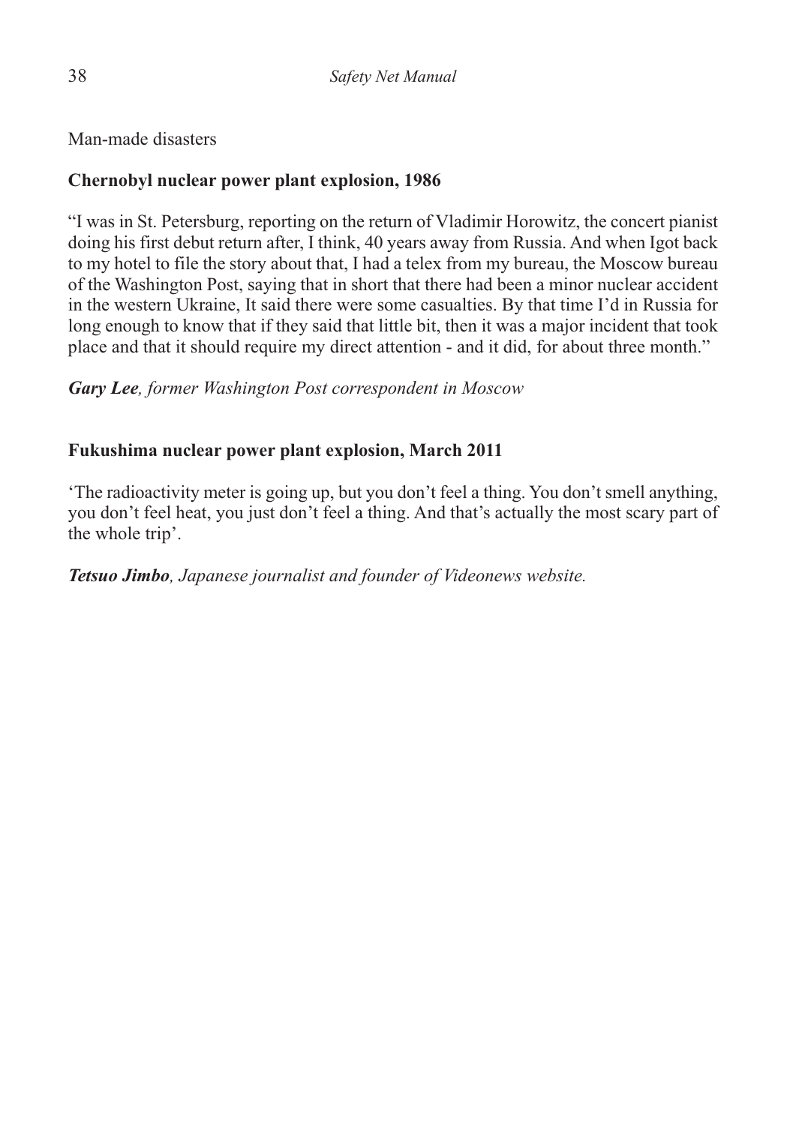Man-made disasters

#### **Chernobyl nuclear power plant explosion, 1986**

"I was in St. Petersburg, reporting on the return of Vladimir Horowitz, the concert pianist doing his first debut return after, I think, 40 years away from Russia. And when Igot back to my hotel to file the story about that, I had a telex from my bureau, the Moscow bureau of the Washington Post, saying that in short that there had been a minor nuclear accident in the western Ukraine, It said there were some casualties. By that time I'd in Russia for long enough to know that if they said that little bit, then it was a major incident that took place and that it should require my direct attention - and it did, for about three month."

*Gary Lee, former Washington Post correspondent in Moscow*

#### **Fukushima nuclear power plant explosion, March 2011**

'The radioactivity meter is going up, but you don't feel a thing. You don't smell anything, you don't feel heat, you just don't feel a thing. And that's actually the most scary part of the whole trip'.

*Tetsuo Jimbo, Japanese journalist and founder of Videonews website.*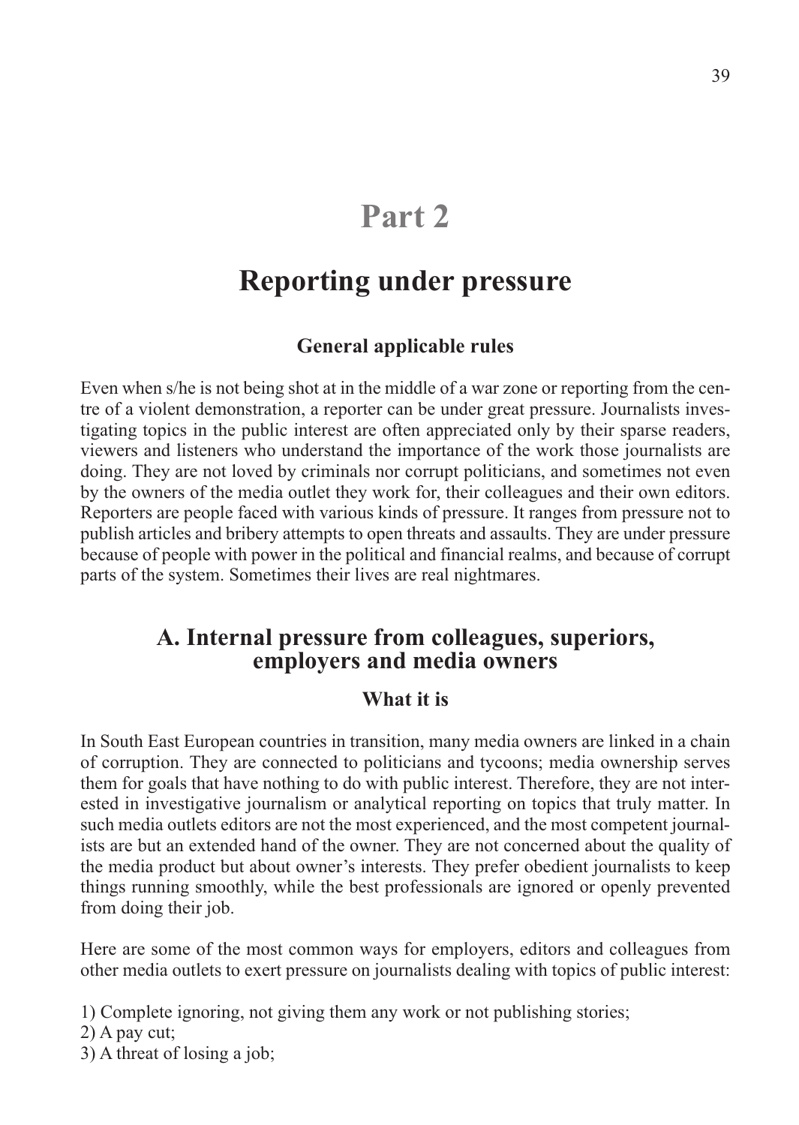# **Part 2**

# **Reporting under pressure**

#### **General applicable rules**

Even when s/he is not being shot at in the middle of a war zone or reporting from the centre of a violent demonstration, a reporter can be under great pressure. Journalists investigating topics in the public interest are often appreciated only by their sparse readers, viewers and listeners who understand the importance of the work those journalists are doing. They are not loved by criminals nor corrupt politicians, and sometimes not even by the owners of the media outlet they work for, their colleagues and their own editors. Reporters are people faced with various kinds of pressure. It ranges from pressure not to publish articles and bribery attempts to open threats and assaults. They are under pressure because of people with power in the political and financial realms, and because of corrupt parts of the system. Sometimes their lives are real nightmares.

# **A. Internal pressure from colleagues, superiors, employers and media owners**

#### **What it is**

In South East European countries in transition, many media owners are linked in a chain of corruption. They are connected to politicians and tycoons; media ownership serves them for goals that have nothing to do with public interest. Therefore, they are not interested in investigative journalism or analytical reporting on topics that truly matter. In such media outlets editors are not the most experienced, and the most competent journalists are but an extended hand of the owner. They are not concerned about the quality of the media product but about owner's interests. They prefer obedient journalists to keep things running smoothly, while the best professionals are ignored or openly prevented from doing their job.

Here are some of the most common ways for employers, editors and colleagues from other media outlets to exert pressure on journalists dealing with topics of public interest:

1) Complete ignoring, not giving them any work or not publishing stories;

2) A pay cut;

3) A threat of losing a job;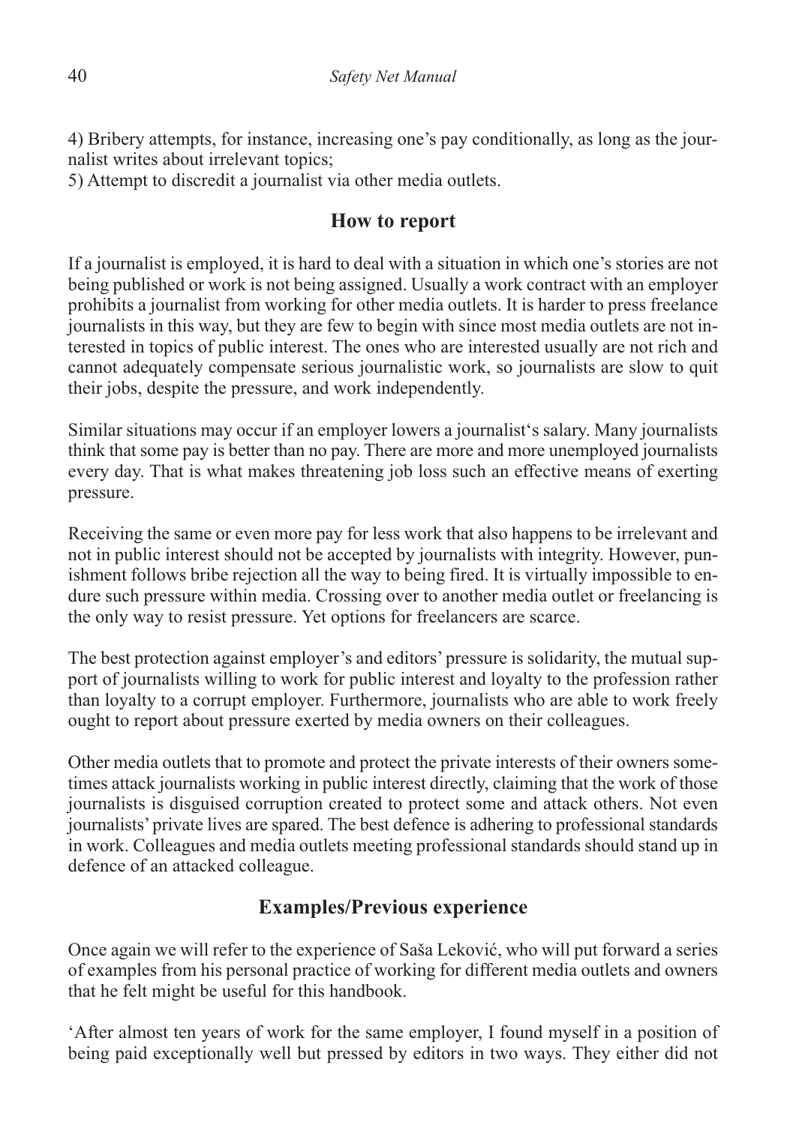4) Bribery attempts, for instance, increasing one's pay conditionally, as long as the journalist writes about irrelevant topics;

5) Attempt to discredit a journalist via other media outlets.

# **How to report**

If a journalist is employed, it is hard to deal with a situation in which one's stories are not being published or work is not being assigned. Usually a work contract with an employer prohibits a journalist from working for other media outlets. It is harder to press freelance journalists in this way, but they are few to begin with since most media outlets are not interested in topics of public interest. The ones who are interested usually are not rich and cannot adequately compensate serious journalistic work, so journalists are slow to quit their jobs, despite the pressure, and work independently.

Similar situations may occur if an employer lowers a journalist's salary. Many journalists think that some pay is better than no pay. There are more and more unemployed journalists every day. That is what makes threatening job loss such an effective means of exerting pressure.

Receiving the same or even more pay for less work that also happens to be irrelevant and not in public interest should not be accepted by journalists with integrity. However, punishment follows bribe rejection all the way to being fired. It is virtually impossible to endure such pressure within media. Crossing over to another media outlet or freelancing is the only way to resist pressure. Yet options for freelancers are scarce.

The best protection against employer's and editors' pressure is solidarity, the mutual support of journalists willing to work for public interest and loyalty to the profession rather than loyalty to a corrupt employer. Furthermore, journalists who are able to work freely ought to report about pressure exerted by media owners on their colleagues.

Other media outlets that to promote and protect the private interests of their owners sometimes attack journalists working in public interest directly, claiming that the work of those journalists is disguised corruption created to protect some and attack others. Not even journalists' private lives are spared. The best defence is adhering to professional standards in work. Colleagues and media outlets meeting professional standards should stand up in defence of an attacked colleague.

# **Examples/Previous experience**

Once again we will refer to the experience of Saša Leković, who will put forward a series of examples from his personal practice of working for different media outlets and owners that he felt might be useful for this handbook.

'After almost ten years of work for the same employer, I found myself in a position of being paid exceptionally well but pressed by editors in two ways. They either did not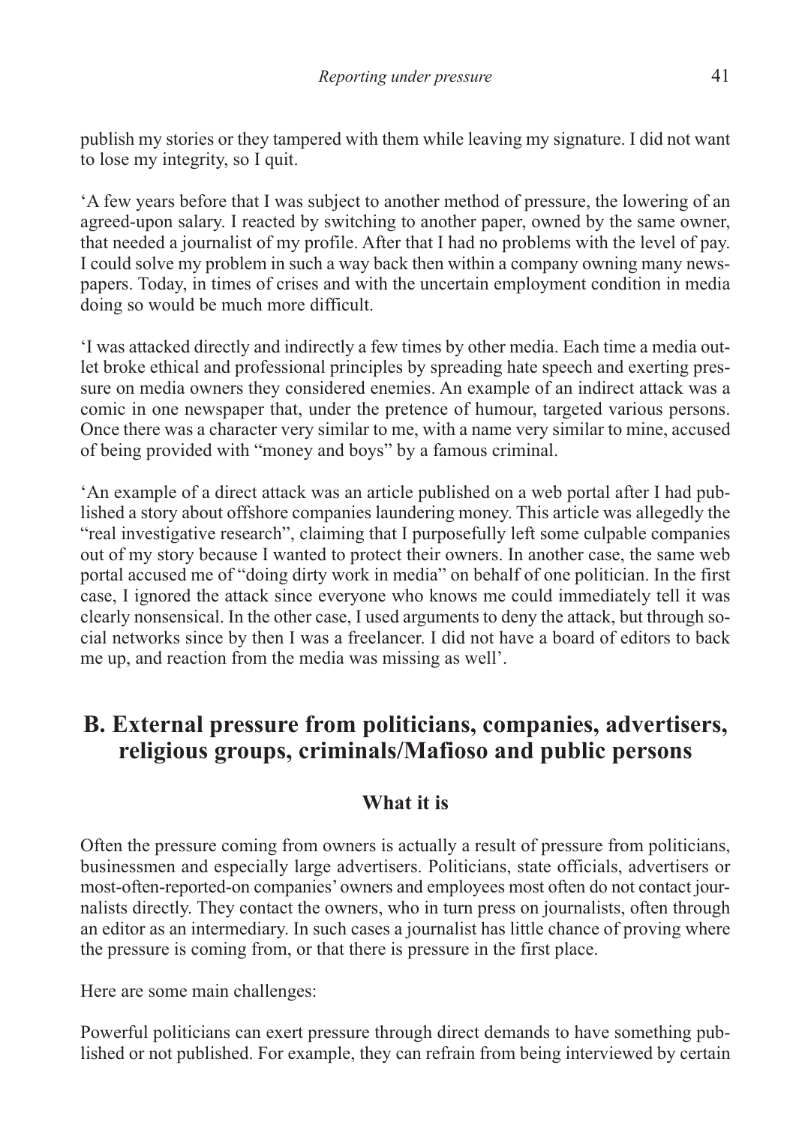publish my stories or they tampered with them while leaving my signature. I did not want to lose my integrity, so I quit.

'A few years before that I was subject to another method of pressure, the lowering of an agreed-upon salary. I reacted by switching to another paper, owned by the same owner, that needed a journalist of my profile. After that I had no problems with the level of pay. I could solve my problem in such a way back then within a company owning many newspapers. Today, in times of crises and with the uncertain employment condition in media doing so would be much more difficult.

'I was attacked directly and indirectly a few times by other media. Each time a media outlet broke ethical and professional principles by spreading hate speech and exerting pressure on media owners they considered enemies. An example of an indirect attack was a comic in one newspaper that, under the pretence of humour, targeted various persons. Once there was a character very similar to me, with a name very similar to mine, accused of being provided with "money and boys" by a famous criminal.

'An example of a direct attack was an article published on a web portal after I had published a story about offshore companies laundering money. This article was allegedly the "real investigative research", claiming that I purposefully left some culpable companies out of my story because I wanted to protect their owners. In another case, the same web portal accused me of "doing dirty work in media" on behalf of one politician. In the first case, I ignored the attack since everyone who knows me could immediately tell it was clearly nonsensical. In the other case, I used arguments to deny the attack, but through social networks since by then I was a freelancer. I did not have a board of editors to back me up, and reaction from the media was missing as well'.

# **B. External pressure from politicians, companies, advertisers, religious groups, criminals/Mafioso and public persons**

# **What it is**

Often the pressure coming from owners is actually a result of pressure from politicians, businessmen and especially large advertisers. Politicians, state officials, advertisers or most-often-reported-on companies' owners and employees most often do not contact journalists directly. They contact the owners, who in turn press on journalists, often through an editor as an intermediary. In such cases a journalist has little chance of proving where the pressure is coming from, or that there is pressure in the first place.

Here are some main challenges:

Powerful politicians can exert pressure through direct demands to have something published or not published. For example, they can refrain from being interviewed by certain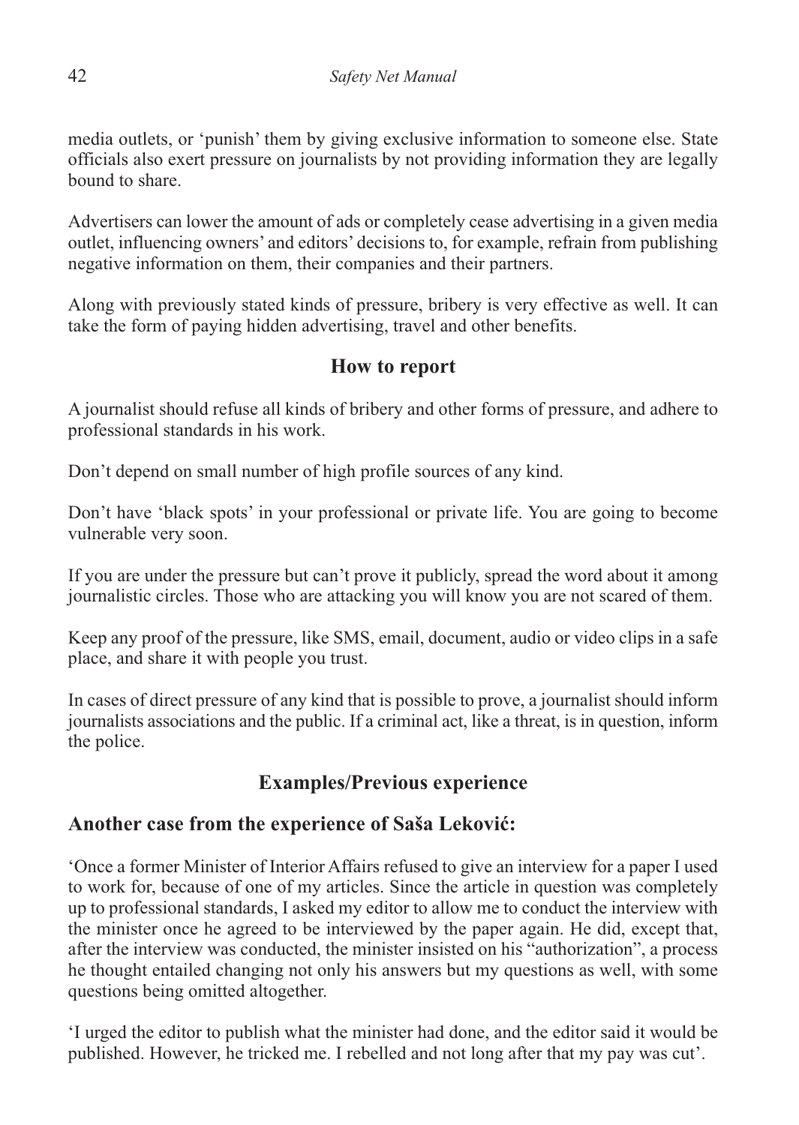media outlets, or 'punish' them by giving exclusive information to someone else. State officials also exert pressure on journalists by not providing information they are legally bound to share.

Advertisers can lower the amount of ads or completely cease advertising in a given media outlet, influencing owners' and editors' decisions to, for example, refrain from publishing negative information on them, their companies and their partners.

Along with previously stated kinds of pressure, bribery is very effective as well. It can take the form of paying hidden advertising, travel and other benefits.

# **How to report**

A journalist should refuse all kinds of bribery and other forms of pressure, and adhere to professional standards in his work.

Don't depend on small number of high profile sources of any kind.

Don't have 'black spots' in your professional or private life. You are going to become vulnerable very soon.

If you are under the pressure but can't prove it publicly, spread the word about it among journalistic circles. Those who are attacking you will know you are not scared of them.

Keep any proof of the pressure, like SMS, email, document, audio or video clips in a safe place, and share it with people you trust.

In cases of direct pressure of any kind that is possible to prove, a journalist should inform journalists associations and the public. If a criminal act, like a threat, is in question, inform the police.

# **Examples/Previous experience**

# **Another case from the experience of Saša Leković:**

'Once a former Minister of Interior Affairs refused to give an interview for a paper I used to work for, because of one of my articles. Since the article in question was completely up to professional standards, I asked my editor to allow me to conduct the interview with the minister once he agreed to be interviewed by the paper again. He did, except that, after the interview was conducted, the minister insisted on his "authorization", a process he thought entailed changing not only his answers but my questions as well, with some questions being omitted altogether.

'I urged the editor to publish what the minister had done, and the editor said it would be published. However, he tricked me. I rebelled and not long after that my pay was cut'.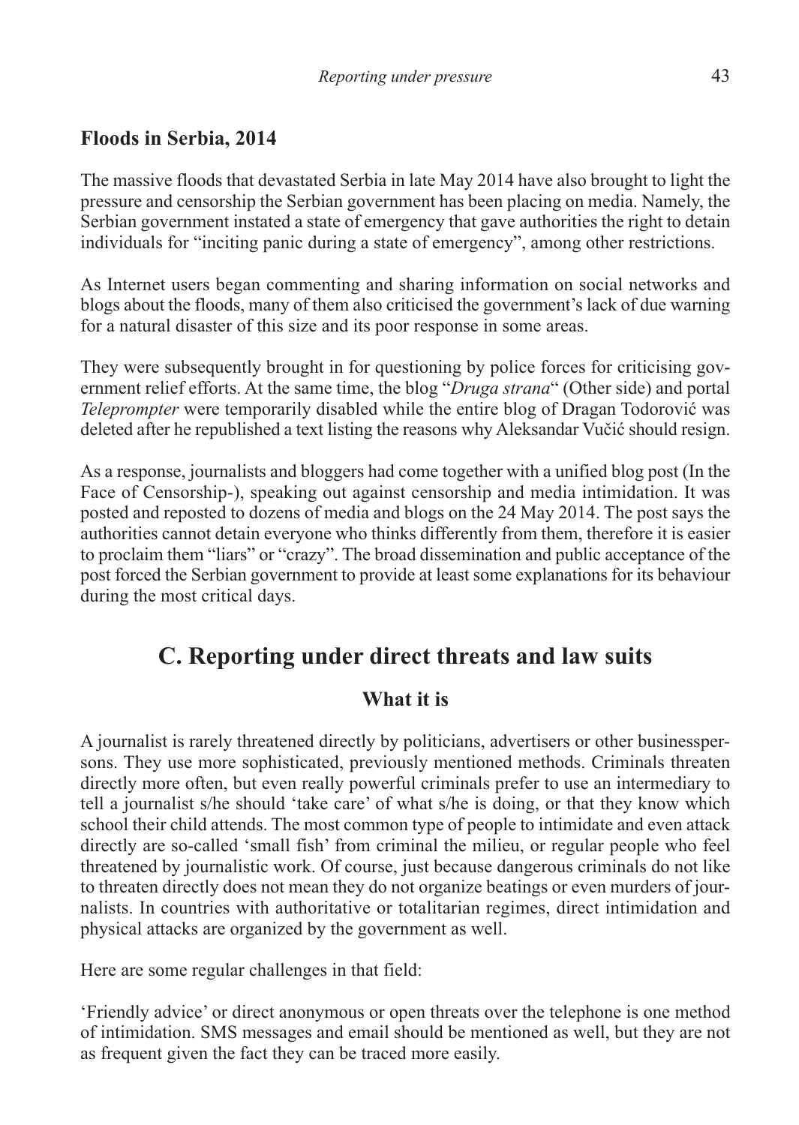# **Floods in Serbia, 2014**

The massive floods that devastated Serbia in late May 2014 have also brought to light the pressure and censorship the Serbian government has been placing on media. Namely, the Serbian government instated a state of emergency that gave authorities the right to detain individuals for "inciting panic during a state of emergency", among other restrictions.

As Internet users began commenting and sharing information on social networks and blogs about the floods, many of them also criticised the government's lack of due warning for a natural disaster of this size and its poor response in some areas.

They were subsequently brought in for questioning by police forces for criticising government relief efforts. At the same time, the blog "*Druga strana*" (Other side) and portal *Teleprompter* were temporarily disabled while the entire blog of Dragan Todorović was deleted after he republished a text listing the reasons why Aleksandar Vučić should resign.

As a response, journalists and bloggers had come together with a unified blog post (In the Face of Censorship-), speaking out against censorship and media intimidation. It was posted and reposted to dozens of media and blogs on the 24 May 2014. The post says the authorities cannot detain everyone who thinks differently from them, therefore it is easier to proclaim them "liars" or "crazy". The broad dissemination and public acceptance of the post forced the Serbian government to provide at least some explanations for its behaviour during the most critical days.

# **C. Reporting under direct threats and law suits**

# **What it is**

A journalist is rarely threatened directly by politicians, advertisers or other businesspersons. They use more sophisticated, previously mentioned methods. Criminals threaten directly more often, but even really powerful criminals prefer to use an intermediary to tell a journalist s/he should 'take care' of what s/he is doing, or that they know which school their child attends. The most common type of people to intimidate and even attack directly are so-called 'small fish' from criminal the milieu, or regular people who feel threatened by journalistic work. Of course, just because dangerous criminals do not like to threaten directly does not mean they do not organize beatings or even murders of journalists. In countries with authoritative or totalitarian regimes, direct intimidation and physical attacks are organized by the government as well.

Here are some regular challenges in that field:

'Friendly advice' or direct anonymous or open threats over the telephone is one method of intimidation. SMS messages and email should be mentioned as well, but they are not as frequent given the fact they can be traced more easily.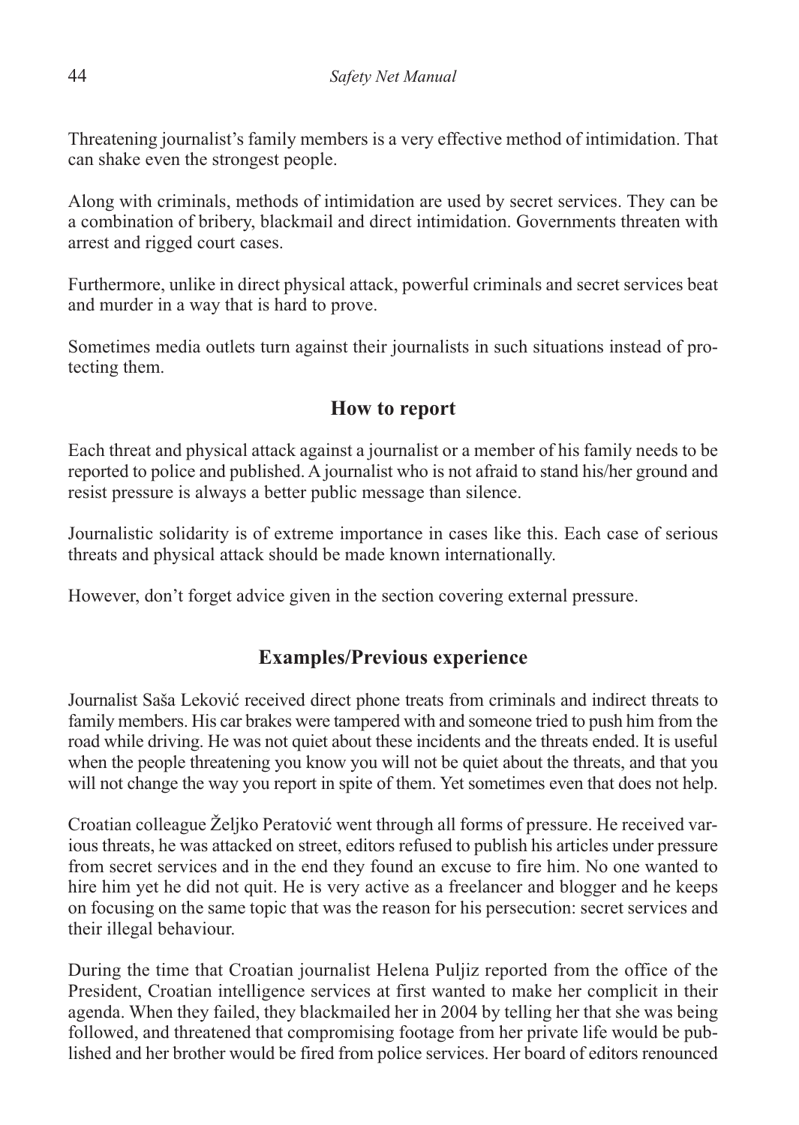Threatening journalist's family members is a very effective method of intimidation. That can shake even the strongest people.

Along with criminals, methods of intimidation are used by secret services. They can be a combination of bribery, blackmail and direct intimidation. Governments threaten with arrest and rigged court cases.

Furthermore, unlike in direct physical attack, powerful criminals and secret services beat and murder in a way that is hard to prove.

Sometimes media outlets turn against their journalists in such situations instead of protecting them.

# **How to report**

Each threat and physical attack against a journalist or a member of his family needs to be reported to police and published. A journalist who is not afraid to stand his/her ground and resist pressure is always a better public message than silence.

Journalistic solidarity is of extreme importance in cases like this. Each case of serious threats and physical attack should be made known internationally.

However, don't forget advice given in the section covering external pressure.

# **Examples/Previous experience**

Journalist Saša Leković received direct phone treats from criminals and indirect threats to family members. His car brakes were tampered with and someone tried to push him from the road while driving. He was not quiet about these incidents and the threats ended. It is useful when the people threatening you know you will not be quiet about the threats, and that you will not change the way you report in spite of them. Yet sometimes even that does not help.

Croatian colleague Željko Peratović went through all forms of pressure. He received various threats, he was attacked on street, editors refused to publish his articles under pressure from secret services and in the end they found an excuse to fire him. No one wanted to hire him yet he did not quit. He is very active as a freelancer and blogger and he keeps on focusing on the same topic that was the reason for his persecution: secret services and their illegal behaviour.

During the time that Croatian journalist Helena Puljiz reported from the office of the President, Croatian intelligence services at first wanted to make her complicit in their agenda. When they failed, they blackmailed her in 2004 by telling her that she was being followed, and threatened that compromising footage from her private life would be published and her brother would be fired from police services. Her board of editors renounced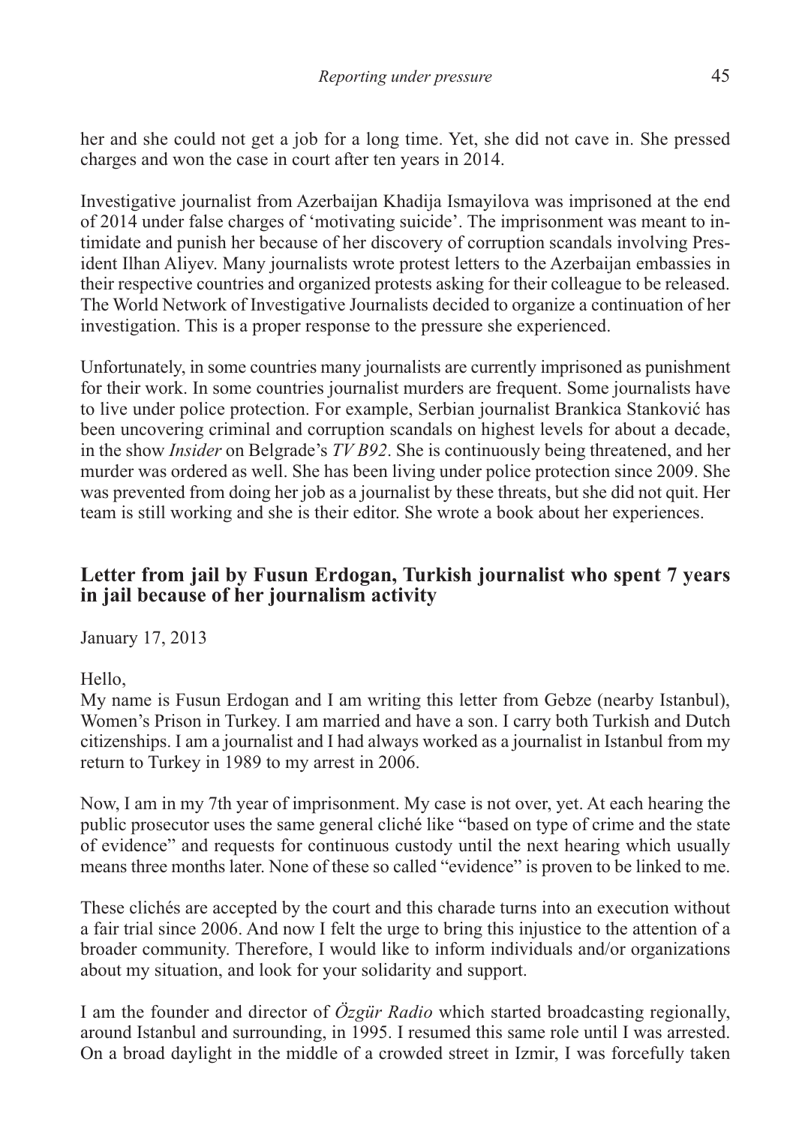her and she could not get a job for a long time. Yet, she did not cave in. She pressed charges and won the case in court after ten years in 2014.

Investigative journalist from Azerbaijan Khadija Ismayilova was imprisoned at the end of 2014 under false charges of 'motivating suicide'. The imprisonment was meant to intimidate and punish her because of her discovery of corruption scandals involving President Ilhan Aliyev. Many journalists wrote protest letters to the Azerbaijan embassies in their respective countries and organized protests asking for their colleague to be released. The World Network of Investigative Journalists decided to organize a continuation of her investigation. This is a proper response to the pressure she experienced.

Unfortunately, in some countries many journalists are currently imprisoned as punishment for their work. In some countries journalist murders are frequent. Some journalists have to live under police protection. For example, Serbian journalist Brankica Stanković has been uncovering criminal and corruption scandals on highest levels for about a decade, in the show *Insider* on Belgrade's *TV B92*. She is continuously being threatened, and her murder was ordered as well. She has been living under police protection since 2009. She was prevented from doing her job as a journalist by these threats, but she did not quit. Her team is still working and she is their editor. She wrote a book about her experiences.

### **Letter from jail by Fusun Erdogan, Turkish journalist who spent 7 years in jail because of her journalism activity**

January 17, 2013

Hello,

My name is Fusun Erdogan and I am writing this letter from Gebze (nearby Istanbul), Women's Prison in Turkey. I am married and have a son. I carry both Turkish and Dutch citizenships. I am a journalist and I had always worked as a journalist in Istanbul from my return to Turkey in 1989 to my arrest in 2006.

Now, I am in my 7th year of imprisonment. My case is not over, yet. At each hearing the public prosecutor uses the same general cliché like "based on type of crime and the state of evidence" and requests for continuous custody until the next hearing which usually means three months later. None of these so called "evidence" is proven to be linked to me.

These clichés are accepted by the court and this charade turns into an execution without a fair trial since 2006. And now I felt the urge to bring this injustice to the attention of a broader community. Therefore, I would like to inform individuals and/or organizations about my situation, and look for your solidarity and support.

I am the founder and director of *Özgür Radio* which started broadcasting regionally, around Istanbul and surrounding, in 1995. I resumed this same role until I was arrested. On a broad daylight in the middle of a crowded street in Izmir, I was forcefully taken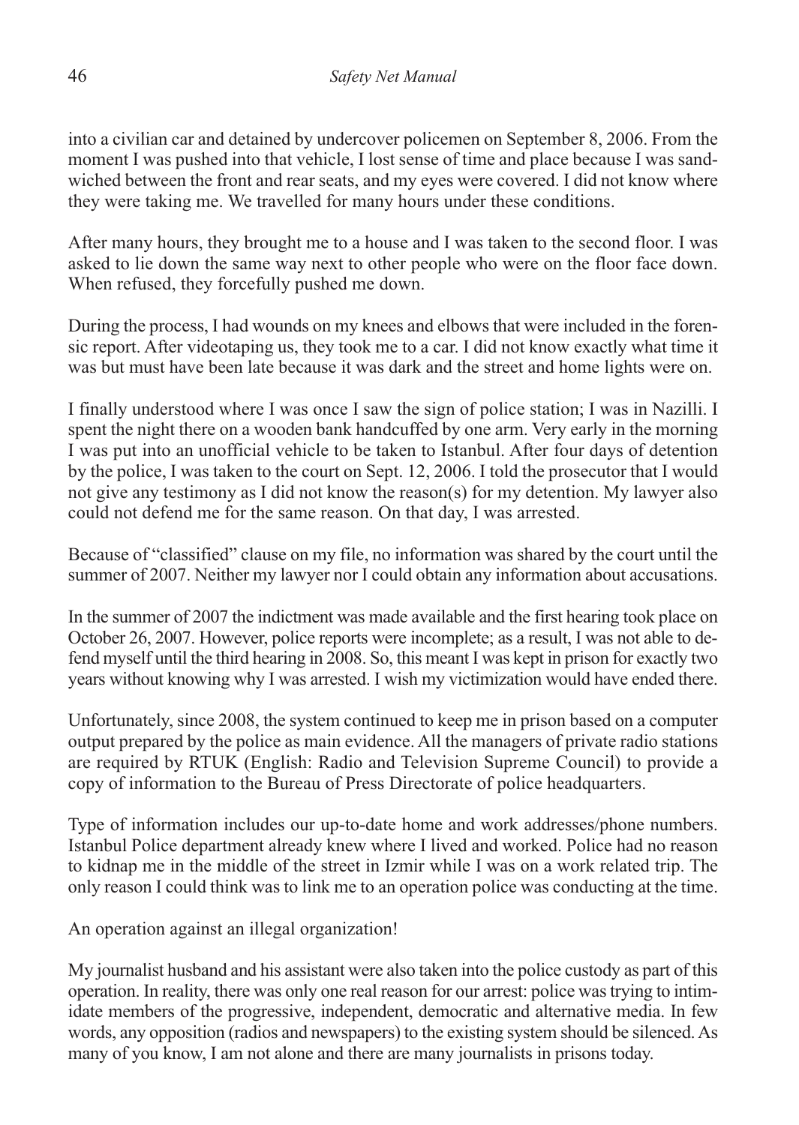into a civilian car and detained by undercover policemen on September 8, 2006. From the moment I was pushed into that vehicle, I lost sense of time and place because I was sandwiched between the front and rear seats, and my eyes were covered. I did not know where they were taking me. We travelled for many hours under these conditions.

After many hours, they brought me to a house and I was taken to the second floor. I was asked to lie down the same way next to other people who were on the floor face down. When refused, they forcefully pushed me down.

During the process, I had wounds on my knees and elbows that were included in the forensic report. After videotaping us, they took me to a car. I did not know exactly what time it was but must have been late because it was dark and the street and home lights were on.

I finally understood where I was once I saw the sign of police station; I was in Nazilli. I spent the night there on a wooden bank handcuffed by one arm. Very early in the morning I was put into an unofficial vehicle to be taken to Istanbul. After four days of detention by the police, I was taken to the court on Sept. 12, 2006. I told the prosecutor that I would not give any testimony as I did not know the reason(s) for my detention. My lawyer also could not defend me for the same reason. On that day, I was arrested.

Because of "classified" clause on my file, no information was shared by the court until the summer of 2007. Neither my lawyer nor I could obtain any information about accusations.

In the summer of 2007 the indictment was made available and the first hearing took place on October 26, 2007. However, police reports were incomplete; as a result, I was not able to defend myself until the third hearing in 2008. So, this meant I was kept in prison for exactly two years without knowing why I was arrested. I wish my victimization would have ended there.

Unfortunately, since 2008, the system continued to keep me in prison based on a computer output prepared by the police as main evidence. All the managers of private radio stations are required by RTUK (English: Radio and Television Supreme Council) to provide a copy of information to the Bureau of Press Directorate of police headquarters.

Type of information includes our up-to-date home and work addresses/phone numbers. Istanbul Police department already knew where I lived and worked. Police had no reason to kidnap me in the middle of the street in Izmir while I was on a work related trip. The only reason I could think was to link me to an operation police was conducting at the time.

An operation against an illegal organization!

My journalist husband and his assistant were also taken into the police custody as part of this operation. In reality, there was only one real reason for our arrest: police was trying to intimidate members of the progressive, independent, democratic and alternative media. In few words, any opposition (radios and newspapers) to the existing system should be silenced. As many of you know, I am not alone and there are many journalists in prisons today.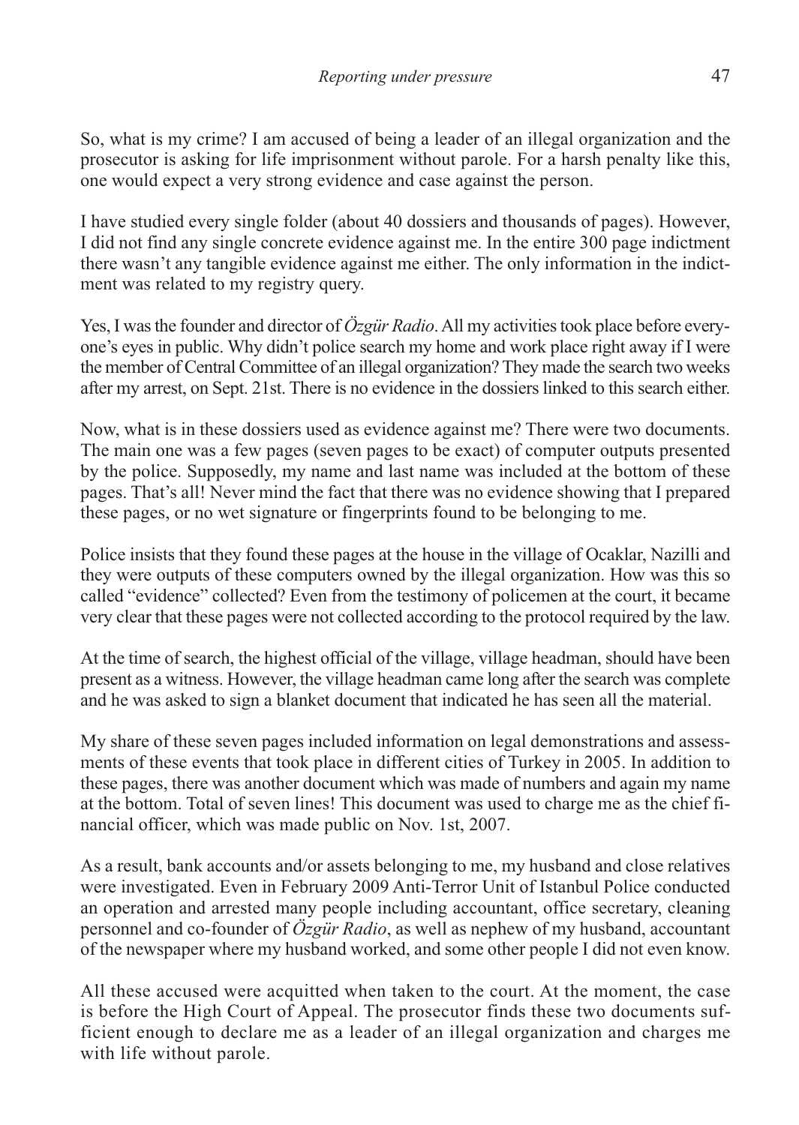So, what is my crime? I am accused of being a leader of an illegal organization and the prosecutor is asking for life imprisonment without parole. For a harsh penalty like this, one would expect a very strong evidence and case against the person.

I have studied every single folder (about 40 dossiers and thousands of pages). However, I did not find any single concrete evidence against me. In the entire 300 page indictment there wasn't any tangible evidence against me either. The only information in the indictment was related to my registry query.

Yes, I was the founder and director of *Özgür Radio*.All my activities took place before everyone's eyes in public. Why didn't police search my home and work place right away if I were the member of Central Committee of an illegal organization? They made the search two weeks after my arrest, on Sept. 21st. There is no evidence in the dossiers linked to this search either.

Now, what is in these dossiers used as evidence against me? There were two documents. The main one was a few pages (seven pages to be exact) of computer outputs presented by the police. Supposedly, my name and last name was included at the bottom of these pages. That's all! Never mind the fact that there was no evidence showing that I prepared these pages, or no wet signature or fingerprints found to be belonging to me.

Police insists that they found these pages at the house in the village of Ocaklar, Nazilli and they were outputs of these computers owned by the illegal organization. How was this so called "evidence" collected? Even from the testimony of policemen at the court, it became very clear that these pages were not collected according to the protocol required by the law.

At the time of search, the highest official of the village, village headman, should have been present as a witness. However, the village headman came long after the search was complete and he was asked to sign a blanket document that indicated he has seen all the material.

My share of these seven pages included information on legal demonstrations and assessments of these events that took place in different cities of Turkey in 2005. In addition to these pages, there was another document which was made of numbers and again my name at the bottom. Total of seven lines! This document was used to charge me as the chief financial officer, which was made public on Nov. 1st, 2007.

As a result, bank accounts and/or assets belonging to me, my husband and close relatives were investigated. Even in February 2009 Anti-Terror Unit of Istanbul Police conducted an operation and arrested many people including accountant, office secretary, cleaning personnel and co-founder of *Özgür Radio*, as well as nephew of my husband, accountant of the newspaper where my husband worked, and some other people I did not even know.

All these accused were acquitted when taken to the court. At the moment, the case is before the High Court of Appeal. The prosecutor finds these two documents sufficient enough to declare me as a leader of an illegal organization and charges me with life without parole.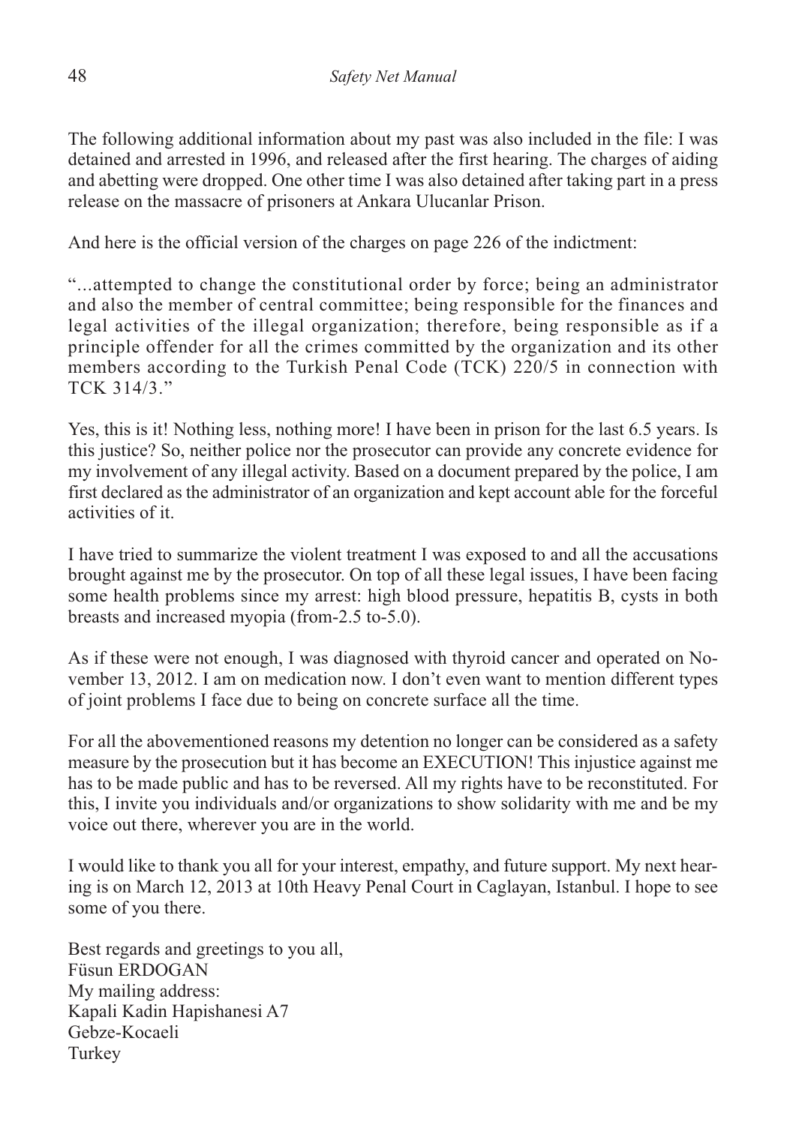The following additional information about my past was also included in the file: I was detained and arrested in 1996, and released after the first hearing. The charges of aiding and abetting were dropped. One other time I was also detained after taking part in a press release on the massacre of prisoners at Ankara Ulucanlar Prison.

And here is the official version of the charges on page 226 of the indictment:

"...attempted to change the constitutional order by force; being an administrator and also the member of central committee; being responsible for the finances and legal activities of the illegal organization; therefore, being responsible as if a principle offender for all the crimes committed by the organization and its other members according to the Turkish Penal Code (TCK) 220/5 in connection with TCK 314/3."

Yes, this is it! Nothing less, nothing more! I have been in prison for the last 6.5 years. Is this justice? So, neither police nor the prosecutor can provide any concrete evidence for my involvement of any illegal activity. Based on a document prepared by the police, I am first declared as the administrator of an organization and kept account able for the forceful activities of it.

I have tried to summarize the violent treatment I was exposed to and all the accusations brought against me by the prosecutor. On top of all these legal issues, I have been facing some health problems since my arrest: high blood pressure, hepatitis B, cysts in both breasts and increased myopia (from-2.5 to-5.0).

As if these were not enough, I was diagnosed with thyroid cancer and operated on November 13, 2012. I am on medication now. I don't even want to mention different types of joint problems I face due to being on concrete surface all the time.

For all the abovementioned reasons my detention no longer can be considered as a safety measure by the prosecution but it has become an EXECUTION! This injustice against me has to be made public and has to be reversed. All my rights have to be reconstituted. For this, I invite you individuals and/or organizations to show solidarity with me and be my voice out there, wherever you are in the world.

I would like to thank you all for your interest, empathy, and future support. My next hearing is on March 12, 2013 at 10th Heavy Penal Court in Caglayan, Istanbul. I hope to see some of you there.

Best regards and greetings to you all, Füsun ERDOGAN My mailing address: Kapali Kadin Hapishanesi A7 Gebze-Kocaeli Turkey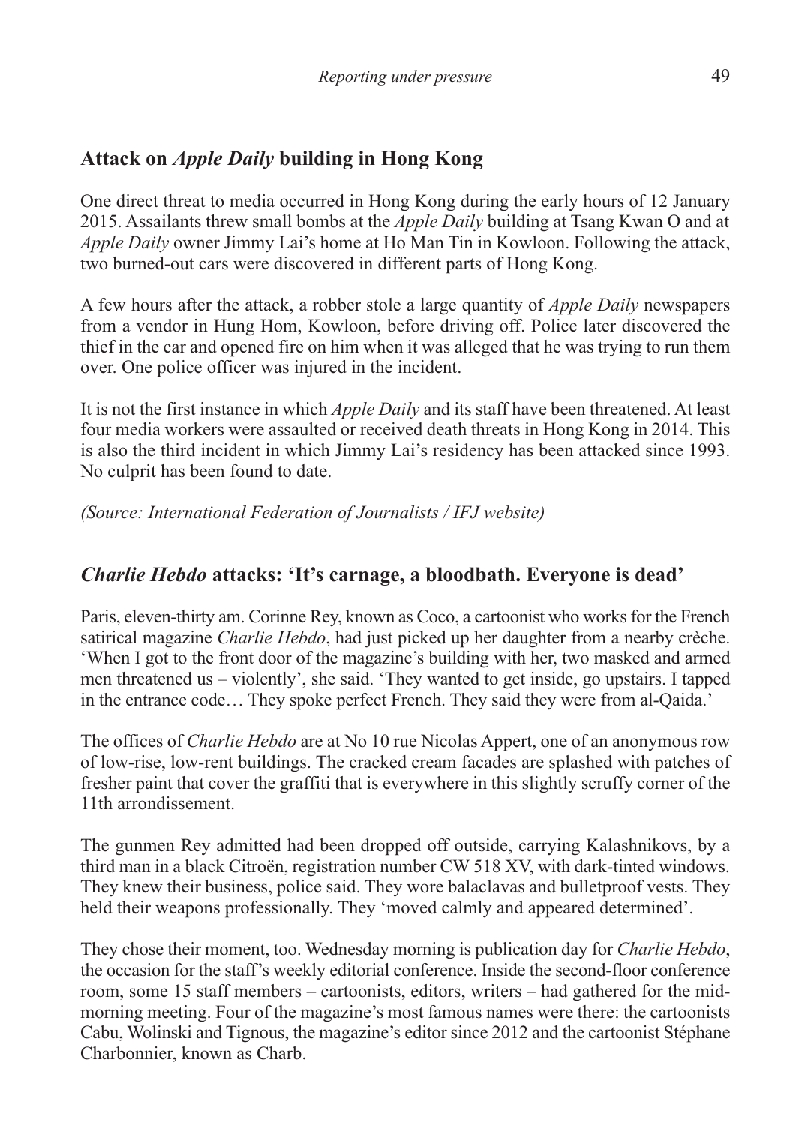# **Attack on** *Apple Daily* **building in Hong Kong**

One direct threat to media occurred in Hong Kong during the early hours of 12 January 2015. Assailants threw small bombs at the *Apple Daily* building at Tsang Kwan O and at *Apple Daily* owner Jimmy Lai's home at Ho Man Tin in Kowloon. Following the attack, two burned-out cars were discovered in different parts of Hong Kong.

A few hours after the attack, a robber stole a large quantity of *Apple Daily* newspapers from a vendor in Hung Hom, Kowloon, before driving off. Police later discovered the thief in the car and opened fire on him when it was alleged that he was trying to run them over. One police officer was injured in the incident.

It is not the first instance in which *Apple Daily* and its staff have been threatened. At least four media workers were assaulted or received death threats in Hong Kong in 2014. This is also the third incident in which Jimmy Lai's residency has been attacked since 1993. No culprit has been found to date.

*(Source: International Federation of Journalists / IFJ website)*

# *Charlie Hebdo* **attacks: 'It's carnage, a bloodbath. Everyone is dead'**

Paris, eleven-thirty am. Corinne Rey, known as Coco, a cartoonist who works for the French satirical magazine *Charlie Hebdo*, had just picked up her daughter from a nearby crèche. 'When I got to the front door of the magazine's building with her, two masked and armed men threatened us – violently', she said. 'They wanted to get inside, go upstairs. I tapped in the entrance code… They spoke perfect French. They said they were from al-Qaida.'

The offices of *Charlie Hebdo* are at No 10 rue Nicolas Appert, one of an anonymous row of low-rise, low-rent buildings. The cracked cream facades are splashed with patches of fresher paint that cover the graffiti that is everywhere in this slightly scruffy corner of the 11th arrondissement.

The gunmen Rey admitted had been dropped off outside, carrying Kalashnikovs, by a third man in a black Citroën, registration number CW 518 XV, with dark-tinted windows. They knew their business, police said. They wore balaclavas and bulletproof vests. They held their weapons professionally. They 'moved calmly and appeared determined'.

They chose their moment, too. Wednesday morning is publication day for *Charlie Hebdo*, the occasion for the staff's weekly editorial conference. Inside the second-floor conference room, some 15 staff members – cartoonists, editors, writers – had gathered for the midmorning meeting. Four of the magazine's most famous names were there: the cartoonists Cabu, Wolinski and Tignous, the magazine's editor since 2012 and the cartoonist Stéphane Charbonnier, known as Charb.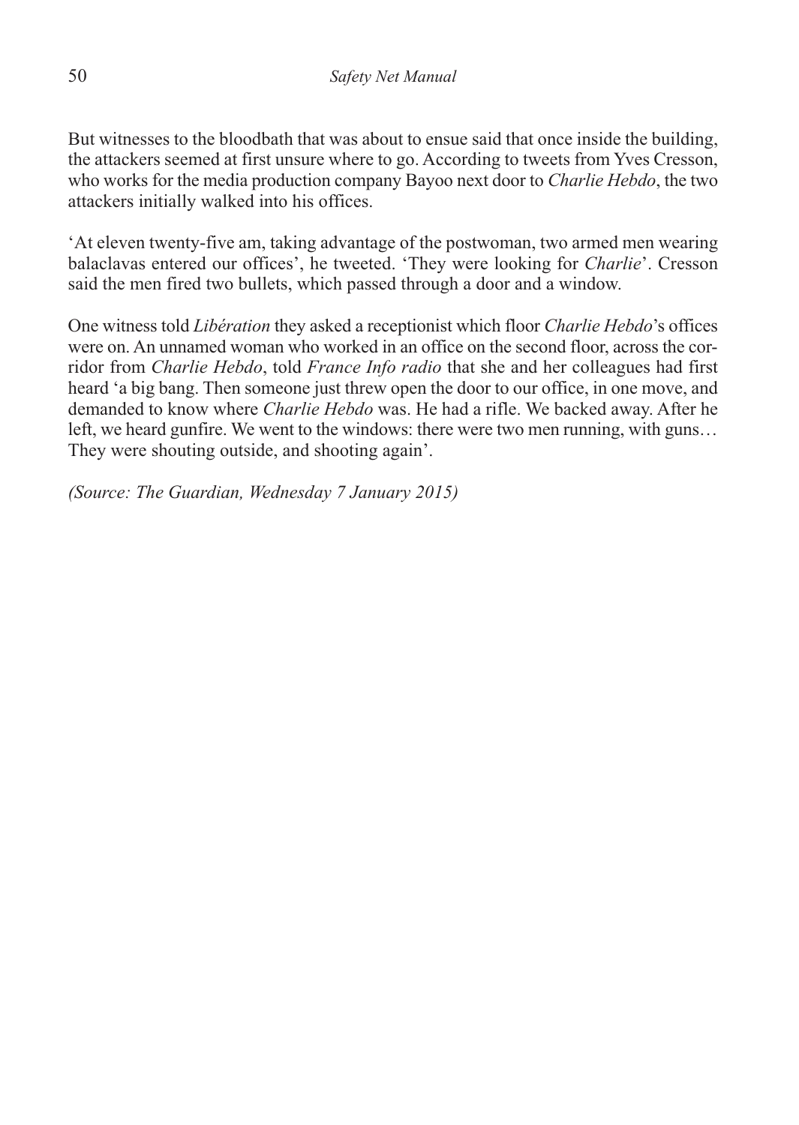But witnesses to the bloodbath that was about to ensue said that once inside the building, the attackers seemed at first unsure where to go. According to tweets from Yves Cresson, who works for the media production company Bayoo next door to *Charlie Hebdo*, the two attackers initially walked into his offices.

'At eleven twenty-five am, taking advantage of the postwoman, two armed men wearing balaclavas entered our offices', he tweeted. 'They were looking for *Charlie*'. Cresson said the men fired two bullets, which passed through a door and a window.

One witness told *Libération* they asked a receptionist which floor *Charlie Hebdo*'s offices were on. An unnamed woman who worked in an office on the second floor, across the corridor from *Charlie Hebdo*, told *France Info radio* that she and her colleagues had first heard 'a big bang. Then someone just threw open the door to our office, in one move, and demanded to know where *Charlie Hebdo* was. He had a rifle. We backed away. After he left, we heard gunfire. We went to the windows: there were two men running, with guns… They were shouting outside, and shooting again'.

*(Source: The Guardian, Wednesday 7 January 2015)*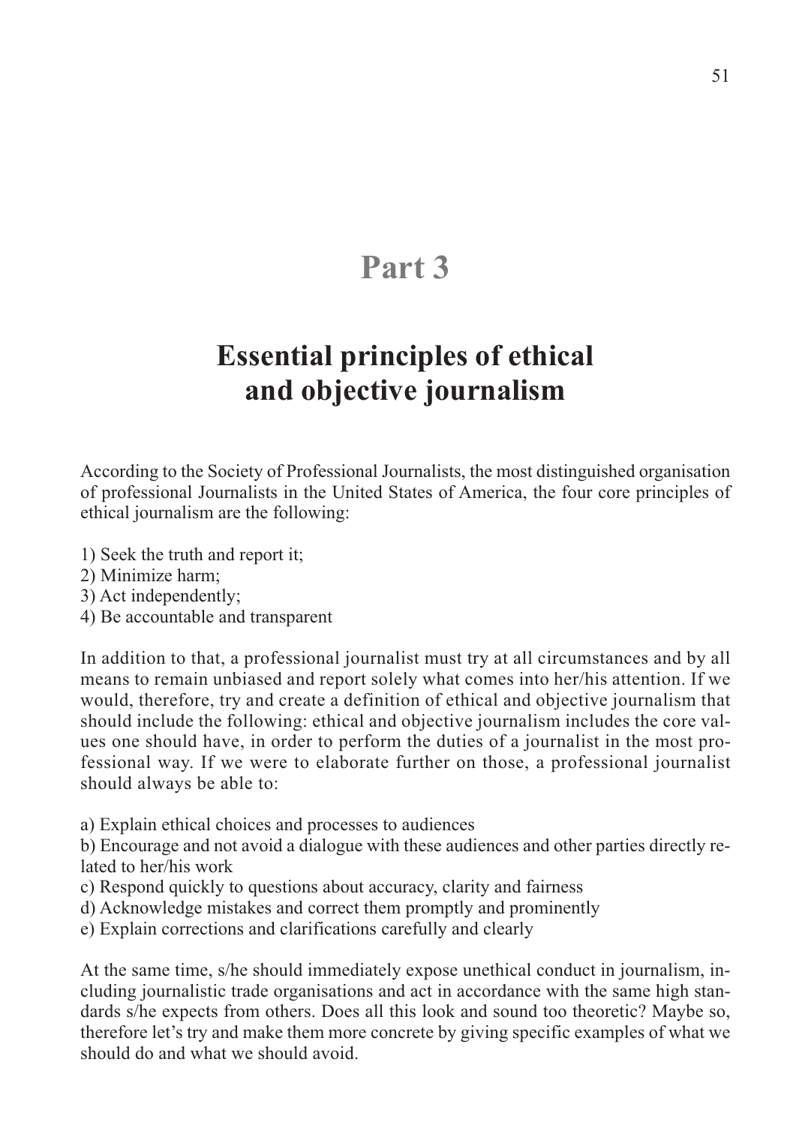# **Part 3**

# **Essential principles of ethical and objective journalism**

According to the Society of Professional Journalists, the most distinguished organisation of professional Journalists in the United States of America, the four core principles of ethical journalism are the following:

- 1) Seek the truth and report it;
- 2) Minimize harm;
- 3) Act independently;
- 4) Be accountable and transparent

In addition to that, a professional journalist must try at all circumstances and by all means to remain unbiased and report solely what comes into her/his attention. If we would, therefore, try and create a definition of ethical and objective journalism that should include the following: ethical and objective journalism includes the core values one should have, in order to perform the duties of a journalist in the most professional way. If we were to elaborate further on those, a professional journalist should always be able to:

a) Explain ethical choices and processes to audiences

b) Encourage and not avoid a dialogue with these audiences and other parties directly related to her/his work

- c) Respond quickly to questions about accuracy, clarity and fairness
- d) Acknowledge mistakes and correct them promptly and prominently
- e) Explain corrections and clarifications carefully and clearly

At the same time, s/he should immediately expose unethical conduct in journalism, including journalistic trade organisations and act in accordance with the same high standards s/he expects from others. Does all this look and sound too theoretic? Maybe so, therefore let's try and make them more concrete by giving specific examples of what we should do and what we should avoid.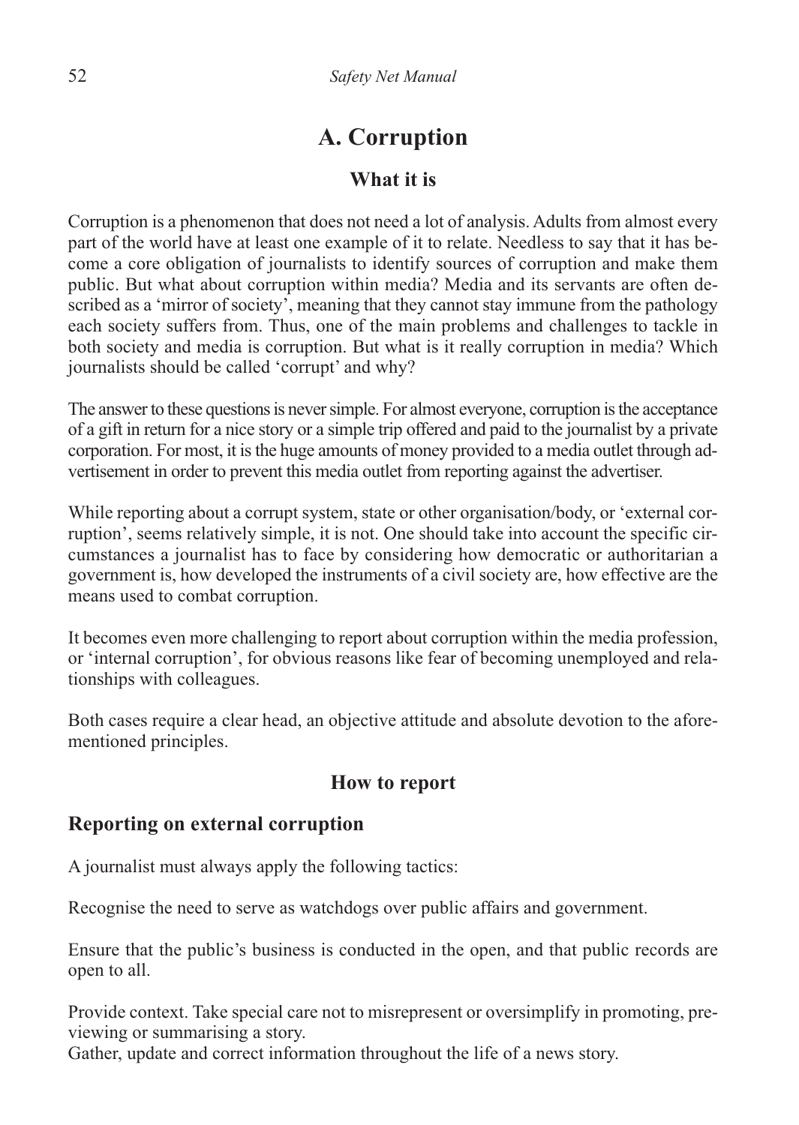# **A. Corruption**

# **What it is**

Corruption is a phenomenon that does not need a lot of analysis. Adults from almost every part of the world have at least one example of it to relate. Needless to say that it has become a core obligation of journalists to identify sources of corruption and make them public. But what about corruption within media? Media and its servants are often described as a 'mirror of society', meaning that they cannot stay immune from the pathology each society suffers from. Thus, one of the main problems and challenges to tackle in both society and media is corruption. But what is it really corruption in media? Which journalists should be called 'corrupt' and why?

The answer to these questions is never simple. For almost everyone, corruption is the acceptance of a gift in return for a nice story or a simple trip offered and paid to the journalist by a private corporation. For most, it is the huge amounts of money provided to a media outlet through advertisement in order to prevent this media outlet from reporting against the advertiser.

While reporting about a corrupt system, state or other organisation/body, or 'external corruption', seems relatively simple, it is not. One should take into account the specific circumstances a journalist has to face by considering how democratic or authoritarian a government is, how developed the instruments of a civil society are, how effective are the means used to combat corruption.

It becomes even more challenging to report about corruption within the media profession, or 'internal corruption', for obvious reasons like fear of becoming unemployed and relationships with colleagues.

Both cases require a clear head, an objective attitude and absolute devotion to the aforementioned principles.

#### **How to report**

#### **Reporting on external corruption**

A journalist must always apply the following tactics:

Recognise the need to serve as watchdogs over public affairs and government.

Ensure that the public's business is conducted in the open, and that public records are open to all.

Provide context. Take special care not to misrepresent or oversimplify in promoting, previewing or summarising a story.

Gather, update and correct information throughout the life of a news story.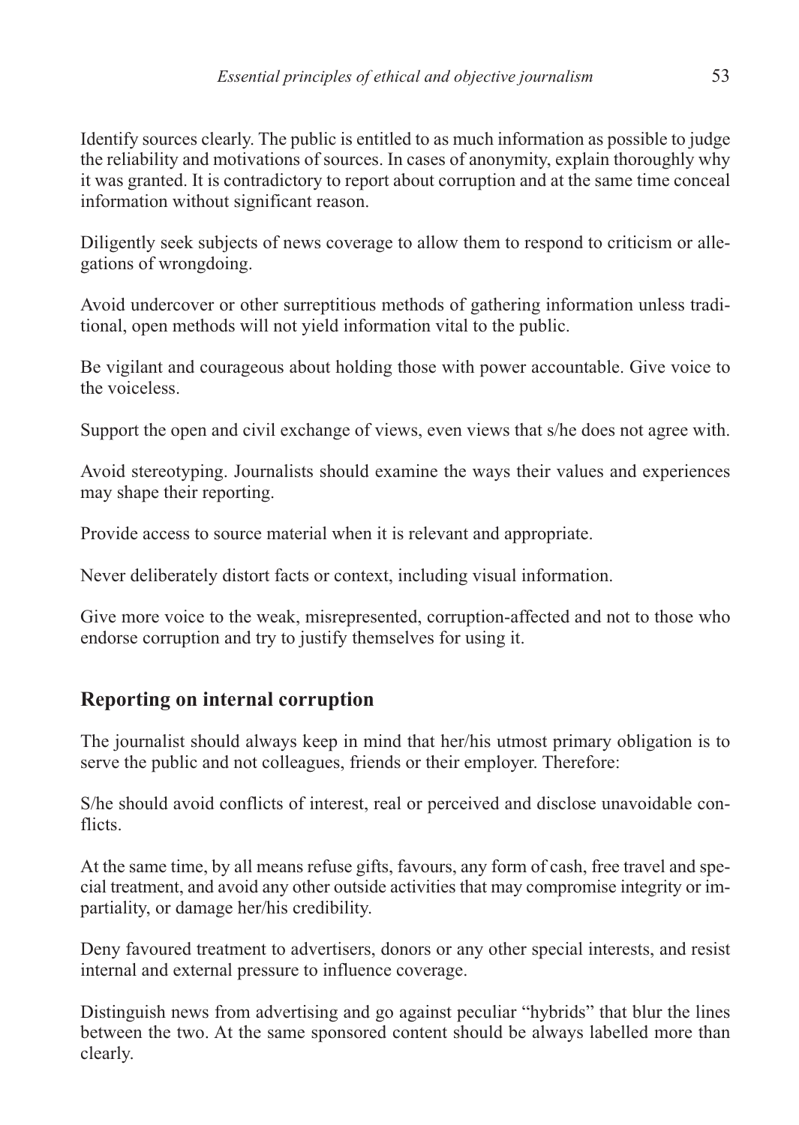Identify sources clearly. The public is entitled to as much information as possible to judge the reliability and motivations of sources. In cases of anonymity, explain thoroughly why it was granted. It is contradictory to report about corruption and at the same time conceal information without significant reason.

Diligently seek subjects of news coverage to allow them to respond to criticism or allegations of wrongdoing.

Avoid undercover or other surreptitious methods of gathering information unless traditional, open methods will not yield information vital to the public.

Be vigilant and courageous about holding those with power accountable. Give voice to the voiceless.

Support the open and civil exchange of views, even views that s/he does not agree with.

Avoid stereotyping. Journalists should examine the ways their values and experiences may shape their reporting.

Provide access to source material when it is relevant and appropriate.

Never deliberately distort facts or context, including visual information.

Give more voice to the weak, misrepresented, corruption-affected and not to those who endorse corruption and try to justify themselves for using it.

# **Reporting on internal corruption**

The journalist should always keep in mind that her/his utmost primary obligation is to serve the public and not colleagues, friends or their employer. Therefore:

S/he should avoid conflicts of interest, real or perceived and disclose unavoidable conflicts.

At the same time, by all means refuse gifts, favours, any form of cash, free travel and special treatment, and avoid any other outside activities that may compromise integrity or impartiality, or damage her/his credibility.

Deny favoured treatment to advertisers, donors or any other special interests, and resist internal and external pressure to influence coverage.

Distinguish news from advertising and go against peculiar "hybrids" that blur the lines between the two. At the same sponsored content should be always labelled more than clearly.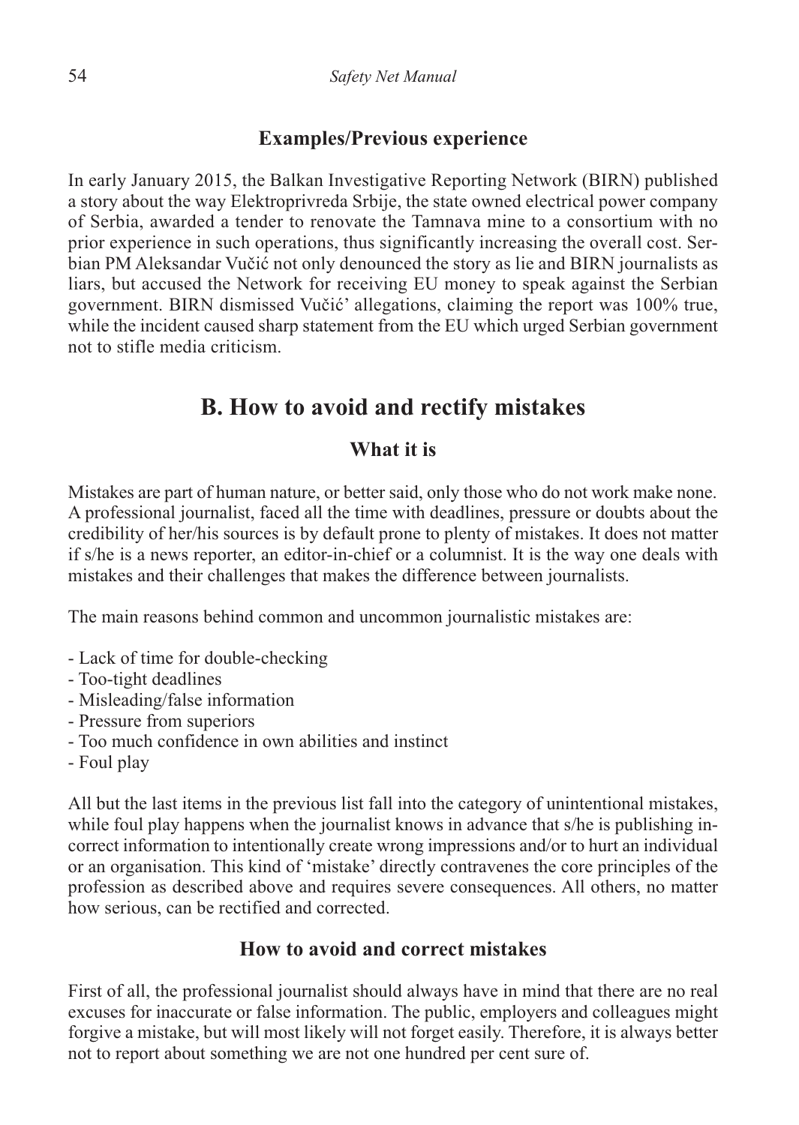#### **Examples/Previous experience**

In early January 2015, the Balkan Investigative Reporting Network (BIRN) published a story about the way Elektroprivreda Srbije, the state owned electrical power company of Serbia, awarded a tender to renovate the Tamnava mine to a consortium with no prior experience in such operations, thus significantly increasing the overall cost. Serbian PM Aleksandar Vučić not only denounced the story as lie and BIRN journalists as liars, but accused the Network for receiving EU money to speak against the Serbian government. BIRN dismissed Vučić' allegations, claiming the report was 100% true, while the incident caused sharp statement from the EU which urged Serbian government not to stifle media criticism.

# **B. How to avoid and rectify mistakes**

#### **What it is**

Mistakes are part of human nature, or better said, only those who do not work make none. A professional journalist, faced all the time with deadlines, pressure or doubts about the credibility of her/his sources is by default prone to plenty of mistakes. It does not matter if s/he is a news reporter, an editor-in-chief or a columnist. It is the way one deals with mistakes and their challenges that makes the difference between journalists.

The main reasons behind common and uncommon journalistic mistakes are:

- Lack of time for double-checking
- Too-tight deadlines
- Misleading/false information
- Pressure from superiors
- Too much confidence in own abilities and instinct
- Foul play

All but the last items in the previous list fall into the category of unintentional mistakes, while foul play happens when the journalist knows in advance that s/he is publishing incorrect information to intentionally create wrong impressions and/or to hurt an individual or an organisation. This kind of 'mistake' directly contravenes the core principles of the profession as described above and requires severe consequences. All others, no matter how serious, can be rectified and corrected.

#### **How to avoid and correct mistakes**

First of all, the professional journalist should always have in mind that there are no real excuses for inaccurate or false information. The public, employers and colleagues might forgive a mistake, but will most likely will not forget easily. Therefore, it is always better not to report about something we are not one hundred per cent sure of.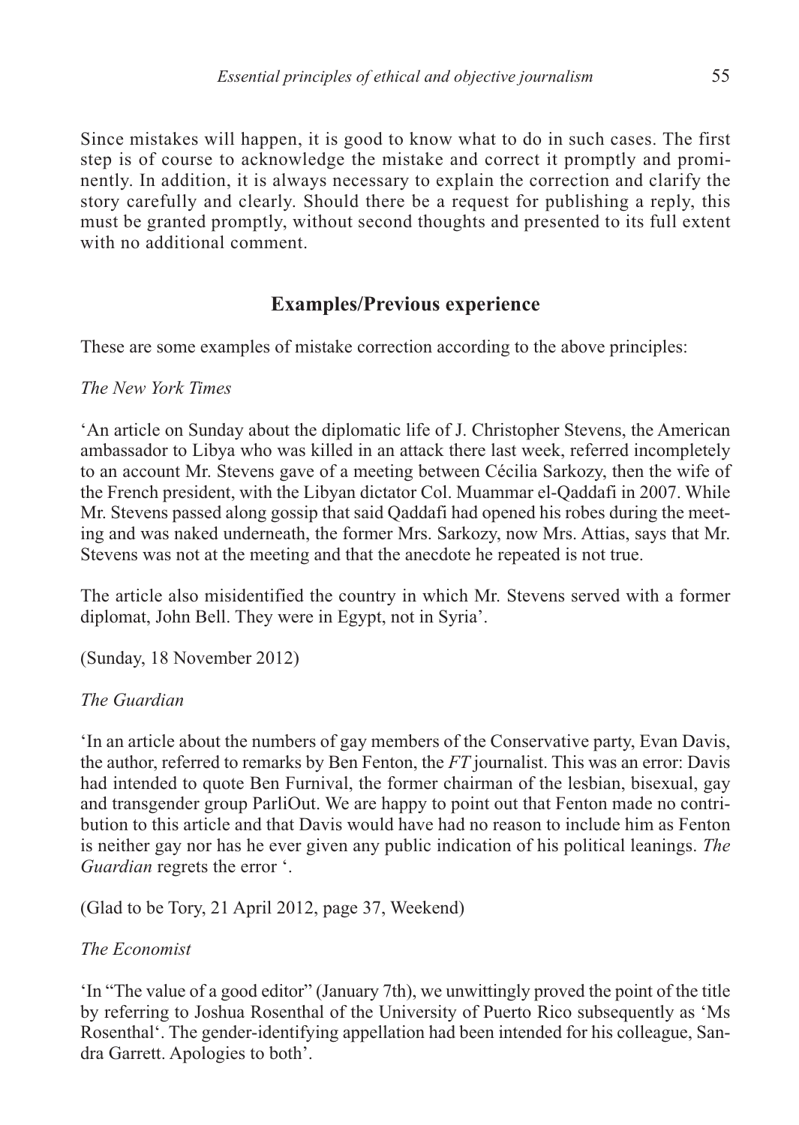Since mistakes will happen, it is good to know what to do in such cases. The first step is of course to acknowledge the mistake and correct it promptly and prominently. In addition, it is always necessary to explain the correction and clarify the story carefully and clearly. Should there be a request for publishing a reply, this must be granted promptly, without second thoughts and presented to its full extent with no additional comment.

# **Examples/Previous experience**

These are some examples of mistake correction according to the above principles:

*The New York Times*

'An article on Sunday about the diplomatic life of J. Christopher Stevens, the American ambassador to Libya who was killed in an attack there last week, referred incompletely to an account Mr. Stevens gave of a meeting between Cécilia Sarkozy, then the wife of the French president, with the Libyan dictator Col. Muammar el-Qaddafi in 2007. While Mr. Stevens passed along gossip that said Qaddafi had opened his robes during the meeting and was naked underneath, the former Mrs. Sarkozy, now Mrs. Attias, says that Mr. Stevens was not at the meeting and that the anecdote he repeated is not true.

The article also misidentified the country in which Mr. Stevens served with a former diplomat, John Bell. They were in Egypt, not in Syria'.

(Sunday, 18 November 2012)

#### *The Guardian*

'In an article about the numbers of gay members of the Conservative party, Evan Davis, the author, referred to remarks by Ben Fenton, the *FT* journalist. This was an error: Davis had intended to quote Ben Furnival, the former chairman of the lesbian, bisexual, gay and transgender group ParliOut. We are happy to point out that Fenton made no contribution to this article and that Davis would have had no reason to include him as Fenton is neither gay nor has he ever given any public indication of his political leanings. *The Guardian* regrets the error '.

(Glad to be Tory, 21 April 2012, page 37, Weekend)

#### *The Economist*

'In "The value of a good editor" (January 7th), we unwittingly proved the point of the title by referring to Joshua Rosenthal of the University of Puerto Rico subsequently as 'Ms Rosenthal'. The gender-identifying appellation had been intended for his colleague, Sandra Garrett. Apologies to both'.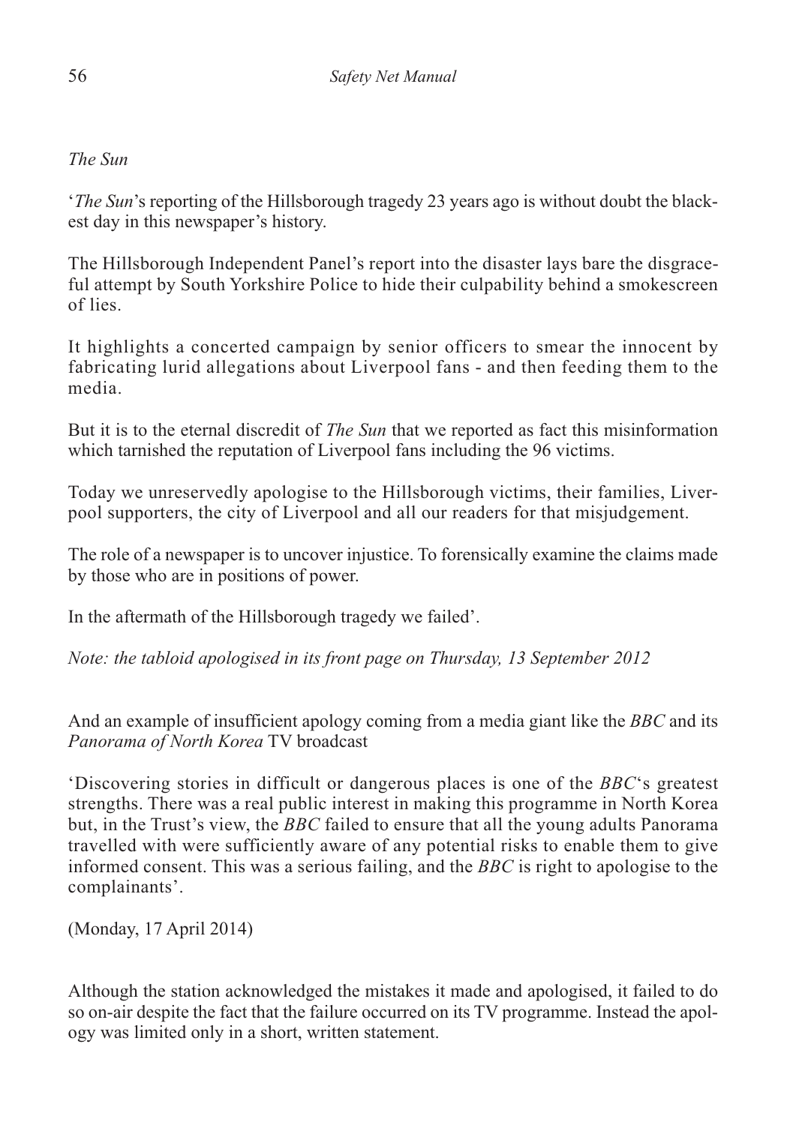#### *The Sun*

'*The Sun*'s reporting of the Hillsborough tragedy 23 years ago is without doubt the blackest day in this newspaper's history.

The Hillsborough Independent Panel's report into the disaster lays bare the disgraceful attempt by South Yorkshire Police to hide their culpability behind a smokescreen of lies.

It highlights a concerted campaign by senior officers to smear the innocent by fabricating lurid allegations about Liverpool fans - and then feeding them to the media.

But it is to the eternal discredit of *The Sun* that we reported as fact this misinformation which tarnished the reputation of Liverpool fans including the 96 victims.

Today we unreservedly apologise to the Hillsborough victims, their families, Liverpool supporters, the city of Liverpool and all our readers for that misjudgement.

The role of a newspaper is to uncover injustice. To forensically examine the claims made by those who are in positions of power.

In the aftermath of the Hillsborough tragedy we failed'.

*Note: the tabloid apologised in its front page on Thursday, 13 September 2012*

And an example of insufficient apology coming from a media giant like the *BBC* and its *Panorama of North Korea* TV broadcast

'Discovering stories in difficult or dangerous places is one of the *BBC*'s greatest strengths. There was a real public interest in making this programme in North Korea but, in the Trust's view, the *BBC* failed to ensure that all the young adults Panorama travelled with were sufficiently aware of any potential risks to enable them to give informed consent. This was a serious failing, and the *BBC* is right to apologise to the complainants'.

(Monday, 17 April 2014)

Although the station acknowledged the mistakes it made and apologised, it failed to do so on-air despite the fact that the failure occurred on its TV programme. Instead the apology was limited only in a short, written statement.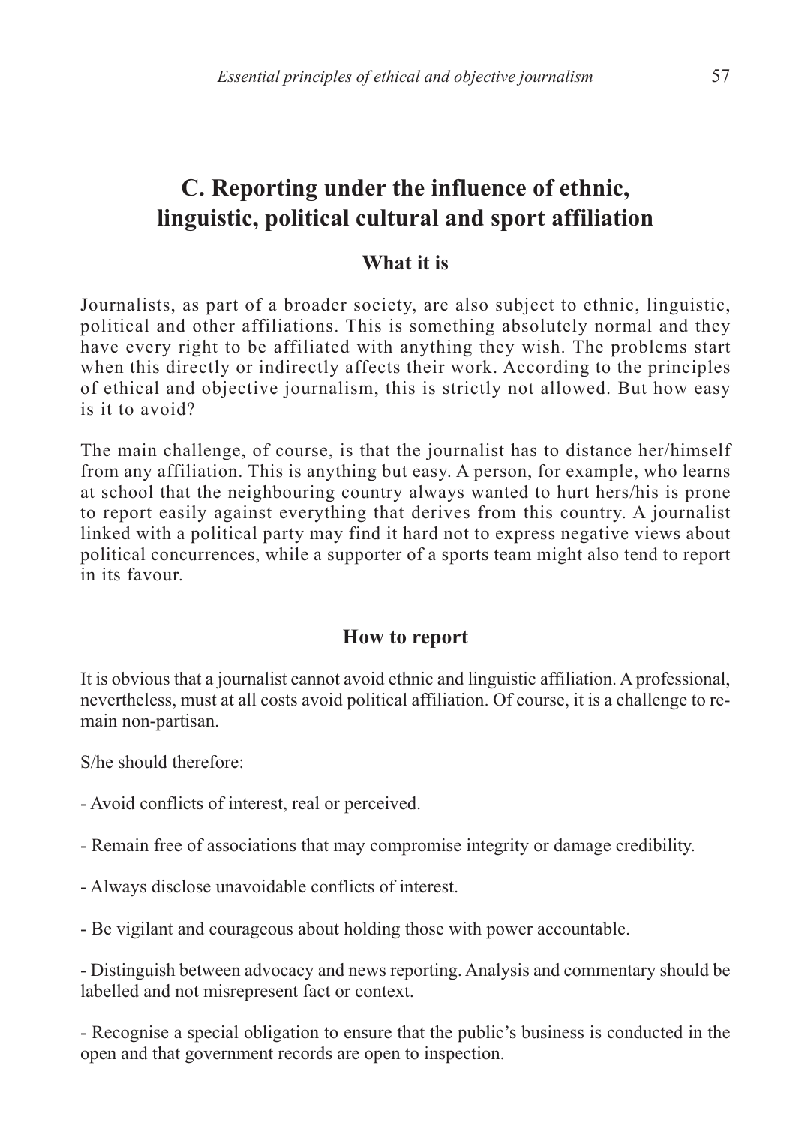# **C. Reporting under the influence of ethnic, linguistic, political cultural and sport affiliation**

#### **What it is**

Journalists, as part of a broader society, are also subject to ethnic, linguistic, political and other affiliations. This is something absolutely normal and they have every right to be affiliated with anything they wish. The problems start when this directly or indirectly affects their work. According to the principles of ethical and objective journalism, this is strictly not allowed. But how easy is it to avoid?

The main challenge, of course, is that the journalist has to distance her/himself from any affiliation. This is anything but easy. A person, for example, who learns at school that the neighbouring country always wanted to hurt hers/his is prone to report easily against everything that derives from this country. A journalist linked with a political party may find it hard not to express negative views about political concurrences, while a supporter of a sports team might also tend to report in its favour.

#### **How to report**

It is obvious that a journalist cannot avoid ethnic and linguistic affiliation. A professional, nevertheless, must at all costs avoid political affiliation. Of course, it is a challenge to remain non-partisan.

S/he should therefore:

- Avoid conflicts of interest, real or perceived.

- Remain free of associations that may compromise integrity or damage credibility.

- Always disclose unavoidable conflicts of interest.

- Be vigilant and courageous about holding those with power accountable.

- Distinguish between advocacy and news reporting. Analysis and commentary should be labelled and not misrepresent fact or context.

- Recognise a special obligation to ensure that the public's business is conducted in the open and that government records are open to inspection.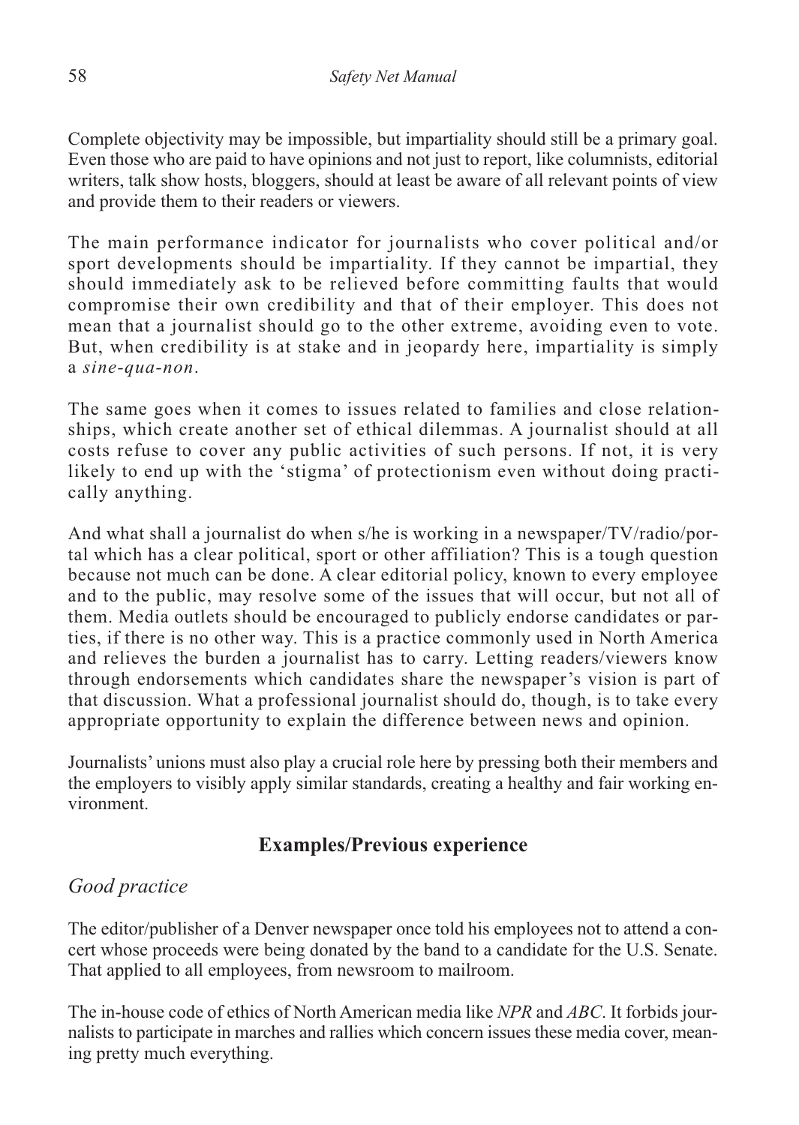Complete objectivity may be impossible, but impartiality should still be a primary goal. Even those who are paid to have opinions and not just to report, like columnists, editorial writers, talk show hosts, bloggers, should at least be aware of all relevant points of view and provide them to their readers or viewers.

The main performance indicator for journalists who cover political and/or sport developments should be impartiality. If they cannot be impartial, they should immediately ask to be relieved before committing faults that would compromise their own credibility and that of their employer. This does not mean that a journalist should go to the other extreme, avoiding even to vote. But, when credibility is at stake and in jeopardy here, impartiality is simply a *sine-qua-non*.

The same goes when it comes to issues related to families and close relationships, which create another set of ethical dilemmas. A journalist should at all costs refuse to cover any public activities of such persons. If not, it is very likely to end up with the 'stigma' of protectionism even without doing practically anything.

And what shall a journalist do when s/he is working in a newspaper/TV/radio/portal which has a clear political, sport or other affiliation? This is a tough question because not much can be done. A clear editorial policy, known to every employee and to the public, may resolve some of the issues that will occur, but not all of them. Media outlets should be encouraged to publicly endorse candidates or parties, if there is no other way. This is a practice commonly used in North America and relieves the burden a journalist has to carry. Letting readers/viewers know through endorsements which candidates share the newspaper's vision is part of that discussion. What a professional journalist should do, though, is to take every appropriate opportunity to explain the difference between news and opinion.

Journalists' unions must also play a crucial role here by pressing both their members and the employers to visibly apply similar standards, creating a healthy and fair working environment.

# **Examples/Previous experience**

# *Good practice*

The editor/publisher of a Denver newspaper once told his employees not to attend a concert whose proceeds were being donated by the band to a candidate for the U.S. Senate. That applied to all employees, from newsroom to mailroom.

The in-house code of ethics of North American media like *NPR* and *ABC*. It forbids journalists to participate in marches and rallies which concern issues these media cover, meaning pretty much everything.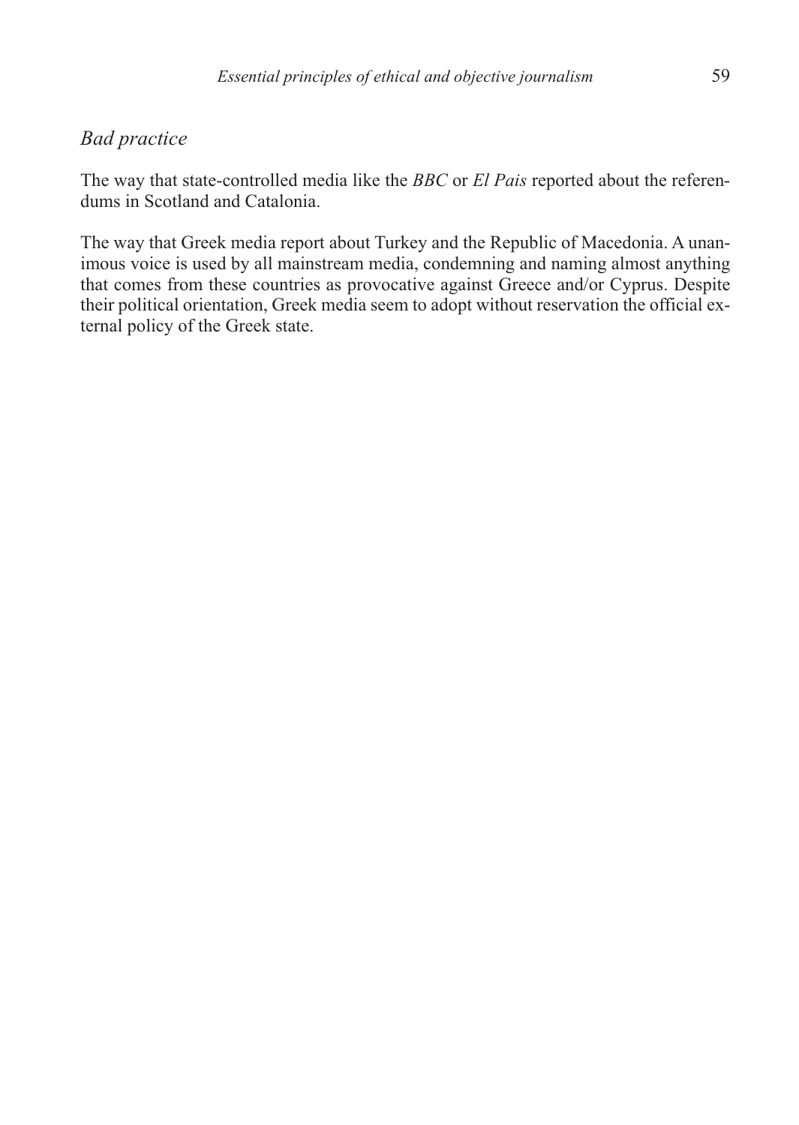#### *Bad practice*

The way that state-controlled media like the *BBC* or *El Pais* reported about the referendums in Scotland and Catalonia.

The way that Greek media report about Turkey and the Republic of Macedonia. A unanimous voice is used by all mainstream media, condemning and naming almost anything that comes from these countries as provocative against Greece and/or Cyprus. Despite their political orientation, Greek media seem to adopt without reservation the official external policy of the Greek state.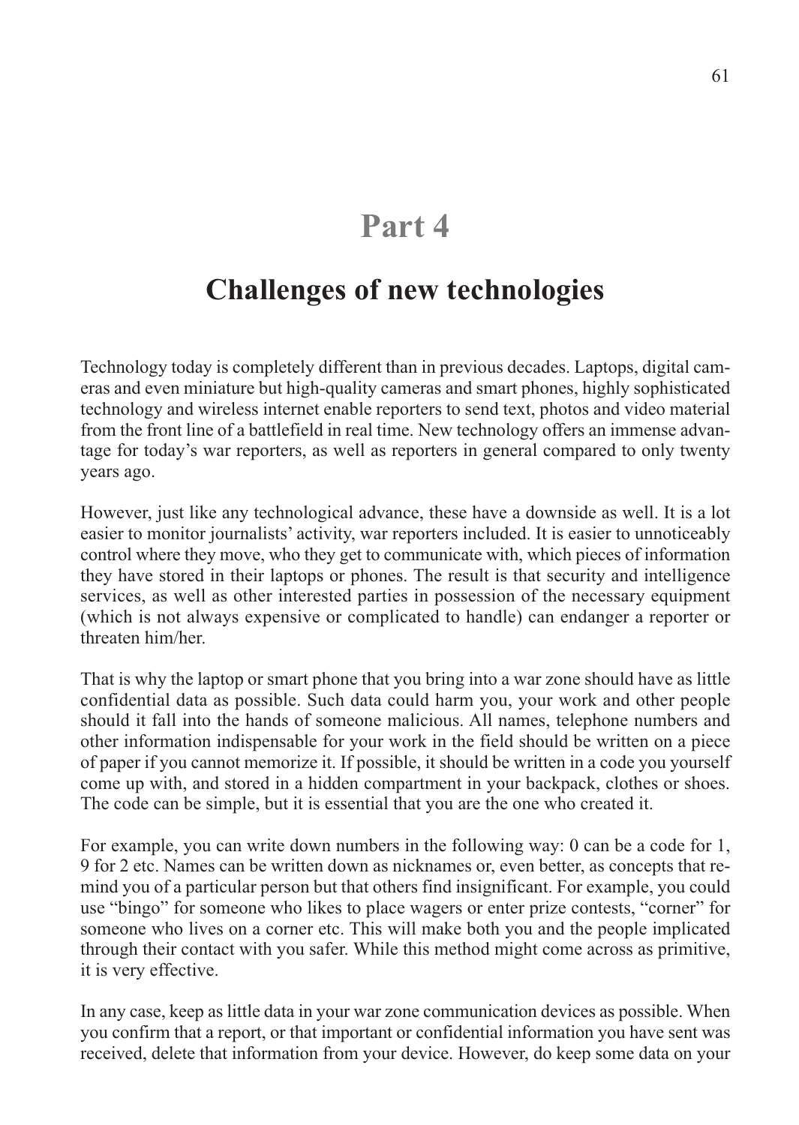# **Part 4**

# **Challenges of new technologies**

Technology today is completely different than in previous decades. Laptops, digital cameras and even miniature but high-quality cameras and smart phones, highly sophisticated technology and wireless internet enable reporters to send text, photos and video material from the front line of a battlefield in real time. New technology offers an immense advantage for today's war reporters, as well as reporters in general compared to only twenty years ago.

However, just like any technological advance, these have a downside as well. It is a lot easier to monitor journalists' activity, war reporters included. It is easier to unnoticeably control where they move, who they get to communicate with, which pieces of information they have stored in their laptops or phones. The result is that security and intelligence services, as well as other interested parties in possession of the necessary equipment (which is not always expensive or complicated to handle) can endanger a reporter or threaten him/her.

That is why the laptop or smart phone that you bring into a war zone should have as little confidential data as possible. Such data could harm you, your work and other people should it fall into the hands of someone malicious. All names, telephone numbers and other information indispensable for your work in the field should be written on a piece of paper if you cannot memorize it. If possible, it should be written in a code you yourself come up with, and stored in a hidden compartment in your backpack, clothes or shoes. The code can be simple, but it is essential that you are the one who created it.

For example, you can write down numbers in the following way: 0 can be a code for 1, 9 for 2 etc. Names can be written down as nicknames or, even better, as concepts that remind you of a particular person but that others find insignificant. For example, you could use "bingo" for someone who likes to place wagers or enter prize contests, "corner" for someone who lives on a corner etc. This will make both you and the people implicated through their contact with you safer. While this method might come across as primitive, it is very effective.

In any case, keep as little data in your war zone communication devices as possible. When you confirm that a report, or that important or confidential information you have sent was received, delete that information from your device. However, do keep some data on your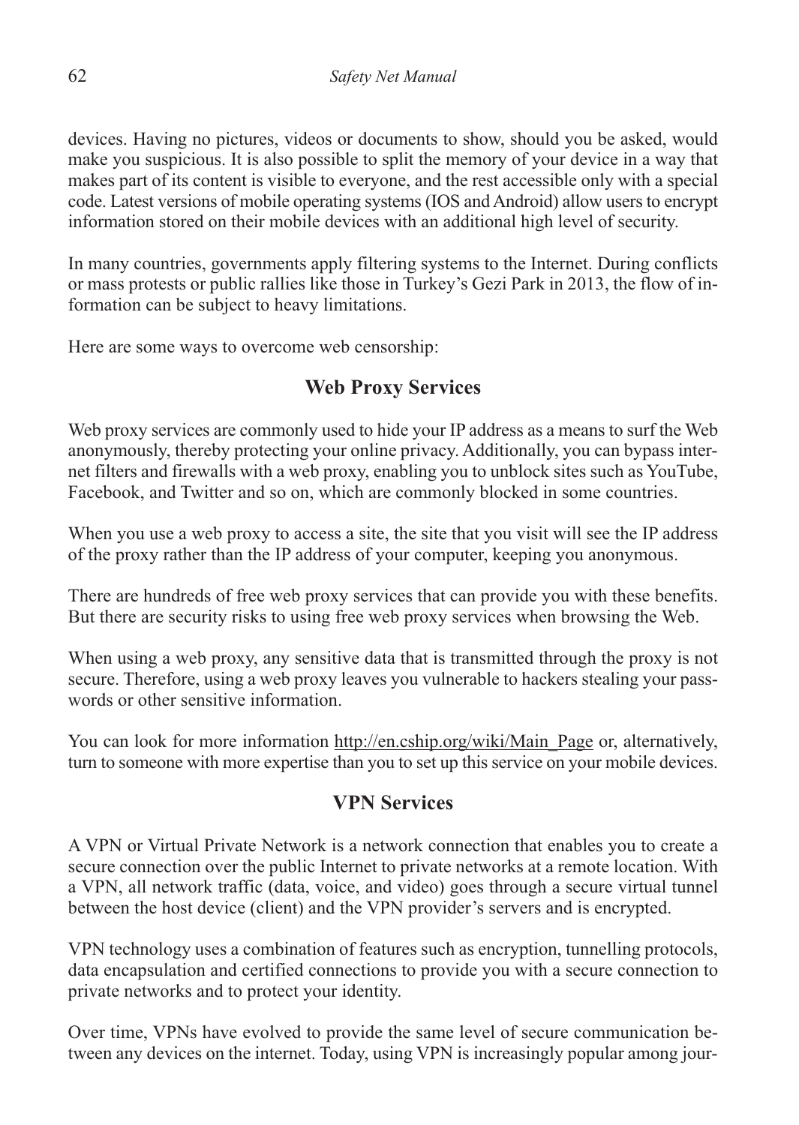devices. Having no pictures, videos or documents to show, should you be asked, would make you suspicious. It is also possible to split the memory of your device in a way that makes part of its content is visible to everyone, and the rest accessible only with a special code. Latest versions of mobile operating systems (IOS and Android) allow users to encrypt information stored on their mobile devices with an additional high level of security.

In many countries, governments apply filtering systems to the Internet. During conflicts or mass protests or public rallies like those in Turkey's Gezi Park in 2013, the flow of information can be subject to heavy limitations.

Here are some ways to overcome web censorship:

# **Web Proxy Services**

Web proxy services are commonly used to hide your IP address as a means to surf the Web anonymously, thereby protecting your online privacy. Additionally, you can bypass internet filters and firewalls with a web proxy, enabling you to unblock sites such as YouTube, Facebook, and Twitter and so on, which are commonly blocked in some countries.

When you use a web proxy to access a site, the site that you visit will see the IP address of the proxy rather than the IP address of your computer, keeping you anonymous.

There are hundreds of free web proxy services that can provide you with these benefits. But there are security risks to using free web proxy services when browsing the Web.

When using a web proxy, any sensitive data that is transmitted through the proxy is not secure. Therefore, using a web proxy leaves you vulnerable to hackers stealing your passwords or other sensitive information.

You can look for more information http://en.cship.org/wiki/Main\_Page or, alternatively, turn to someone with more expertise than you to set up this service on your mobile devices.

# **VPN Services**

A VPN or Virtual Private Network is a network connection that enables you to create a secure connection over the public Internet to private networks at a remote location. With a VPN, all network traffic (data, voice, and video) goes through a secure virtual tunnel between the host device (client) and the VPN provider's servers and is encrypted.

VPN technology uses a combination of features such as encryption, tunnelling protocols, data encapsulation and certified connections to provide you with a secure connection to private networks and to protect your identity.

Over time, VPNs have evolved to provide the same level of secure communication between any devices on the internet. Today, using VPN is increasingly popular among jour-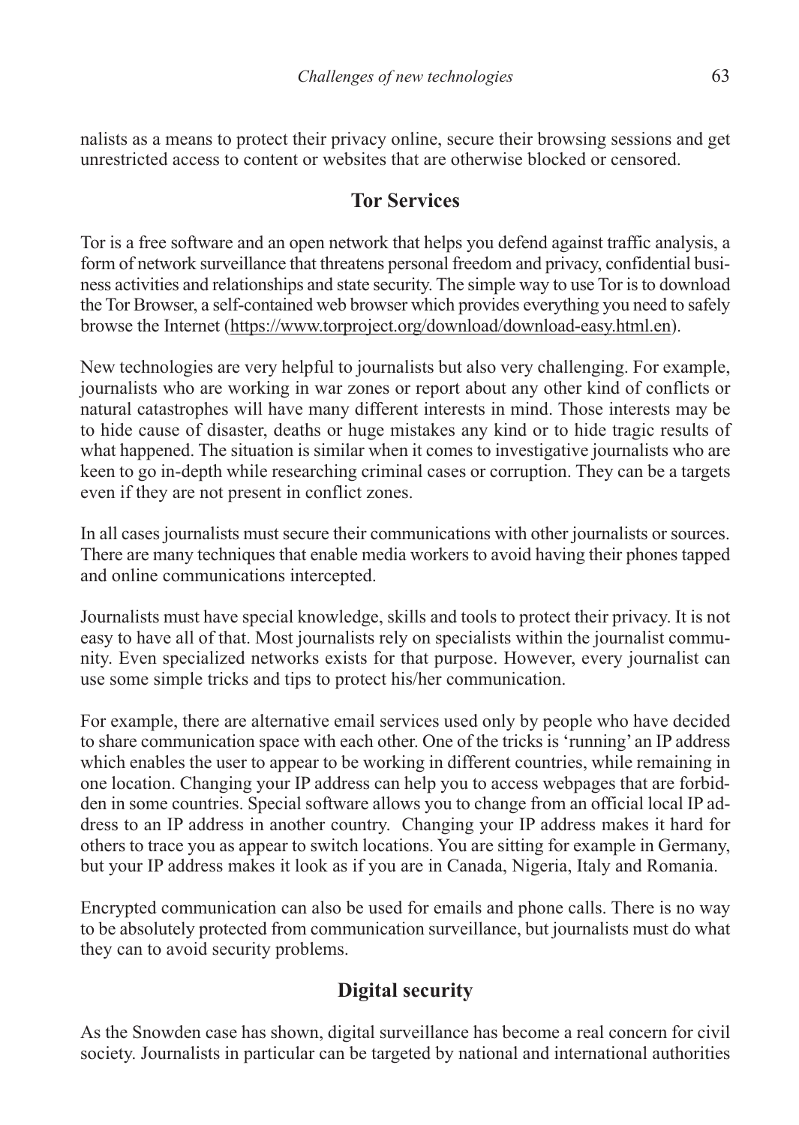nalists as a means to protect their privacy online, secure their browsing sessions and get unrestricted access to content or websites that are otherwise blocked or censored.

### **Tor Services**

Tor is a free software and an open network that helps you defend against traffic analysis, a form of network surveillance that threatens personal freedom and privacy, confidential business activities and relationships and state security. The simple way to use Tor is to download the Tor Browser, a self-contained web browser which provides everything you need to safely browse the Internet (https://www.torproject.org/download/download-easy.html.en).

New technologies are very helpful to journalists but also very challenging. For example, journalists who are working in war zones or report about any other kind of conflicts or natural catastrophes will have many different interests in mind. Those interests may be to hide cause of disaster, deaths or huge mistakes any kind or to hide tragic results of what happened. The situation is similar when it comes to investigative journalists who are keen to go in-depth while researching criminal cases or corruption. They can be a targets even if they are not present in conflict zones.

In all cases journalists must secure their communications with other journalists or sources. There are many techniques that enable media workers to avoid having their phones tapped and online communications intercepted.

Journalists must have special knowledge, skills and tools to protect their privacy. It is not easy to have all of that. Most journalists rely on specialists within the journalist community. Even specialized networks exists for that purpose. However, every journalist can use some simple tricks and tips to protect his/her communication.

For example, there are alternative email services used only by people who have decided to share communication space with each other. One of the tricks is 'running' an IP address which enables the user to appear to be working in different countries, while remaining in one location. Changing your IP address can help you to access webpages that are forbidden in some countries. Special software allows you to change from an official local IP address to an IP address in another country. Changing your IP address makes it hard for others to trace you as appear to switch locations. You are sitting for example in Germany, but your IP address makes it look as if you are in Canada, Nigeria, Italy and Romania.

Encrypted communication can also be used for emails and phone calls. There is no way to be absolutely protected from communication surveillance, but journalists must do what they can to avoid security problems.

# **Digital security**

As the Snowden case has shown, digital surveillance has become a real concern for civil society. Journalists in particular can be targeted by national and international authorities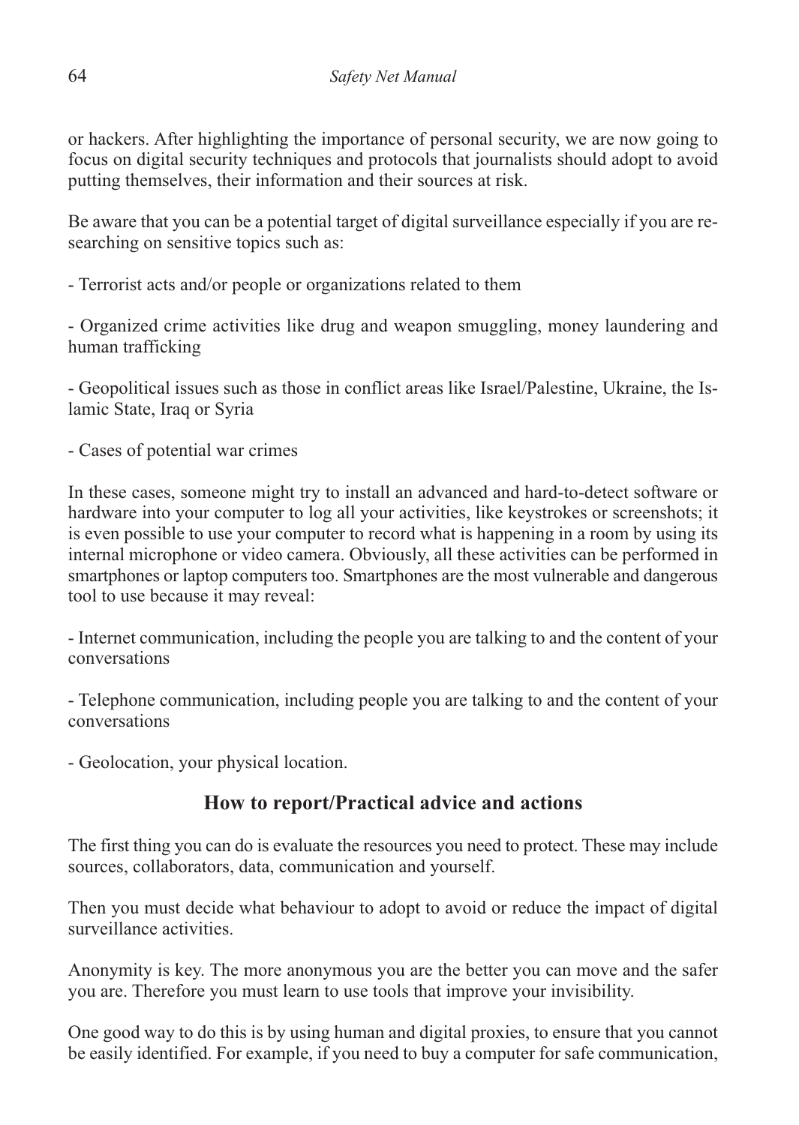or hackers. After highlighting the importance of personal security, we are now going to focus on digital security techniques and protocols that journalists should adopt to avoid putting themselves, their information and their sources at risk.

Be aware that you can be a potential target of digital surveillance especially if you are researching on sensitive topics such as:

- Terrorist acts and/or people or organizations related to them

- Organized crime activities like drug and weapon smuggling, money laundering and human trafficking

- Geopolitical issues such as those in conflict areas like Israel/Palestine, Ukraine, the Islamic State, Iraq or Syria

- Cases of potential war crimes

In these cases, someone might try to install an advanced and hard-to-detect software or hardware into your computer to log all your activities, like keystrokes or screenshots; it is even possible to use your computer to record what is happening in a room by using its internal microphone or video camera. Obviously, all these activities can be performed in smartphones or laptop computers too. Smartphones are the most vulnerable and dangerous tool to use because it may reveal:

- Internet communication, including the people you are talking to and the content of your conversations

- Telephone communication, including people you are talking to and the content of your conversations

- Geolocation, your physical location.

# **How to report/Practical advice and actions**

The first thing you can do is evaluate the resources you need to protect. These may include sources, collaborators, data, communication and yourself.

Then you must decide what behaviour to adopt to avoid or reduce the impact of digital surveillance activities.

Anonymity is key. The more anonymous you are the better you can move and the safer you are. Therefore you must learn to use tools that improve your invisibility.

One good way to do this is by using human and digital proxies, to ensure that you cannot be easily identified. For example, if you need to buy a computer for safe communication,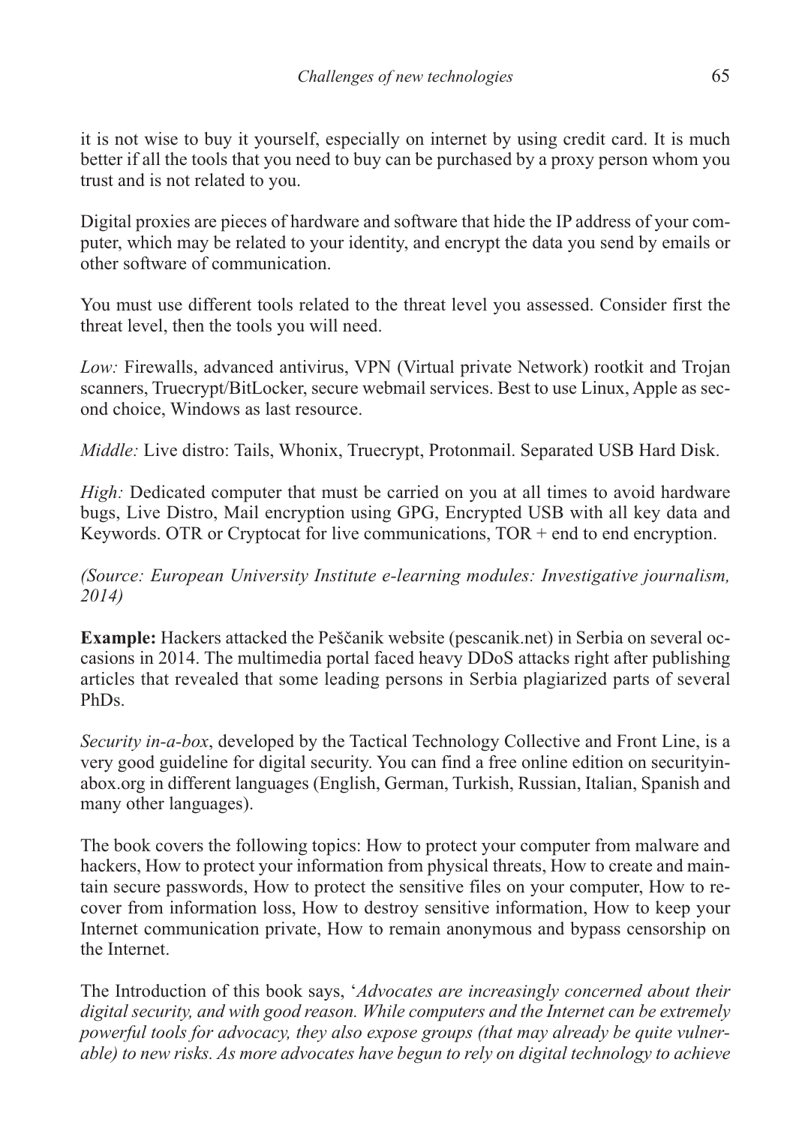it is not wise to buy it yourself, especially on internet by using credit card. It is much better if all the tools that you need to buy can be purchased by a proxy person whom you trust and is not related to you.

Digital proxies are pieces of hardware and software that hide the IP address of your computer, which may be related to your identity, and encrypt the data you send by emails or other software of communication.

You must use different tools related to the threat level you assessed. Consider first the threat level, then the tools you will need.

*Low:* Firewalls, advanced antivirus, VPN (Virtual private Network) rootkit and Trojan scanners, Truecrypt/BitLocker, secure webmail services. Best to use Linux, Apple as second choice, Windows as last resource.

*Middle:* Live distro: Tails, Whonix, Truecrypt, Protonmail. Separated USB Hard Disk.

*High:* Dedicated computer that must be carried on you at all times to avoid hardware bugs, Live Distro, Mail encryption using GPG, Encrypted USB with all key data and Keywords. OTR or Cryptocat for live communications,  $TOR + end$  to end encryption.

*(Source: European University Institute e-learning modules: Investigative journalism, 2014)*

**Example:** Hackers attacked the Peščanik website (pescanik.net) in Serbia on several occasions in 2014. The multimedia portal faced heavy DDoS attacks right after publishing articles that revealed that some leading persons in Serbia plagiarized parts of several PhDs.

*Security in-a-box*, developed by the Tactical Technology Collective and Front Line, is a very good guideline for digital security. You can find a free online edition on securityinabox.org in different languages (English, German, Turkish, Russian, Italian, Spanish and many other languages).

The book covers the following topics: How to protect your computer from malware and hackers, How to protect your information from physical threats, How to create and maintain secure passwords, How to protect the sensitive files on your computer, How to recover from information loss, How to destroy sensitive information, How to keep your Internet communication private, How to remain anonymous and bypass censorship on the Internet.

The Introduction of this book says, '*Advocates are increasingly concerned about their digital security, and with good reason. While computers and the Internet can be extremely powerful tools for advocacy, they also expose groups (that may already be quite vulnerable) to new risks. As more advocates have begun to rely on digital technology to achieve*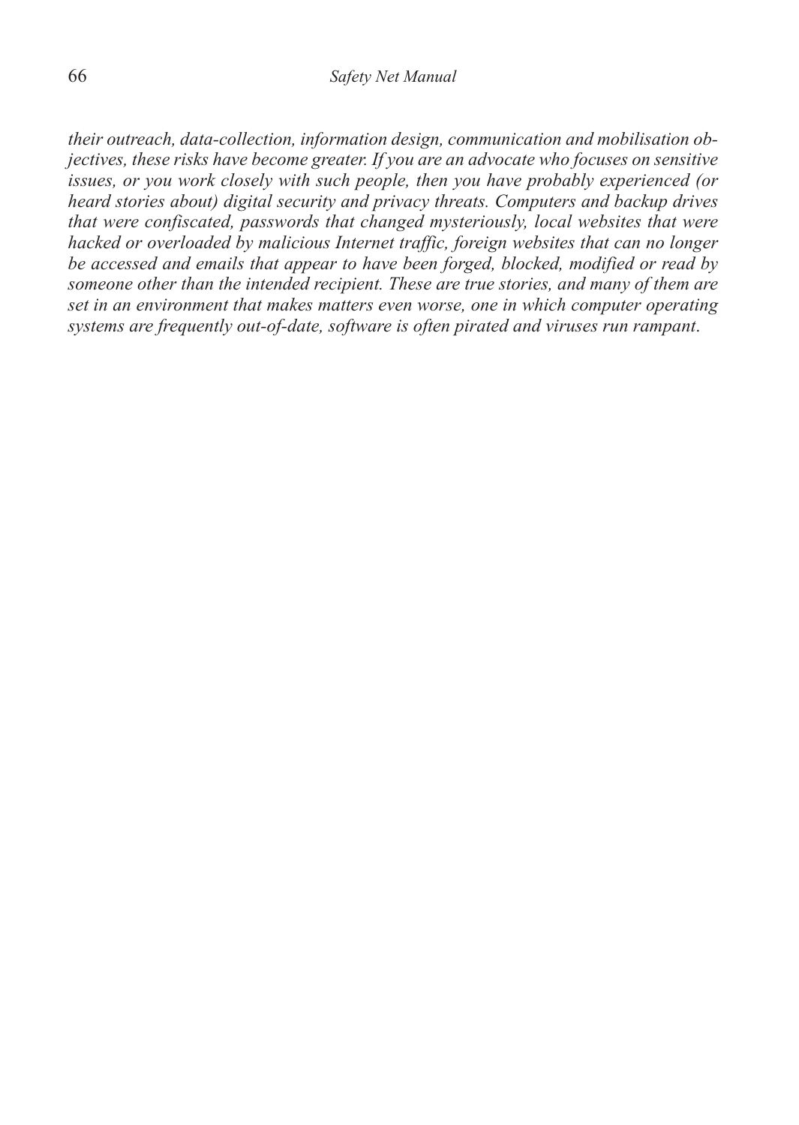*their outreach, data-collection, information design, communication and mobilisation objectives, these risks have become greater. If you are an advocate who focuses on sensitive issues, or you work closely with such people, then you have probably experienced (or heard stories about) digital security and privacy threats. Computers and backup drives that were confiscated, passwords that changed mysteriously, local websites that were hacked or overloaded by malicious Internet traffic, foreign websites that can no longer be accessed and emails that appear to have been forged, blocked, modified or read by someone other than the intended recipient. These are true stories, and many of them are set in an environment that makes matters even worse, one in which computer operating systems are frequently out-of-date, software is often pirated and viruses run rampant*.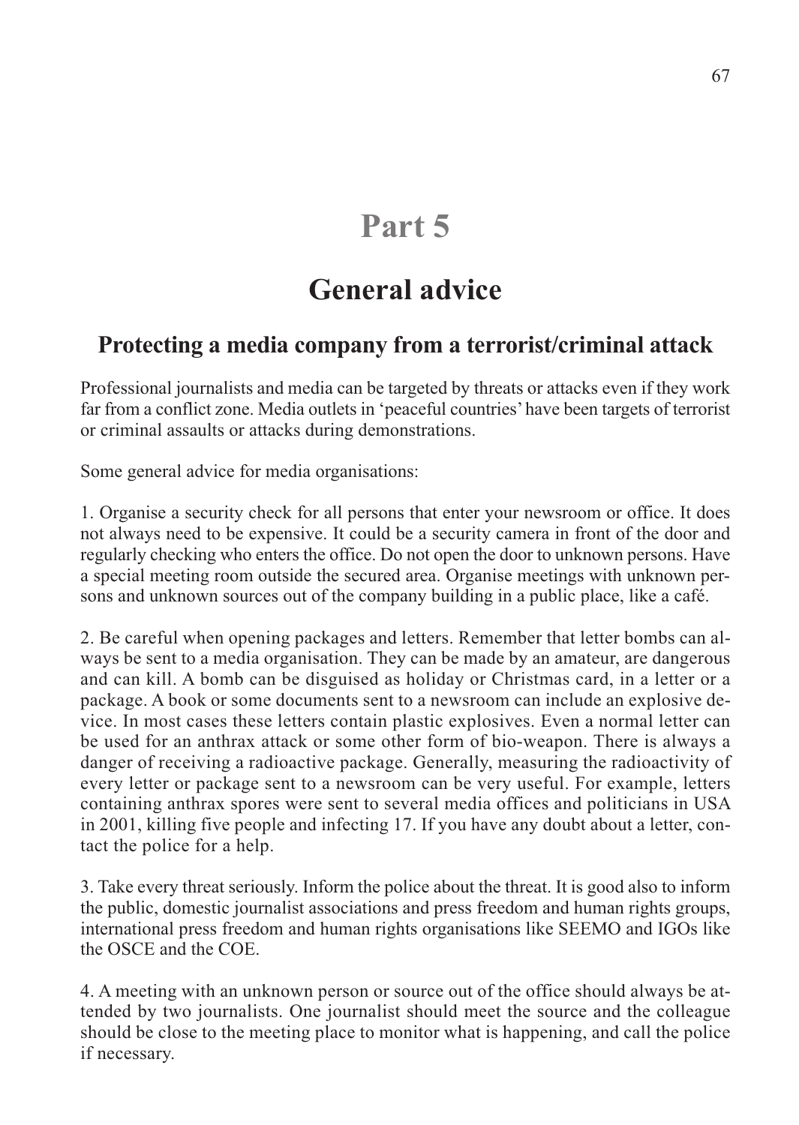# **Part 5**

# **General advice**

# **Protecting a media company from a terrorist/criminal attack**

Professional journalists and media can be targeted by threats or attacks even if they work far from a conflict zone. Media outlets in 'peaceful countries' have been targets of terrorist or criminal assaults or attacks during demonstrations.

Some general advice for media organisations:

1. Organise a security check for all persons that enter your newsroom or office. It does not always need to be expensive. It could be a security camera in front of the door and regularly checking who enters the office. Do not open the door to unknown persons. Have a special meeting room outside the secured area. Organise meetings with unknown persons and unknown sources out of the company building in a public place, like a café.

2. Be careful when opening packages and letters. Remember that letter bombs can always be sent to a media organisation. They can be made by an amateur, are dangerous and can kill. A bomb can be disguised as holiday or Christmas card, in a letter or a package. A book or some documents sent to a newsroom can include an explosive device. In most cases these letters contain plastic explosives. Even a normal letter can be used for an anthrax attack or some other form of bio-weapon. There is always a danger of receiving a radioactive package. Generally, measuring the radioactivity of every letter or package sent to a newsroom can be very useful. For example, letters containing anthrax spores were sent to several media offices and politicians in USA in 2001, killing five people and infecting 17. If you have any doubt about a letter, contact the police for a help.

3. Take every threat seriously. Inform the police about the threat. It is good also to inform the public, domestic journalist associations and press freedom and human rights groups, international press freedom and human rights organisations like SEEMO and IGOs like the OSCE and the COE.

4. A meeting with an unknown person or source out of the office should always be attended by two journalists. One journalist should meet the source and the colleague should be close to the meeting place to monitor what is happening, and call the police if necessary.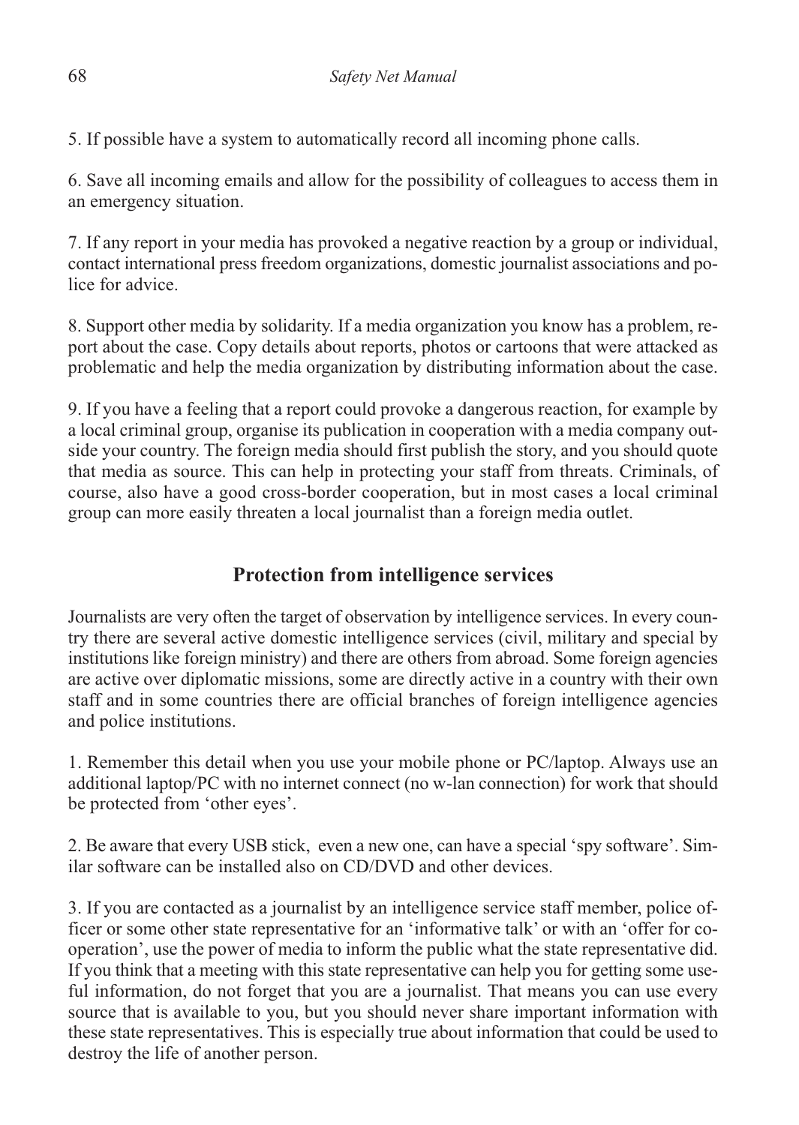5. If possible have a system to automatically record all incoming phone calls.

6. Save all incoming emails and allow for the possibility of colleagues to access them in an emergency situation.

7. If any report in your media has provoked a negative reaction by a group or individual, contact international press freedom organizations, domestic journalist associations and police for advice.

8. Support other media by solidarity. If a media organization you know has a problem, report about the case. Copy details about reports, photos or cartoons that were attacked as problematic and help the media organization by distributing information about the case.

9. If you have a feeling that a report could provoke a dangerous reaction, for example by a local criminal group, organise its publication in cooperation with a media company outside your country. The foreign media should first publish the story, and you should quote that media as source. This can help in protecting your staff from threats. Criminals, of course, also have a good cross-border cooperation, but in most cases a local criminal group can more easily threaten a local journalist than a foreign media outlet.

# **Protection from intelligence services**

Journalists are very often the target of observation by intelligence services. In every country there are several active domestic intelligence services (civil, military and special by institutions like foreign ministry) and there are others from abroad. Some foreign agencies are active over diplomatic missions, some are directly active in a country with their own staff and in some countries there are official branches of foreign intelligence agencies and police institutions.

1. Remember this detail when you use your mobile phone or PC/laptop. Always use an additional laptop/PC with no internet connect (no w-lan connection) for work that should be protected from 'other eyes'.

2. Be aware that every USB stick, even a new one, can have a special 'spy software'. Similar software can be installed also on CD/DVD and other devices.

3. If you are contacted as a journalist by an intelligence service staff member, police officer or some other state representative for an 'informative talk' or with an 'offer for cooperation', use the power of media to inform the public what the state representative did. If you think that a meeting with this state representative can help you for getting some useful information, do not forget that you are a journalist. That means you can use every source that is available to you, but you should never share important information with these state representatives. This is especially true about information that could be used to destroy the life of another person.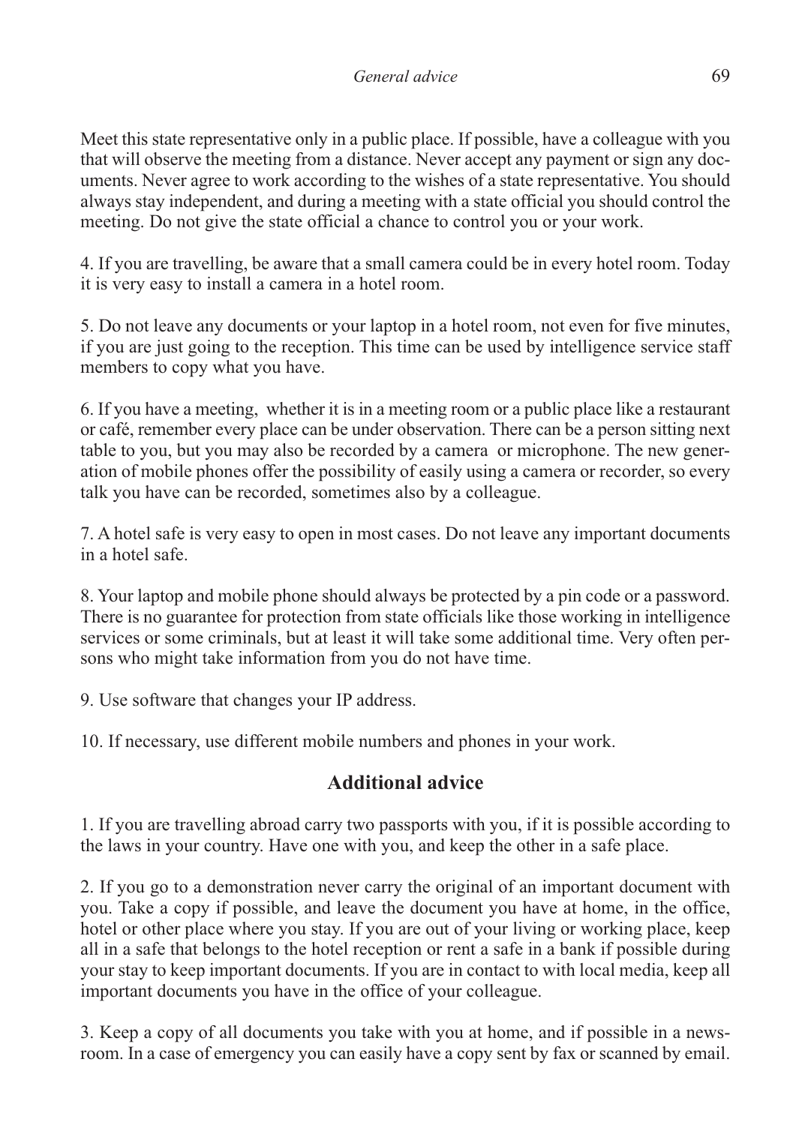Meet this state representative only in a public place. If possible, have a colleague with you that will observe the meeting from a distance. Never accept any payment or sign any documents. Never agree to work according to the wishes of a state representative. You should always stay independent, and during a meeting with a state official you should control the meeting. Do not give the state official a chance to control you or your work.

4. If you are travelling, be aware that a small camera could be in every hotel room. Today it is very easy to install a camera in a hotel room.

5. Do not leave any documents or your laptop in a hotel room, not even for five minutes, if you are just going to the reception. This time can be used by intelligence service staff members to copy what you have.

6. If you have a meeting, whether it is in a meeting room or a public place like a restaurant or café, remember every place can be under observation. There can be a person sitting next table to you, but you may also be recorded by a camera or microphone. The new generation of mobile phones offer the possibility of easily using a camera or recorder, so every talk you have can be recorded, sometimes also by a colleague.

7. A hotel safe is very easy to open in most cases. Do not leave any important documents in a hotel safe.

8. Your laptop and mobile phone should always be protected by a pin code or a password. There is no guarantee for protection from state officials like those working in intelligence services or some criminals, but at least it will take some additional time. Very often persons who might take information from you do not have time.

9. Use software that changes your IP address.

10. If necessary, use different mobile numbers and phones in your work.

# **Additional advice**

1. If you are travelling abroad carry two passports with you, if it is possible according to the laws in your country. Have one with you, and keep the other in a safe place.

2. If you go to a demonstration never carry the original of an important document with you. Take a copy if possible, and leave the document you have at home, in the office, hotel or other place where you stay. If you are out of your living or working place, keep all in a safe that belongs to the hotel reception or rent a safe in a bank if possible during your stay to keep important documents. If you are in contact to with local media, keep all important documents you have in the office of your colleague.

3. Keep a copy of all documents you take with you at home, and if possible in a newsroom. In a case of emergency you can easily have a copy sent by fax or scanned by email.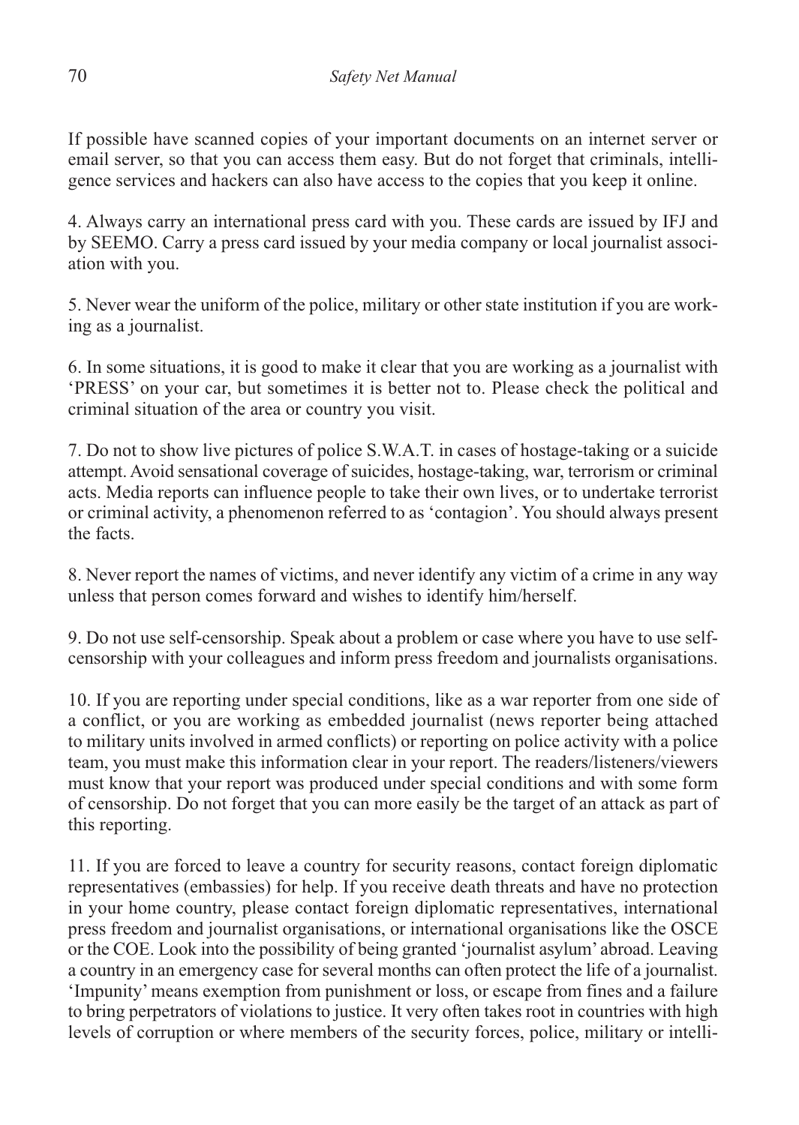If possible have scanned copies of your important documents on an internet server or email server, so that you can access them easy. But do not forget that criminals, intelligence services and hackers can also have access to the copies that you keep it online.

4. Always carry an international press card with you. These cards are issued by IFJ and by SEEMO. Carry a press card issued by your media company or local journalist association with you.

5. Never wear the uniform of the police, military or other state institution if you are working as a journalist.

6. In some situations, it is good to make it clear that you are working as a journalist with 'PRESS' on your car, but sometimes it is better not to. Please check the political and criminal situation of the area or country you visit.

7. Do not to show live pictures of police S.W.A.T. in cases of hostage-taking or a suicide attempt. Avoid sensational coverage of suicides, hostage-taking, war, terrorism or criminal acts. Media reports can influence people to take their own lives, or to undertake terrorist or criminal activity, a phenomenon referred to as 'contagion'. You should always present the facts.

8. Never report the names of victims, and never identify any victim of a crime in any way unless that person comes forward and wishes to identify him/herself.

9. Do not use self-censorship. Speak about a problem or case where you have to use selfcensorship with your colleagues and inform press freedom and journalists organisations.

10. If you are reporting under special conditions, like as a war reporter from one side of a conflict, or you are working as embedded journalist (news reporter being attached to military units involved in armed conflicts) or reporting on police activity with a police team, you must make this information clear in your report. The readers/listeners/viewers must know that your report was produced under special conditions and with some form of censorship. Do not forget that you can more easily be the target of an attack as part of this reporting.

11. If you are forced to leave a country for security reasons, contact foreign diplomatic representatives (embassies) for help. If you receive death threats and have no protection in your home country, please contact foreign diplomatic representatives, international press freedom and journalist organisations, or international organisations like the OSCE or the COE. Look into the possibility of being granted 'journalist asylum' abroad. Leaving a country in an emergency case for several months can often protect the life of a journalist. 'Impunity' means exemption from punishment or loss, or escape from fines and a failure to bring perpetrators of violations to justice. It very often takes root in countries with high levels of corruption or where members of the security forces, police, military or intelli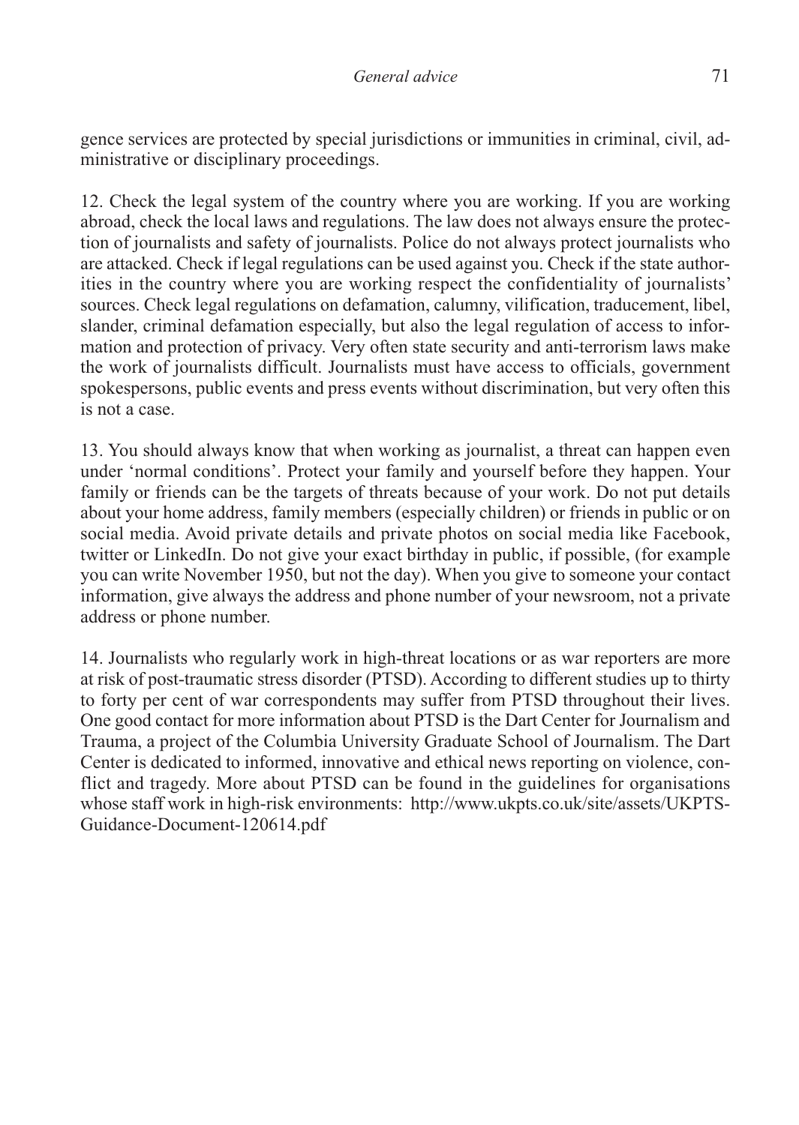gence services are protected by special jurisdictions or immunities in criminal, civil, administrative or disciplinary proceedings.

12. Check the legal system of the country where you are working. If you are working abroad, check the local laws and regulations. The law does not always ensure the protection of journalists and safety of journalists. Police do not always protect journalists who are attacked. Check if legal regulations can be used against you. Check if the state authorities in the country where you are working respect the confidentiality of journalists' sources. Check legal regulations on defamation, calumny, vilification, traducement, libel, slander, criminal defamation especially, but also the legal regulation of access to information and protection of privacy. Very often state security and anti-terrorism laws make the work of journalists difficult. Journalists must have access to officials, government spokespersons, public events and press events without discrimination, but very often this is not a case.

13. You should always know that when working as journalist, a threat can happen even under 'normal conditions'. Protect your family and yourself before they happen. Your family or friends can be the targets of threats because of your work. Do not put details about your home address, family members (especially children) or friends in public or on social media. Avoid private details and private photos on social media like Facebook, twitter or LinkedIn. Do not give your exact birthday in public, if possible, (for example you can write November 1950, but not the day). When you give to someone your contact information, give always the address and phone number of your newsroom, not a private address or phone number.

14. Journalists who regularly work in high-threat locations or as war reporters are more at risk of post-traumatic stress disorder (PTSD). According to different studies up to thirty to forty per cent of war correspondents may suffer from PTSD throughout their lives. One good contact for more information about PTSD is the Dart Center for Journalism and Trauma, a project of the Columbia University Graduate School of Journalism. The Dart Center is dedicated to informed, innovative and ethical news reporting on violence, conflict and tragedy. More about PTSD can be found in the guidelines for organisations whose staff work in high-risk environments: http://www.ukpts.co.uk/site/assets/UKPTS-Guidance-Document-120614.pdf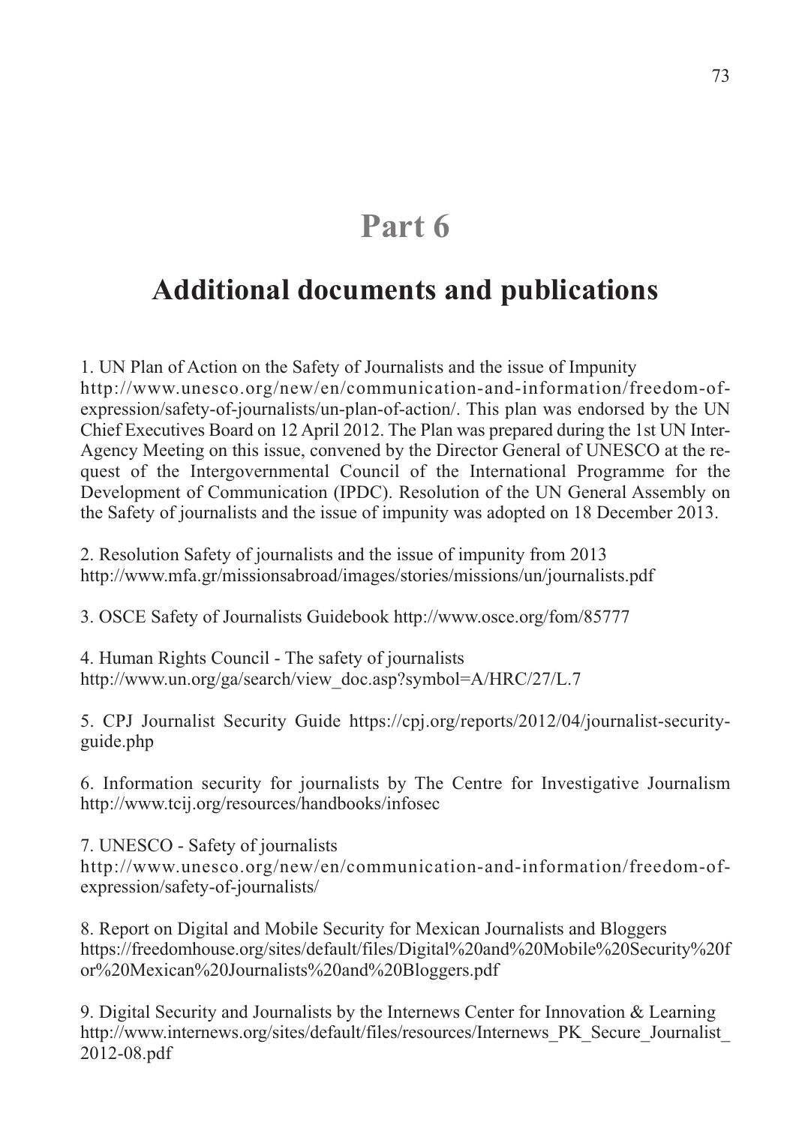# **Part 6**

## **Additional documents and publications**

1. UN Plan of Action on the Safety of Journalists and the issue of Impunity http://www.unesco.org/new/en/communication-and-information/freedom-ofexpression/safety-of-journalists/un-plan-of-action/. This plan was endorsed by the UN Chief Executives Board on 12 April 2012. The Plan was prepared during the 1st UN Inter-Agency Meeting on this issue, convened by the Director General of UNESCO at the request of the Intergovernmental Council of the International Programme for the Development of Communication (IPDC). Resolution of the UN General Assembly on the Safety of journalists and the issue of impunity was adopted on 18 December 2013.

2. Resolution Safety of journalists and the issue of impunity from 2013 http://www.mfa.gr/missionsabroad/images/stories/missions/un/journalists.pdf

3. OSCE Safety of Journalists Guidebook http://www.osce.org/fom/85777

4. Human Rights Council - The safety of journalists http://www.un.org/ga/search/view\_doc.asp?symbol=A/HRC/27/L.7

5. CPJ Journalist Security Guide https://cpj.org/reports/2012/04/journalist-securityguide.php

6. Information security for journalists by The Centre for Investigative Journalism http://www.tcij.org/resources/handbooks/infosec

7. UNESCO - Safety of journalists http://www.unesco.org/new/en/communication-and-information/freedom-ofexpression/safety-of-journalists/

8. Report on Digital and Mobile Security for Mexican Journalists and Bloggers https://freedomhouse.org/sites/default/files/Digital%20and%20Mobile%20Security%20f or%20Mexican%20Journalists%20and%20Bloggers.pdf

9. Digital Security and Journalists by the Internews Center for Innovation & Learning http://www.internews.org/sites/default/files/resources/Internews\_PK\_Secure\_Journalist\_ 2012-08.pdf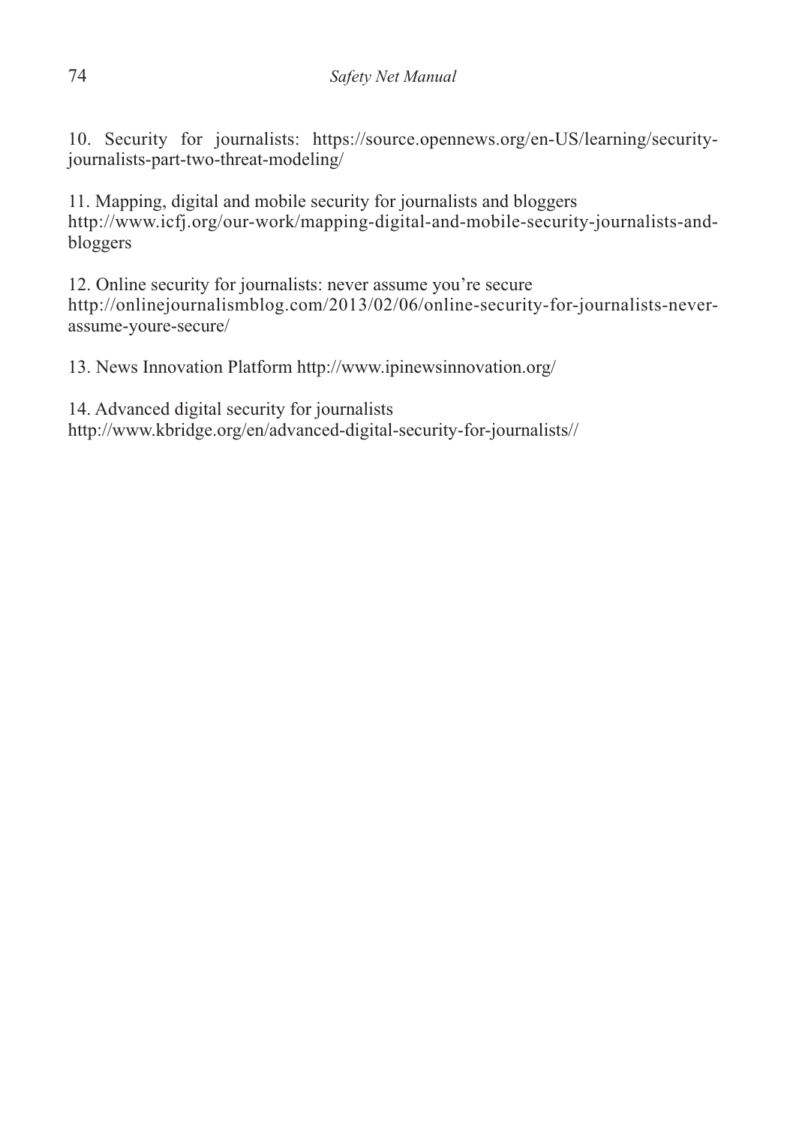10. Security for journalists: https://source.opennews.org/en-US/learning/securityjournalists-part-two-threat-modeling/

11. Mapping, digital and mobile security for journalists and bloggers http://www.icfj.org/our-work/mapping-digital-and-mobile-security-journalists-andbloggers

12. Online security for journalists: never assume you're secure http://onlinejournalismblog.com/2013/02/06/online-security-for-journalists-neverassume-youre-secure/

13. News Innovation Platform http://www.ipinewsinnovation.org/

14. Advanced digital security for journalists http://www.kbridge.org/en/advanced-digital-security-for-journalists//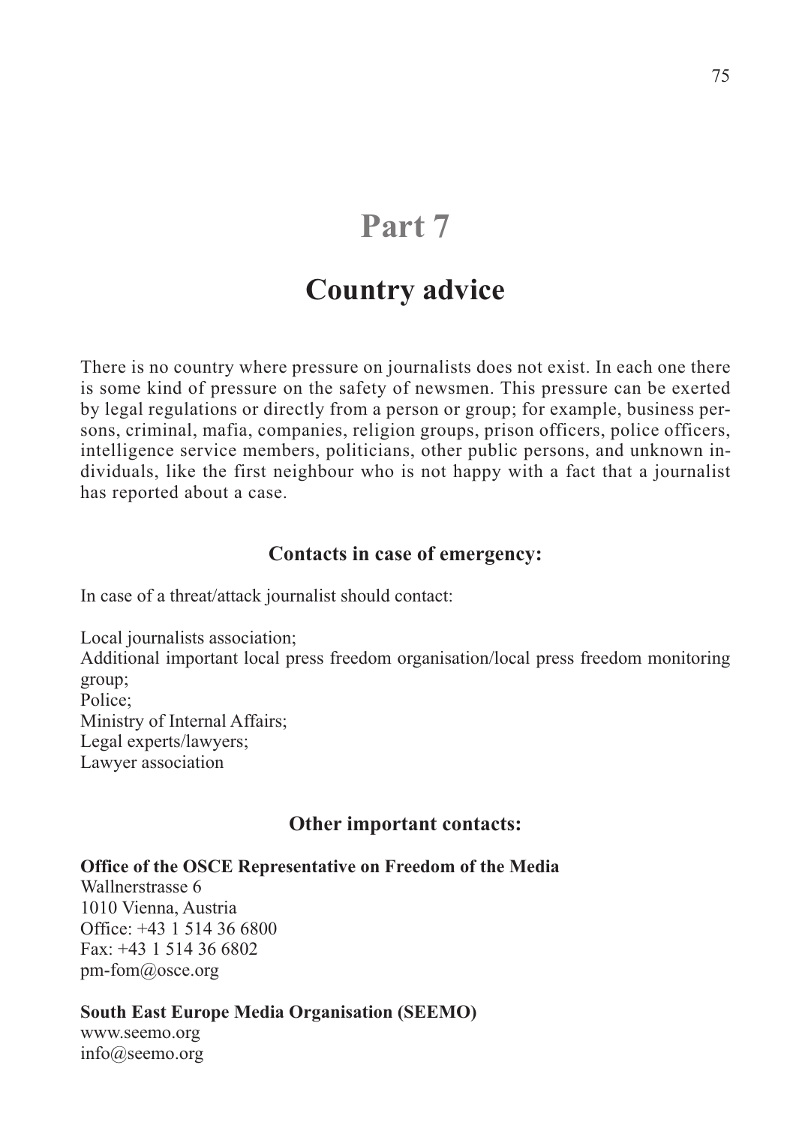# **Part 7**

## **Country advice**

There is no country where pressure on journalists does not exist. In each one there is some kind of pressure on the safety of newsmen. This pressure can be exerted by legal regulations or directly from a person or group; for example, business persons, criminal, mafia, companies, religion groups, prison officers, police officers, intelligence service members, politicians, other public persons, and unknown individuals, like the first neighbour who is not happy with a fact that a journalist has reported about a case.

#### **Contacts in case of emergency:**

In case of a threat/attack journalist should contact:

Local journalists association; Additional important local press freedom organisation/local press freedom monitoring group; Police; Ministry of Internal Affairs; Legal experts/lawyers; Lawyer association

### **Other important contacts:**

#### **Office of the OSCE Representative on Freedom of the Media**

Wallnerstrasse 6 1010 Vienna, Austria Office: +43 1 514 36 6800 Fax: +43 1 514 36 6802 pm-fom@osce.org

#### **South East Europe Media Organisation (SEEMO)**

www.seemo.org info@seemo.org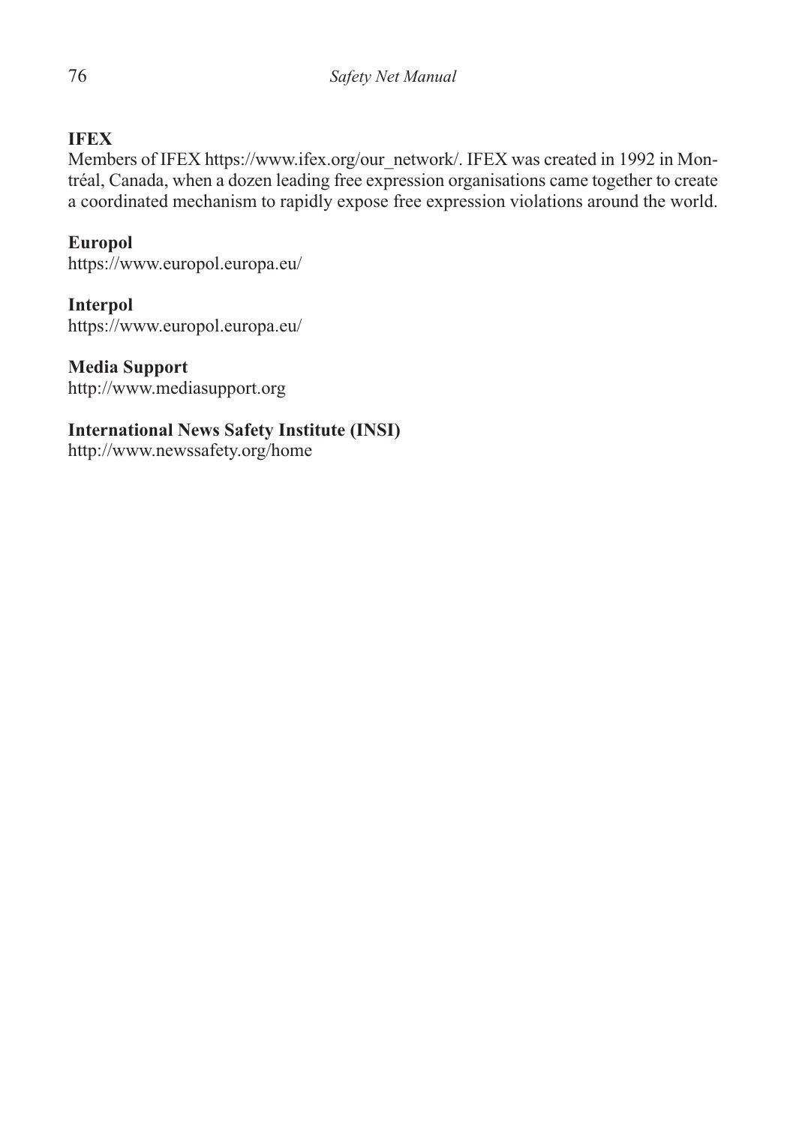## **IFEX**

Members of IFEX https://www.ifex.org/our\_network/. IFEX was created in 1992 in Montréal, Canada, when a dozen leading free expression organisations came together to create a coordinated mechanism to rapidly expose free expression violations around the world.

### **Europol**

https://www.europol.europa.eu/

#### **Interpol**

https://www.europol.europa.eu/

#### **Media Support**

http://www.mediasupport.org

### **International News Safety Institute (INSI)**

http://www.newssafety.org/home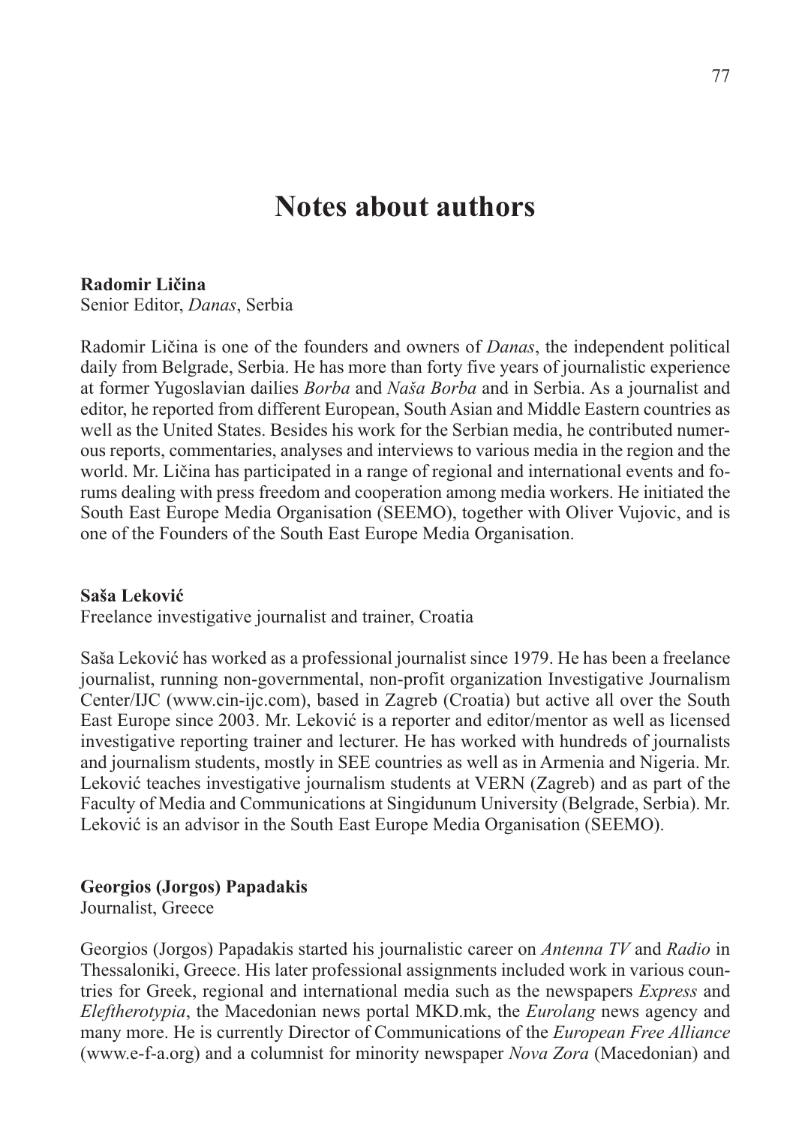## **Notes about authors**

#### **Radomir Ličina**

Senior Editor, *Danas*, Serbia

Radomir Ličina is one of the founders and owners of *Danas*, the independent political daily from Belgrade, Serbia. He has more than forty five years of journalistic experience at former Yugoslavian dailies *Borba* and *Naša Borba* and in Serbia. As a journalist and editor, he reported from different European, South Asian and Middle Eastern countries as well as the United States. Besides his work for the Serbian media, he contributed numerous reports, commentaries, analyses and interviews to various media in the region and the world. Mr. Ličina has participated in a range of regional and international events and forums dealing with press freedom and cooperation among media workers. He initiated the South East Europe Media Organisation (SEEMO), together with Oliver Vujovic, and is one of the Founders of the South East Europe Media Organisation.

#### **Saša Leković**

Freelance investigative journalist and trainer, Croatia

Saša Leković has worked as a professional journalist since 1979. He has been a freelance journalist, running non-governmental, non-profit organization Investigative Journalism Center/IJC (www.cin-ijc.com), based in Zagreb (Croatia) but active all over the South East Europe since 2003. Mr. Leković is a reporter and editor/mentor as well as licensed investigative reporting trainer and lecturer. He has worked with hundreds of journalists and journalism students, mostly in SEE countries as well as in Armenia and Nigeria. Mr. Leković teaches investigative journalism students at VERN (Zagreb) and as part of the Faculty of Media and Communications at Singidunum University (Belgrade, Serbia). Mr. Leković is an advisor in the South East Europe Media Organisation (SEEMO).

#### **Georgios (Jorgos) Papadakis**

Journalist, Greece

Georgios (Jorgos) Papadakis started his journalistic career on *Antenna TV* and *Radio* in Thessaloniki, Greece. His later professional assignments included work in various countries for Greek, regional and international media such as the newspapers *Express* and *Eleftherotypia*, the Macedonian news portal MKD.mk, the *Eurolang* news agency and many more. He is currently Director of Communications of the *European Free Alliance* (www.e-f-a.org) and a columnist for minority newspaper *Nova Zora* (Macedonian) and